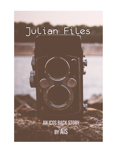# Julian Files

# AN ICOS BACK STORY **BY AIS**

T.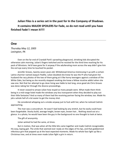# **Julian Files is a series set in the past for In the Company of Shadows. It contains MAJOR SPOILERS for Fade, so do not read until you have finished Fade! I mean it!!!!**

#### **One**

*Thursday May 12, 2005 Lexington, PA*

Even on the far end of Crandall Park's sprawling playground, shrieking kids disrupted the otherwise calm morning. Julian's fingers twitched and he resisted for the third time reaching for his pack of Winstons. He'd have gone for it anyway if the adulterating mom across the way didn't give him the evil eye every time he touched his pocket.

Jennifer Groves, twenty-seven years old. Whitebread America mistressing it up with a certain Latino charmer named Joaquin Padilla. Julian doubted she knew he was the PI who had given her husband the racy photos of the two of them going at it like horny teenagers against a window of the White Oaks, but being as she recently stopped smoking she knew a fellow nicotine addict when she saw one. Not that her attempt to go clean living was liable to last long, once good ole Chris Groves was done raking her through the divorce proceedings.

It never ceased to amaze Julian how stupid so many people were. What made them think being in a mid-range hotel made the windows any less transparent when they decided to play out their little fantasies? And so many of them had the receiving partner facing the window, too. Made his job a whole hell of a lot easier to get the money shot.

He considered whipping out a smoke anyway just to fuck with her, when he noticed Cedrick approaching.

The man was a conundrum. He wasn't bad looking by any stretch, but he easily could have been forgettable. Stocky build, average height, brown eyes, brown hair… Nothing stood out at a glance. In a photo, he would have been the guy in the background no one thought to look at twice.

The gift of anonymity.

Julian wished he had the same, at times.

But in motion, that was when all the little bits came together and made Cedrick recognizable. His easy, loping gait. The smile that seemed ever ready on the edges of his lips, and that goddamned infectious grin that popped up at the least expected moments. Made his whole face light up like a Christmas tree, and at times even made Julian fight a grin in return.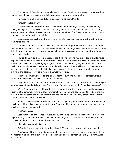The trademark Beaulieu not-yet-smile was in place as Cedrick strode toward him slower than normal, and when all the trees and kidlets were out of the way Julian saw why.

He raised his eyebrows and flicked a glance down at Cedrick's side.

"Brought the kid, huh?"

"Couldn't get a babysitter." Cedrick rested his hand around Boyd's skinny little shoulders, pulling him against his thigh like some sort of tall dog. The fond smile aimed down at him probably wouldn't have looked out of place in those circumstances, either. "Can't say I'm sad about it, though. I don't get enough time with him as it is."

Cedrick dropped easily onto the park bench next to Julian, and soon it was the both of them who stared at Boyd.

Truth be told, the kid creeped Julian out. Like Cedrick, his photo op impression was different than his video. He was a cute kid by looks alone: fine blond hair, huge eyes an unusual amber; a skinny little thing with pouty lips. He hovered in that childlike androgynous zone of not seeming resigned to any gender entirely.

Maybe if he smiled once in a dinosaur's age it'd be fine but he was like a little alien. He stared at people like he was dissecting their motivations, filing it away in some five-year-old version of Enemy vs Friend, or maybe he was just trying to figure out what the fuck was going on around him. Julian might have thought he was slow but he'd seen the kid write and draw well beyond his nephew who was four years older. And when the kid talked, which wasn't often, there were times his sentence structure and astute observations were like he was twice his age.

Julian sometimes wondered if the kid was going to turn into a serial killer someday. If so, he should probably make sure he wasn't on the kid's hit list.

"Hey there, champ." Julian patted the bench next to him. "You can sit down. Last I checked you weren't a vampire and this bench wasn't a house so I'm pretty sure you don't need an invitation."

When Boyd only stared at him with his too-guarded-for-a-five-year-old face and luminous eyes, Julian felt the same weird mixture of aggravation, bemusement, and devilry he often felt around the kid. He didn't resist the temptation to reach out and ruffle his hair so harshly it made his head rock back and forth like a little bobblehead.

When his hand dropped, Boyd's hair stood up in huge tangled tufts not unlike the aftermath of a balloon rubbing. Julian smirked in satisfaction. Boyd stared just as seriously out of that, making him look like a grumpy, rumpled cat.

"Ha!" Julian said.

Cedrick chuckled and leaned forward, gently smoothing Boyd's hair back down. He rested his fingers on Boyd's chin and turned his face toward him. Boyd let his head move but his eyes remained on Julian until the last second when they flicked over to his dad.

Like Julian always said. Fucking creepy.

"Why don't you go play with the others, Boyd? We came here so you could have some fun."

Boyd's pouty little lips turned down even further. Jesus. He had the same disapproving stare as his mother. If he didn't turn out to be a serial killer, he'd become something equally terrifying. Julian was sure of it.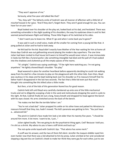"They won't approve of me."

Seriously, what five-year-old talked like that?

"Yes, they will." The fatherly smile of Cedrick's was all manner of affection with a little bit of mischief tossed in for spice. "And if they don't, forget them. They aren't good enough for you. You can have fun on your own."

Boyd looked over his shoulder at the play set, looked back at his dad, and hesitated. There was something vulnerable in the slight quaking of his shoulders; the way his eyebrows drew in and his feet seemed poised between flight and folding. Those little fingers of his twitched at his sides.

"I don't want you to leave me. What if I go and when I come back you're gone?"

It was said in such a small voice, made all the smaller for coming from a young kid like that. A pang pulled at Julian and he had to look away.

He felt bad for the kid. Boyd didn't exactly have Mother of the Year waiting for him at home all those days Cedrick was out gallivanting around playing the modern day superhero. The one time Julian had been invited to that house he'd sworn to himself he would never return. It was immaculate in looks but felt like a funeral parlor. Like something intangible had died and the pall of it had soaked into the shadows and cluttered up all the empty spaces of the rooms.

"It's alright," Cedrick was saying soothingly. "I'll be right here watching you. I'm not going anywhere." He lightly shoved Boyd's shoulder. "Go play."

Boyd wavered in place for another heartbeat before apparently deciding he could risk walking away from his dad for a few minutes to play on the playground with the other kids. Even then, Boyd was cautious in his steps and he kept looking back over his shoulder as if to reassure himself that his father hadn't disappeared in the last two seconds. The fact that a little kid even put that much thought into something like this killed Julian a little inside.

But then, a lot of the kids of this generation feared loss for good reason.

Cedrick held still until Boyd very carefully clambered up onto one of the little mechanical trucks and set to diligently scooping a hole in the sand and meticulously dropping the sand in a pile to the right. At that, Cedrick finally let out a long, heavy breath and dropped his head against the bench with his eyes closed. His arms stretched across the back of the bench.

"He makes me feel like the terrible father I am."

"You're not a bad dad." Julian propped his ankle on his other knee and patted his Winstons to reassure himself that they, too, hadn't moved. The kid's paranoia was getting to him. "You just have a… advanced kid."

The pinch in Cedrick's face made him look a lot older than his twenty-five years. "I should be around him more. A lot more. I want to be, I just…"

Julian sighed loudly. "Are we going to do the psychiatrist thing again, Ced? Because I told you. I'm shit as a shrink. My advice to you is have a stiff drink and buck up."

The not-quite-smile toyed with Cedrick's lips. "That advice has some merit."

A scoff was his answer, and the two of them fell silent. Jennifer the Joaquin-diddler eyed him even harder now that there was a kid attached to him by proxy. Julian smirked at her and considered slopping a big wet kiss on Cedrick's cheek to make her think they were gay for each other, just to see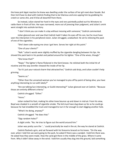the knee-jerk bigot reaction he knew was dwelling under the surface of her girl-next-door facade. But then he'd have to deal with Cedrick finding that to be hilarious and one-upping him by grabbing his crotch or some shit, and it'd be all downhill from there.

So instead, Julian stared her hard in the eyes and very pointedly pulled out his Winstons to rattle them in front of him. Her eyes narrowed, more out of jonesing than judgment, and Julian's smirk went straight into asshole territory.

"I don't think you can make it a day without messing with someone," Cedrick commented.

Julian glanced over and saw that Cedrick hadn't taken his eyes off his son, but he must have seen the interaction in his peripheral vision. Julian shrugged, unabashed. He set to relieving the pack of one of the cigarettes.

"She's been side-eyeing me since I got here. Serves her right at this point."

"One of your clients?"

"Nah." Julian's words were slightly muffled by the cigarette dangling between his lips. He shoved the pack back in his pocket and patted around for his lighter. "One of the wives, though."

"She know that?"

"Nope." The lighter's flame flickered in the faint breeze. He relished both the initial hit of nicotine and the way Jennifer chewed the inside of her lip.

"So it's just your natural charm that attracted her," Cedrick said dryly, and Julian couldn't help grinning.

"Seems so."

"Other than the unnamed woman you've managed to piss off by point of being alive, you have anything interesting to run with lately?"

"Are we talking Sun-interesting, or Guild-interesting?" Julian glanced over at Cedrick. "Because those are entirely different criteria."

Cedrick shrugged. "Either."

"Hmm."

Julian rocked his foot, making his other knee bounce up and down in mid-air. From his view, Boyd was cloaked in a wreath of cigarette smoke. The kid must have dug down as far as he could go because he had straddled the truck and managed to turn it far enough to start digging another hole.

"What's he doing, anyway?"

Cedrick shrugged. "He does that."

"Digs random holes?"

A slight smile. "No. He tries to figure out the world around him."

Julian was pretty sure the '…' could practically be read in the air, the way he stared at Cedrick.

Cedrick flashed a grin, and sat forward with his forearms braced on his knees. "On the way over, when I told him we were going to the park, he asked if there was a sandpit. I told him there was. He asked how they were made. How the sand got there in the middle of the grass. Where it came from. Why it didn't blow away in the wind. I told him usually they dug into the ground, laid something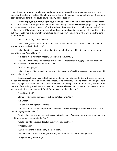down like wood or plastic or whatever, and then brought in sand from somewhere else and put it there for the safety of the kids. Then he wanted to know why people liked sand. I told him it was up to each person, and maybe he could figure out why *he* liked sand."

His hand splayed out, gesturing at Boyd who was considering the current hole he was digging with all the solemn contemplation of a foreman overseeing a multi-million dollar project. "I guarantee you, when we get back into the car he's going to have his answer. And it probably won't just be 'I can dig holes in it.' It'll probably be something about how the sand can be any shape or it's hard to control but you can still make it do what you want, and next thing he'll be asking is what will make the sand act differently…"

"He's a smart kid," Julian allowed.

"Yeah." The grin ratcheted up to show all of Cedrick's white teeth. "He is. I think he'll end up skipping a few grades in the future."

Julian didn't even have to contemplate the thought, but he did just to give an excuse for a cigarette break. "Yeah. He will."

"He gets it from his mom, mostly," Cedrick said thoughtfully.

"Ha." The word nearly transformed into a snort. "That relentless digging—no pun intended comes from you, buddy boy. Not Vanity Fair Viv."

"She's a chess player."

Julian grimaced. "I'm not calling her stupid, I'm saying she's willing to accept the status quo if it works in her favor."

Cedrick was already shaking his head before Julian had finished. He finally dragged his eyes off his son and settled his stare on Julian. "No. I mean, she's constantly thinking ahead. Planning her next move. Trying to determine how it will affect whatever she's doing at the moment. I may wonder about the why of everything, Boyd too, but Vivienne is the one who wants to know the how. Because once she knows that, she can control it. Boyd, I've noticed—he does that too."

"I could see that."

Silence fell between them again but it didn't last long. "So?"

"So, what?"

"So, any interesting stories for me?"

"Oh. Well, in the scandal department the Mayor's recently resigned aide turns out to have a thing for tying up the ladies."

Cedrick chuckled and settled back to watch Boyd again. "If you ever want some extra cash, you could write a gossip column in the Sun."

"Could I go into salacious detail about everyone's sex lives?"

"Probably not."

"Guess I'll have to write it in my memoir, then."

"You'll have to. There's nothing interesting about you; it's all about what you see."

"Are you calling me boring?"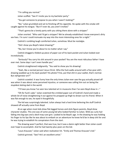"I'm calling you normal."

Julian scoffed. "See if I invite you to my bachelor party."

"You got someone to propose to you when I wasn't looking?"

"No," Julian grumbled and set to finishing off his cigarette. He spoke with the smoke still caught against his tongue. "But if I ever do, you aren't invited."

"That's gonna be a lonely party with you sitting there alone with a stripper."

Julian snorted. "Who said I'd get a stripper? We've already established I know everyone's dirty sex lives. I'm sure I could insinuate my way into the more interesting ones for a night."

Cedrick's rumbling laugh comforted Julian, somehow. Must be nostalgia.

"Did I show you Boyd's latest drawing?"

"No, but I know you're about to no matter what I say."

Cedrick dragged a folded-up piece of paper out of his back pocket and Julian looked over incredulously.

*"Seriously?* You carry his shit around in your pocket? You are the most ridiculous father I have ever met. Some days I can't even handle you."

Cedrick straightened indignantly. "You said to show you his drawing!

"Yeah, like a *normal person!* Jesus Christ. Who the fuck walks around with a five-year-old's drawing wadded up in his back pocket? His photo? Fine, put that shit in your wallet, that's normal. But *refrigerator art?"*

Cedrick scowled. It was funny how the only times Julian ever saw the guy actually pissed off was when it was about some perceived injustice, or someone was calling him out on being the stupidest doting dad in the world.

"I'll have you know I've seen less talented art in museums than I've seen Boyd draw in—"

"Oh for fuck's sake." Julian snatched the crinkled paper out of Cedrick's hand and made a whole lot of noise straightening it out against his propped up thigh to drown out his friend. When it was flat enough to see, he eyed it thoughtfully.

The kid was surprisingly talented. Julian always had a hard time believing the stuff Cedrick showed off actually came from Boyd.

At an age when most kids drew flat-legged horses and stick-figure parents, Boyd drew character studies. This one was of some young kid who looked familiar to Julian. Wild-ass curly hair falling into big eyes and a devil-may-care grin. Looked to be Boyd's age. In the drawing he was holding his finger to his lips like he was about to embark on an adventure he knew he'd be in deep shit for and he was trying to establish his conspirators from the start.

The drawing wasn't perfect, that was true, but it was a damn sight better than Julian could ever hope to accomplish. And he had twenty-plus years on the kid.

"Louis Krauszer," Julian said when realization hit. "Emily and Thomas Krauszer's kid."

Cedrick grinned. "See? He's an excellent artist."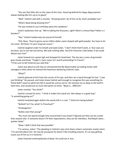"You see that little shit on the news all the time. Hovering behind his hippy-dippy parents always looking like he's up to no good."

"Well," Cedrick said with a chuckle. "Knowing what I do of him so far, that's probably true."

"What's Boyd doing drawing him?"

"He was invited to Lou's birthday party this weekend."

Julian's eyebrows shot up. "We're talking the Krauszers, right? Mom's a House Rep? Father's a Senator?"

"Yep." Cedrick looked way too proud of himself.

"Shit, Beau. They're gonna serve million-dollar caviar draped with gold powder. You have to let me come. Tell them I'm your long lost cousin."

Cedrick laughed under his breath and eyed Julian. "I don't think that'll work, JJ. Your eyes are too blue, you're too tall and skinny. We look nothing alike. You'd fit Vivienne's side better, if we could bleach your hair."

Julian heaved out a great sigh and dropped his head back. The sky was a mass of gunmetal grey clouds overhead. "Forget it. Even caviar isn't worth pretending I'm French." "I'll be sure to tell Vivienne you said that."

Julian was about to ask how an introverted kid like Boyd ended up trading invites with Lexington's elites when he noticed the heaviness darkening Cedrick's eyes.

"What?"

Cedrick glanced at him from the corner of his eye, and then ran a hand through his hair. "I was just thinking." He paused, and Julian knew Cedrick well enough to recognize this was something his friend didn't want to admit but felt it would be untrue not to. His honesty ran as deep as the Earth's fault lines, and caused just as much disruption at times. "Boyd is… different."

Julian snorted. "You think?"

Cedrick crossed his arms. "I think it makes him stand out. Not always in a good way." "Is something going on?"

Cedrick hesitated again before the words left in a rush. "I think he's being bullied."

"Bullied? Isn't he, what? In Preschool?"

"Kindergarten."

"Bullies start that young?"

"You must not spend enough time around kids if you haven't figured out they can be crueler than anyone else. If someone doesn't fit their expectations, they can be relentless. And Boyd's been… quieter lately."

"Wow. I didn't think that was possible."

"I'm serious, Julian." The pleading in Cedrick's eyes shot down Julian's automatic snarky retort. "I'm worried about him. He may be young but he doesn't like troubling anyone. It's as easy getting issues out of him as it is Vivienne."

Julian frowned contemplatively at Boyd. He could see it, but…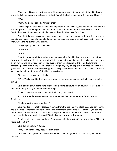"Even so, bullies who play fingerpaint Picasso on the side?" Julian shook his head in disgust and kicked at some cigarette butts near his foot. "What the fuck is going on with the world today?"

"War."

"Yeah," Julian said soberly. "There's that."

Julian's fingers ticked against the crinkled paper until finally he sighed and carefully folded the Krauszer portrait back along the lines from whence it came. He handed the folded sheet over to Cedrick between his pointer and middle finger without looking away from Boyd.

Days like this, a person could almost forget that so much was blown to shit outside the park's boundaries. That millions of people had died five years ago and even their politicians didn't seem to know when the next strike would come.

"Are you going to talk to the teacher?"

"As soon as I can."

"Good."

They fell into mutual silence that remained even after Boyd looked up at them both with a furrow in his eyebrows. He stood up, and with the most determined expression Julian had ever seen on a five-year-old he meticulously walked over to them with his grubby little hands clenching something. Julian felt a mild paranoia that some frog was going to leap out at his face when the kid got closer, but in the end when Boyd stopped in the space between their legs it was only a handful of sand that he held out in front of him like precious jewels.

"Seahorses," he said quite firmly.

"What?" Julian and Cedrick both said at once, the word blurred by the half-second offset in timing.

Boyd peered down at the sand cupped in his palms, although Julian could see it was ever so slowly siphoning its way down between his fingers.

"I think it's seahorses and rocks and shells," Boyd explained.

Sort of. The explanation made no damn sense to Julian, but apparently Cedrick spoke Toddlerese.

"That's what the sand is made of?"

Boyd nodded resolutely. "Because it comes from the sea and if you look close you can see the shells. And it's seahorses because they have the different colors and it's rocks because you can see them. And it has to have stars too because some parts shine the same the way I see sometimes at night. How do the stars get in the sand?" He looked up curiously at his father.

Cedrick smiled and ran a hand over Boyd's pale hair. "I guess that's the next thing we'll have to figure out, isn't it?"

Boyd sighed heavily. "I guess."

"Why so bummed, baby Beau?" Julian asked.

"Because I just figured out the sand and now I have to figure out the stars, too," Boyd said morosely.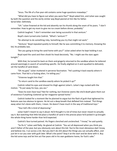"Jesus. The life of a five-year-old contains some huge questions nowadays."

"What did you have to figure out when you were five?" Boyd asked him, and Julian was caught by both the question and the eerily similar way Boyd peered at him like his father. Serial killer. Definitely.

"Uh." Julian frowned at the kid and absently ran his thumb along the seam of his jeans. "I don't remember. How to get my mom to give me ice cream before dinner, probably."

Cedrick laughed. "I don't remember ever being successful in that venture."

Boyd's stare turned onto Cedrick. "What's 'venture'?"

"An attempt to do something risky. Something you try that might not work."

"Venture," Boyd repeated quietly to himself, like he was committing it to memory. Knowing the kid, he probably was.

"Are you going to bring the sand home with you?" Julian asked when he kept holding it out.

Boyd eyed the sand and then shook his head decisively. "No. I might see the stars again tonight."

With that, he turned his back on them and gingerly returned to the sandbox where he tottered around seemingly in search of something specific. He finally alighted on it and squatted to delicately set the handful of sand down.

"Oh my god," Julian muttered in perverse fascination. "He's putting it back exactly where it came from. That kid is a fucking alien, I'm telling you."

"Vivienne taught him that."

"To return sand to the sandbox *exactly where he picked it up?"*

Cedrick rolled his eyes and shoved his thigh against Julian's. Julian's legs rocked with the motion. "To put away his toys, you ass."

"Does he even *have* toys? Not for nothing, but Vivienne seems like she'd death glare them out of existence if anything cluttered up her magazine-spread home."

Cedrick looked for a moment like he planned to argue but the flash of guilt that tightened his features was too obvious to ignore. He let out a deep breath that deflated him instead. "Put things away when he's done with them, I mean. He doesn't have much in the way of traditional toys."

"Your kid's life is kind of depressing."

Julian hadn't meant to say it aloud. He'd thought it a lot of times but never meant to actually say it. But watching that little kid place a handful of sand in the precise place he'd picked it up brought the whole thing home harder than he'd expected.

Cedrick's face turned pained. His fingers clenched and unclenched. "I know," he said quietly.

"So fix it," Julian said flatly. He glared at Cedrick. "You act all depressed when you think you aren't father of the year, but you obviously care about this kid. You're the most obnoxious dad I know, and believe me, I run across a lot. But you don't do shit about the things you can actually affect, and just let it run you over with guilt later. What's the point? Stop it at the start and be done with it. Buy the kid some toys and let him act five years old in his own goddamn home, for fuck's sake."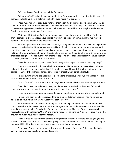"It's complicated," Cedrick said tightly. "Vivienne…"

"Vivienne *what?"* Julian demanded, but by then Boyd was suddenly standing right in front of them again. Little ninja serial killer. Julian hadn't even heard him approach.

Those huge honey-colored eyes watched them both. Julian scoffed and relented, unwilling to push the topic in front of the one five-year-old he knew who would probably actually understand the conversation. Aggravated, he shoved himself to his feet and crossed his arms. He glowered down at Cedrick, who was not quite meeting his eyes.

"Get your shit together, Cedrick, or stop whining to me about your failings. News flash: you aren't perfect. No one is. Choose your battles if you have to but don't come crying to me if you're going to lament the ending of the ones you avoided."

He didn't give Cedrick the chance to respond, although he did notice him wince. Julian grabbed the only thing he had on him that was anything like a gift, which turned out to be his notebook and pen. It was an old style; small, with a metal case that enclosed the small pad of paper entirely and was held together by interlocking holes on the side where the pen fit. It was dark brown with a simple blue checkered design. He ripped out the few sheets of paper he'd used for notes recently, shoved them in his pocket, then held out the note case to Boyd.

"Here, kid. It's not much, but… Have fun drawing with it in your room or something, okay?"

Boyd was wide-eyed, holding up his hands hesitantly like he was about to receive a dollop of holy water from Jesus or some shit. Julian felt equally disgusted toward Cedrick and Vivienne, and pained for Boyd. If the kid turned into a serial killer, it probably wouldn't be his fault.

Fingers curling around the note case like some kind of precious artifact, Boyd hugged it to his chest and craned his neck to stare up at Julian.

"This is for me?" The hushed voice and huge eyes made Boyd seem every bit his age. For once.

"Yeah, kid." Julian patted Boyd's head, and didn't even ruffle his hair this time. "It's small enough so you should be able to bring it around with you… if you want."

Jesus. Now he just sounded awkward. He had to leave before he turned into a complete idiot.

He took one giant step backward, and flicked a pointed stare at Cedrick. Then he turned his attention to Boyd with a lazy wave. "Catch you later, small fry."

He left before he had to see something else that would piss him off. At least Jennifer looked pretty miserable as he passed her. She had a phone against her ear and was eyeing the empty air like it held the answer to why life sucked so fucking much sometimes. The clip of the conversation he heard, starting with a pleading, "Chris," and ending with a less convincing, "I swear—" gave him all the answers he might have wanted for the reason.

Julian shoved his fists into the pockets of his jacket and wondered where he was going to find another of those note cases, and how he was going to look at it in the near future without thinking of that poor kid looking like Santa came to town over something so minuscule.

Fuck's sake. Some days he wondered why humanity was so fucked up. Other days, he had a sinking feeling he had a pretty damn good idea why.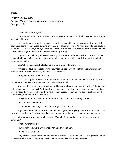### **Two**

*Friday May 13, 2005 Carlisle Windsor School, All Saints neighborhood Lexington, PA*

"That child is there again."

The man said it flatly, and Boyd got nervous. He ducked back into the hallway, wondering if he was in trouble now.

He hadn't meant to see the man again, but the man and his friend always went to one of the back classrooms in the unused building on the corner of campus. Since Austin put Boyd's backpacks in weird places like that, Boyd always had to go there before he left. He'd done his best to stay quiet and unseen like always but he must have done something wrong.

Boyd was just debating if it was worse to go home without his backpack and have his mother angry with him or to interrupt the man and his friend, when he realized a third, very tall man had come up behind him.

Boyd's heart clenched. He looked up and up and up, into angry eyes.

"I'm sorry," Boyd said, not knowing yet what he'd done wrong but thinking it was probably good to let them know right away he knew it was his fault.

"Bring her in," said the man inside.

The tall man grabbed Boyd's shoulder—it hurt—and pushed him ahead of him into the room. Once inside, Boyd saw the man's friend was looking surprised.

And now that he was closer, Boyd realized he knew who the man was. It was Mr. Cole, Austin's father. Boyd had seen him pick Austin up from school sometimes but it was always far away. Mr. Cole wore a hat and different kind of clothing here in the back room than he ever did in public, so Boyd hadn't recognized him until he was close.

"Are you sure about this?" asked the friend, but Mr. Cole was peering at Boyd.

"Who is she?" he demanded.

"I don't know." The very tall man shook Boyd. "Who are you?"

Boyd twisted the hem of his shirt between his fingers, and shyly, guiltily, looked up at Mr. Cole through his eyebrows. "I'm Boyd Beaulieu, sir. I'm sorry to bother you. It's a pleasure to meet you."

Mr. Cole's eyebrows shot up in surprise. "Beaulieu? I know that name. As in that woman Vivienne?"

"That's my mother, sir."

Mr. Cole's friend swore, which made Mr. Cole frown at him.

"It's fine," Mr. Cole said.

"No, it isn't!" hissed the friend, and moved closer to Mr. Cole. He and Mr. Cole got into a quiet conversation but even though they may have thought Boyd couldn't hear, he could.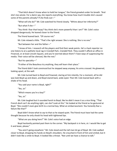"That bitch doesn't know when to hold her tongue," the friend growled under his breath. "And she's too astute. For a damn spy, she reports everything. You know how much trouble she's caused some of the parents already? If she finds out—"

"What will she do?" Mr. Cole watched his friend closely. "Whine about her inferiority?"

"But what if she—"

"You think I fear that harpy? You think she's more powerful than I am?" Mr. Cole's voice dropped dangerously. He leaned closer to the friend.

The friend leaned back. "Of course not."

Mr. Cole relaxed a little. "That's the right answer. She is nothing. She is no one."

"But between her and the father—"

"I know of him. I research all the players and find their weak points. He's a hack reporter no one listens to at a pathetic local rag in Crandall Park. *Crandall Park.* They couldn't afford an office in Financial, or at least Lincoln Square, and you're worried about them? I have ways of suppressing the media. Their voice will be silenced, like the rest."

"But his specialty—"

"If either of the Beaulieus try anything, they will learn their place."

The friend didn't look convinced but he stepped away anyway, his arms crossed. He glowered, looking upset, at the wall.

Mr. Cole turned back to Boyd and frowned, staring at him intently. For a moment, all he did was look Boyd up and down, and Boyd stared back, wide-eyed. Then Mr. Cole leaned back with a shake of his head.

```
"You said your name is Boyd, right?"
```
"Yes, sir."

"Which means you're a boy?"

"Yes, sir."

Mr. Cole laughed but it sounded harsh to Boyd, like he didn't mean it as a nice thing. "That French devil can't do anything right, can she? Look at this." He looked at the friend as he gestured at Boyd. "She couldn't even give birth to a normal boy. What an embarrassment. You honestly fear a failure like that?"

Boyd didn't know what to say to that so he stayed quiet. The friend must have had the same thought because he only shook his head with tightened lips.

"What are you doing here?" Mr. Cole's voice had an edge.

Boyd hesitantly pointed past them to the corner. "My backpack is in here, sir. I would like to get it and leave, please."

"You aren't going anywhere." Mr. Cole stood and the tall man let go of Boyd. Mr. Cole walked closer to Boyd, dropping his hands on Boyd's shoulders. He crouched in front of him and smiled, but it didn't look like a smile to Boyd. It looked like a threat. "Not until we have a chance to talk."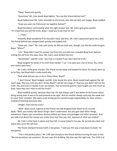"Okay," Boyd said quietly.

"Good boy." Mr. Cole shook Boyd lightly. "You see this friend behind me?"

Boyd looked over Mr. Cole's shoulder to the friend, who did not look very happy. Boyd nodded.

"Have you seen my friend and me together before?"

Boyd hesitated, not knowing what the right answer was. Mr. Cole's grip grew painful. "It's important you tell the truth, Boyd. I need you to do that for me."

"…I have."

Instantly, Boyd wondered if he shouldn't have said that. Mr. Cole's expression grew very dark. The friend behind him stepped back quickly and looked sick.

"Have you, now?" Mr. Cole said nicely. He did not look nice, though, nor did the smile he gave Boyd. "When?"

"Um." Boyd didn't want to answer, but then the very tall man crowded Boyd from behind, cutting him off from the open door. Mr. Cole's stare drilled into him.

"Remember," said Mr. Cole, "you'll be in trouble if you don't tell the truth."

Boyd tangled his hands in his shirt even harder. "I se—I've seen you a lot of times. You come into rooms back here."

Mr. Cole's smile grew sharper. The friend turned away and bowed his head. His hands went up to his face, but Boyd didn't understand why.

"And what did you see us do in those times, Boyd?"

"I don't know," Boyd hedged, and Mr. Cole shook him once. Boyd rocked back against the tall man's legs. "Are you sure you don't know, Boyd? I will be very angry if I find out you didn't tell me the truth. You won't be in trouble if you are honest. Your provincial parents have taught you that much at least, have they not? How to tell the truth?"

Boyd nodded quickly, because they had. His dad always said it was better to be honest about being wrong than it was to lie and pretend to be right. And his mother always said only the weak lied to cover their mistakes. She said a truly strong person would accept responsibility for their actions instead of blaming everyone else.

"Alright. Then tell the truth."

"Well." Boyd snuck a glance at the friend. He had dropped back down to sit, turned away. "Well, you mostly talk about things I don't understand. But you give each other things, sometimes. Papers you sometimes destroy before you leave and packages and other presents. And you talk a lot about the money you made since last time you met, because of what you traded."

Mr. Cole's smile froze in place and then fell. A nerve ticked in his jaw. He turned very dark and sharp eyes up to the tall man.

The friend slumped forward with a low groan. "I told you this was a bad place to meet," he whispered.

"This is the perfect place," Mr. Cole said sharply to the friend without turning his eyes to him. "No one questions our presence. No one uses this building. My plan was the right one. The child is at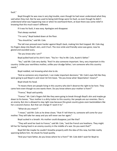fault."

Boyd thought he was now in very big trouble, even though he had never understood what they said when they met. But he was used to being told things were his fault, so even though he didn't understand what was happening now or when he overheard them, at least there was some relief in knowing that this much wasn't different.

If it was his fault, it was easy. Apologize and disappear.

That always worked.

"I'm sorry." Boyd looked down at the floor.

"You should be," said Mr. Cole.

The tall man pressed even harder against Boyd's back, making him feel trapped. Mr. Cole dug his fingers deep into Boyd's skin, and it hurt. The nice smile and friendly voice was gone; now he glared and sounded scary.

"Do you know who I am?"

Boyd pulled hard at his shirt's hem. "You're—You're Mr. Cole, Austin's father."

"Yes," said Mr. Cole very darkly. "And I'm also someone important. Very, very important in this country. Unlike your worthless mother, unlike your drudge father, I am someone who this country needs."

Boyd nodded, not knowing what else to do.

"And as someone very important, I can make important decisions." Mr. Cole's eyes felt like they were going to pull Boyd in and never let him leave. "Do you know what 'deportation' means?"

Boyd shook his head.

"It means there are people living in this country who don't deserve the right to be here. They came here even though no one wants them. Do you know where your mother is from?"

"France," Boyd said quietly.

"France." Mr. Cole's fingers felt like they were going to break through Boyd's skin and maybe go down to his bones. "Your mother is a dirty traitor to this country. Her people are our enemies. She is an enemy. But she is allowed to stay right now because this great country gives even backstabbers like her a second chance. But that can change if I want it to."

"What do you mean?"

"I mean," said Mr. Cole as he drew closer, "that if I tell them to, someone will come for your mother. They will take her away and you will never see her again."

Boyd sucked in a breath. His mother could disappear, just like that?

"They will send her back to France," said Mr. Cole, "and the French are heathens. They might kill her for having lived in an enemy country in the middle of a war. Do you want that?"

Boyd felt like maybe he couldn't breathe properly with the idea of this new, horrible reality spanning before him. He shook his head quickly.

"And your hack father, do you know where he is from?" Mr. Cole didn't wait for Boyd to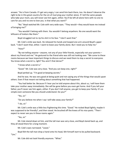answer. "He is from Canada. If I get very angry, I can send him back there, too. He doesn't deserve the right to be in this great country for the sin of marrying your mother alone. If I tell the same people who take your mom, you will never see him again, either. You'll be left all alone here with no one to care for you and no one to love you. Is that what you want?"

"No." Boyd watched Mr. Cole with very wide eyes. "They would—they would leave me instead of bringing me?"

"You wouldn't belong with them. You wouldn't belong anywhere. No one would want the leftovers of traitors like them."

Boyd struggled not to rip his shirt in his fear. "I don't want that."

Mr. Cole's smile was back. He released his hands and looped one arm around Boyd's upper back. "I don't want that, either. I want to leave your family alone. But I need you to help me."

"How?"

"By not telling anyone—*anyone*, not any of your little friends, especially not your parents about my friend and me." He gestured to the friend who was still not looking over. "We come to these rooms because we have important things to discuss and we need them to stay a secret to everyone. You know what a secret is, right? You aren't that dense?"

"I know what a secret is."

"Good." Mr. Cole was very close. "And you can keep one, right?"

Boyd perked up. "I'm good at keeping secrets."

And he was. He was very good at being quiet and not saying any of the things that would upset others. Even if that meant not telling about something that had happened.

"You had better be. Because if I hear you've told anyone about this, about us, I will have them take your mother away immediately. She will be gone before you even get home. And if you tell your father, you'll never see him again, either. If you don't tell anyone, you get to keep your family. It's so simple even someone like you should understand. Do you?"

"Yes, sir."

"Do you believe me when I say I will take away your family?"

"I do, sir."

Mr. Cole's smile was a little less frightening this time. "Good." He rocked Boyd lightly, maybe it was supposed to be friendly?, and then stood. He brushed off the knees of his nice pants. "Then I expect to never see you in these rooms again."

"Yes, sir."

Mr. Cole stared down at him, and the tall man was very close, and Boyd stared back up, and they all stood there for a long moment.

Mr. Cole's eyes narrowed. "Leave."

Boyd felt the tall man drop a hand onto his head, felt himself start to be pulled backward.  $"$ Um."

Mr. Cole did not look friendly anymore. "What."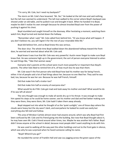"I'm sorry, Mr. Cole, but I need my backpack?"

The storm on Mr. Cole's face lessened. "Ah. Yes." He looked at the tall man and said nothing, but the tall man seemed to understand. The tall man walked to the corner where Boyd's backpack was shoved under an old table, and he pulled it out and brought it back. When he handed it to Boyd, maybe he didn't realize his own strength because he almost knocked Boyd over from the power of pushing it against his chest.

Boyd stumbled and caught himself on the doorway. After hesitating a moment, watching them watch him, Boyd turned and started down the hallway.

"Remember what I said," Mr. Cole called from behind him. "Or you know what will happen. If you don't believe me, you will regret it for the rest of your miserable little life."

Boyd did believe him, and so Boyd knew this was serious.

The door shut. The whole time Boyd walked down the abandoned hallway toward the front door, he worried and worried about what Mr. Cole said.

Boyd knew it was true that Mr. Cole was very powerful. Austin never forgot to make sure Boyd knew that. He was someone high up in the government; the sort of person everyone listened to when he said things like, "Take that woman away."

Everyone else's parents at this school were much more powerful or important than Boyd's parents. The other kids liked to remind him of it, of how much less he was than them.

Mr. Cole wasn't the first person who told Boyd how bad his mother was for being French, either. A lot of people said a lot of bad things about her, because no one liked her. They said he was bad, too, because he was her son. Because he was half French, himself.

Did that make him half a traitor too?

Did that make him half an enemy of everyone else?

What would he do if Mr. Cole got mad and took away his mother and dad? What would he do if he was left all alone?

The very thought was enough to make all words dry up in his throat. It was enough to make him speed his steps so he could be home sooner; see his mother and dad and feel better making sure they were there, they were *there*, Mr. Cole hadn't taken them away already.

Boyd stepped out into what he thought of as the 'quiet sunlight;' one of those days where the clouds were heavy but the sky wasn't dark, and everywhere he looked he could see easily but everything also felt dull and hollow.

This area of Windsor Carlisle almost never had anyone around, which was why Boyd had first been confused by Mr. Cole and his friend going into the building. But now that Boyd thought about it, he may have seen Mr. Cole's friend around other times, too. Maybe he was another kid's father. Boyd didn't know anyone at the school in detail, because most people didn't want anything to do with him.

He was used to walking all the way past the other buildings and out to the front gate in silence, which was why he was surprised when he heard someone calling his name.

"Boyd! Where'd you go?"

He rounded the corner of Franklin Hall and saw Lou jogging across the green space of the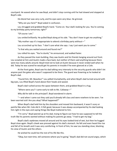courtyard. He waved when he saw Boyd, and didn't stop running until he had slowed and stopped at Boyd's side.

His blond hair was very curly, and his eyes were very blue. He grinned.

"Why are you here?" Boyd asked in confusion.

Lou shrugged and grabbed Boyd's hand. "Come on. Your dad's looking for you. You're coming to my birthday party tomorrow, right?"

"Of course I am."

Lou smiled brilliantly. He pulled Boyd along at his side. "You don't have to get me anything."

"My mother says it's inappropriate to attend a birthday party without— $"$ 

Lou scrunched up his face. "I don't care what she says. *I* say I just want you to come."

"Is that why you waited around and found me?"

Lou rolled his eyes. "You're dumb," he announced, and walked faster.

As they passed the main building, they saw Austin and his friends hanging around out front. Lou scowled at him and Austin made a face back, but neither of them said anything because there were too many adults around. Boyd tried not to look at Austin because it never ended well when he did. Today he was scared he would get his parents in trouble if he even glanced at a Cole.

At the front gates, Boyd saw his dad talking very intensely to the security guards who didn't let anyone past the gates who wasn't supposed to be there. The guard was frowning as he looked at Boyd's dad.

"Found him, Mr. Beaulieu!" Lou yelled triumphantly, and when Boyd's dad turned around with big eyes, Lou lifted Boyd's hand above their heads and waved.

Boyd's dad rushed across the space between them, and grabbed Boyd in a hug.

"Where were you? I came early to talk to Ms. Callaway—"

*Why did he talk to the principal?*, Boyd wondered in alarm.

"—and when I came out they said you'd already left class and were nowhere to be seen. I've been worried sick! Are you okay? What happened?"

When Boyd's dad held him by the shoulders and moved him backward, it wasn't scary or painful like when Mr. Cole did it. It felt good, because it was always accompanied by his dad looking him right in the eyes and saying things like Boyd mattered to him.

"I'm sorry." Boyd peered up at his dad, trying to figure out how he was supposed to tell the truth like his parents wanted without making his parents go away. "I had to get my bag."

Boyd's dad's eyebrows moved all around and his eyes looked kind of wet, but then he hugged Boyd close again. Boyd's cheek was pressed against his dad's stomach. He felt and even heard the rise and fall of his breath and it was very comforting. In front of him, he saw Lou standing close, blocking his view of Austin and the others.

He wished he could live the rest of his life like this.

"Okay, but next time, tell someone where you're going." Boyd's dad did not sound angry, which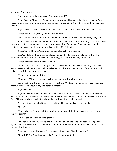was good. "I was scared."

Boyd looked up as best he could. "You were scared?"

"Yes, of course." Boyd's dad's eyes were very warm and brown as they looked down at Boyd. His arms were also warm around Boyd, and gentle. "I'm scared any time I think something happened to you."

Boyd considered that as he stretched his hands as much as he could around his dad's back.

"Are you scared I'll go away and never come back?"

"Yes. I don't want to think about it. I would be devastated, Boyd. I would be very, very sad."

So that meant his dad also would be scared and sad if he was taken from Boyd, and Boyd knew they would both be scared and sad if his mother was taken. That meant Boyd had made the right choice by not saying anything about Mr. Cole, just like Mr. Cole said.

It wasn't a lie if he didn't say anything, then. It was being a good son.

Boyd's dad shifted his arms so one looped behind Boyd's head and held him by his other shoulder, and he started to lead Boyd out the front gates. Lou trotted along at his side.

"Are you coming over?" Boyd asked him.

Lou flashed a grin. "Yeah! I brought a toy I think you'll like." He waited until Boyd's dad was looking away to talk to the guard before he leaned in with a mischievous smirk. "It makes a really loud noise. I think it'll make your mom mad."

"Then shouldn't we not bring it?"

"Bring what?" Boyd's dad asked as they walked away from the guard.

Lou looked up with wide, innocent eyes. "Nothing, Mr. Beaulieu. Just some candy I have from home. Boyd's weird about candy and doesn't want it."

Boyd made a face.

Boyd's dad lit up. He beamed at Lou as he leaned over Boyd's head. "Lou, my child, my long lost son, that candy will be lost on my son and his horrible taste buds, but I am definitely interested. In fact! I'll buy us a whole bunch of candy on the way home if you help me eat it!"

This time it was Lou who lit up. He straightened his back and got a jump in his step.

"Really?"

"Yes, really. I can't have anything sweet at home most of the time because the rest of my family is boring."

"I'm not boring," Boyd said indignantly.

"You don't like sweets." Boyd's dad looked down at him and shook his head, rocking Boyd against him as they walked. "It's a very sad state of affairs. I never thought my child would betray me this way, but it's true."

"Yeah, who doesn't like sweets?" Lou asked with a laugh. "Boyd's so weird!"

"So weird," Boyd's dad agreed sadly. "I don't know what to do."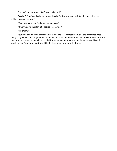"I know," Lou enthused. "Let's get a cake too!"

"A cake!" Boyd's dad grinned. "A whole cake for just you and me? Should I make it an early birthday present for you?"

"Yeah and a pie too! And also some donuts!"

"If we're going that far, let's get ice cream, too!"

"Ice cream!"

Boyd's dad and Boyd's only friend continued to talk excitedly about all the different sweet things they would eat. Caught between the two of them and their enthusiasm, Boyd tried to focus on their grins and laughter, but all he could think about was Mr. Cole with his dark eyes and his dark words, telling Boyd how easy it would be for him to lose everyone he loved.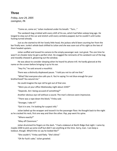## **Three**

*Friday, June 24, 2005 Lexington, PA*

"Come on, come on," Julian muttered under his breath. "*Turn…"*

The sandwich bag crinkled with every shift of his ass, which had fallen asleep long ago. He longed to step out of the car and stretch until every vertebra popped, but he couldn't until Junko fucking turned already.

Just as she started to tilt her lovely little head, the jackass who'd been courting her from the bar finally won. Junko's whole back shifted to Julian and she was soon out of his sight as the two of them headed upstairs.

Julian scoffed and tossed his camera to the empty passenger seat. Just great. The *one* time he wasn't on cheater duty he got a perfect shot. He snagged the remnants of his sandwich out of the bag and moodily chewed it, glowering out the window.

He was about to consider sleeping when he heard his phone trill. He hardly glanced at the name on the screen before bringing it up to his ear.

"Hey Fin," he said around a mouthful.

There was a distinctly displeased pause. "I told you not to call me that."

"What? But everyone else calls you it. You're saying I'm not blue enough for your brotherhood? You wound me."

He could imagine the eye roll he got out of that one.

"Were you at your office Wednesday night about 2230?"

"Depends. Am I being accused of something?"

Another obvious eye roll without a sound. The man's silences were impressive.

"There was a rape down the block," Finley said.

"Stranger, I take it?"

"Got it in one. I'm looking for suspect info."

Julian balled up the wrapper and tossed it to the passenger floor. He thought back to the night as he cracked his neck, first one way and then the other. *Pop, pop* went his spine.

"Where exactly?"

"Alley off Claremore."

Julian drummed his fingers on the dash. "I had a stakeout at North Ridge that night. I came by maybe 2200 to pick up some stuff but didn't see anything at the time. Sorry, man. I can keep a lookout, though. What'd the vic say he looked like?"

"She couldn't," Finley said flatly. "She's blind."

"Oh for fuck's sake," Julian growled.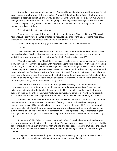Any kind of rapist was on Julian's shit list of despicable people who he would love to see fucked over in court, or on the street if that was better. *Any* kind. It didn't matter to Julian who the vic was; that asshole deserved castrating. The way Julian saw it, and the way he knew Finley saw it, it was bad enough hurting someone who at least had a fighting chance of getting you caught. It was especially chickenshit to prey on anyone who came into the situation with circumstances they couldn't control that were used against them.

This definitely fell into that category.

"I want to get this asshole but I've got shit to go on right now," Finley said tightly. "The way it happened, she didn't have a chance of getting details. No way of knowing height, weight, race, age… Smoker's voice and fast on his feet. Smelled like sweat. Strong. That's it."

"There's probably a hundred guys in a five block radius that fit that description."

"I know."

Julian scrubbed a hand over his face and let out a harsh breath. His knees knocked up against the steering wheel. "Well, I'll keep an eye out for general rapist assholes, then. Get you some good shots if I see anyone even remotely suspicious. You think it's going to be a trend?"

"Yeah. I've been checking MOs. I think this guy's hit before, some vulnerable adults. The others in my unit said—" Finley's voice quaked with withheld anger before subsiding. "With the new standing orders, they don't want to do jack all for investigations lately. Everything's case closed exceptional first chance they get so they don't get their asses thrown out the door or, for others, so they can sit around taking bribes all day. You know how these fuckers are—the world's gone to shit so who cares about an extra rape or two? And the others who aren't like that, they say to pick your battles. Tell me to let it go when I'm told to let it go, so I can stick around and solve other crimes. You know the shit they say. But fuck them, I'm finding this asshole and I'm taking him in."

Julian did know. There was a lot of political upheaval in Lexington PD when the brass disappeared in the bombs. Bureaucracy took over and fucked up everyone's lives. Finley had told Julian how, suddenly after the bombs, the cops were told left and right how they had to drop cases even with good leads, or how they weren't allowed to investigate some at all. Any time he asked, he was told the order came from "higher up" but no one seemed to know who, or *what*, that meant.

Added to that, after the bombs hit there was more crime and fewer communities that wanted to work with the cops, which meant some areas of Lexington went to shit real fast. People got paranoid from outside LPD, thought all the cops were corrupt, all the cops didn't care, but internally there were a hell of a lot of them who weren't corrupt, who did care. But they were silenced by their own superiors, and all the cops who were assholes who let the injustices slide got promoted higher and higher, while all the good cops who tried to fight the system were iced out no matter what they did.

Some units of LPD, Finley said, were like the Wild West. Others had well-intentioned people getting worn down by orders they didn't understand. The bad cops were having a hell of a party in this atmosphere. Fucking up everyone's lives right and left. The good cops learned to shut up so they could keep their jobs, still do what they could. Still try to help the people right in front of them as long as possible.

Thing was, if there was one thing Patrick Finley was, it was a good cop who refused to back down from what he thought was right, whether or not it was the popular choice.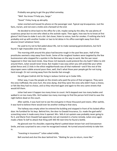Probably was going to get the guy killed someday.

"Well. You know I'll help you, Sarge."

"Good." Finley hung up abruptly.

Julian snorted and tossed his phone on the passenger seat. Typical cop brusqueness. Just the facts, ma'am, and not even a tickle and a farewell at the end.

He decided to drive back to the office for a bit, maybe swing by the alley. He saw plenty of suspicious perps but no one who vibed as the asshole rapist. Then again, how was he to know at first glance? He'd have to stake it out a bit. Get closer, listen to voices, look for smokes. If nothing else he'd probably end up with another hooker or two to let detox in his office overnight away from their abusive (insert whatever here).

He used to try not to feel jaded about life, not to make sweeping generalizations, but he'd found it nigh impossible since the war.

The morning shift around this place had become rough in the past few years. Half of the prostitutes seemed a step away from Ferals. Some of the roughest hookers were targeted by the few businessmen who stopped for a quickie in the Barrows on the way to work, like the war never happened in their lala-land minds. How those rich bastards could pretend the city hadn't fallen to shit around them, Julian would never know. But maybe it was easy when you still acted like your white picket fence and 2.5 kids in the elitist neighborhoods was all that mattered—and if the rest of the skyscrapers were rubble around yours then, well, that's what those poor people got for not trying hard enough. Or not running away from the bombs fast enough.

He still gave Cedrick shit for living in Jackass Central up in Cedar Hills.

Either way, it was the people on the streets who paid the price of that arrogance. They were the ones trafficked, the ones hurt, the ones dying. And they were the ones who didn't have a choice, or felt like they had no choice, and so they returned again and again to the very same streets that would kill them.

Julian had seen it happen too many times to count. He'd stepped over too many bodies and walked in on too many ODs. He'd woken too many mornings to find the person he'd tried to save the night before dead on the couch.

After awhile, it was hard not to see the end game in those thousand yard stares. After awhile, it was hard to believe there would ever be another ending to that story.

The hallway was empty when he entered the building and stopped in front of his locked office door. He fumbled for his keys. Behind him, the door to Oswald Insurance, Co. made the god-awful screeching noise it made every time it opened. Mrs. Yells A Lot upstairs was probably never going to fix it, and Marie from Oswald had apparently not yet invested in a home remedy. Julian once again made a Note To Self to attack that thing with WD-40 next time he found a bottle.

He glanced over his shoulder, expecting Marie's patted-down brown hair and Everywoman Smile, and was surprised to see a man he recognized instead. He turned around entirely to take him in.

"Investing in insurance?" Julian asked mildly.

Bell snorted and shut the door behind him. "Waiting for you to return, more like."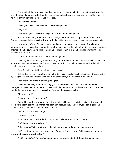The man had the best voice. Like deep velvet with just enough of a rumble for quirk. Coupled with the clear, dark eyes, wide shoulders and strong build… It could make a guy weak in the knees, if he were of that persuasion. And if Bell were too.

Pity the man wasn't.

Julian glanced over Bell's shoulder. "Marie let you in?"

"No, Linda."

"Good God, your voice is the magic touch if that woman let you in."

Bell chuckled, and goddamn that was a nice, low rumble too. The grin that flashed across his features was even brighter against his smooth, dark skin. "You just need to learn some finesse, Julian."

*I'll show you 'finesse,'* Julian thought, but knew enough not to say it aloud. For all that he sometimes (okay; *really* often) wanted to grab the man and kiss the hell out of him, he knew a straight shooter when he saw one. And his damn obnoxious schoolgirl crush on Bell was never going to go away or find fruition.

Them's the breaks when you're too open to gender.

Julian sighed more heavily than necessary, and turned back to his door. It was five seconds and a lot of awkward awareness of Bell's warm presence behind him before he could get inside and acquire some space between them.

Fuck Cedrick and his literal hot ass friends, anyway.

Bell settled gracefully into the chair in front of Julian's desk. The chair had been dragged out of a garbage years earlier and looked like shit most of the time, but Bell made it look good.

Then again, Bell made everything look good.

Julian, meanwhile, dropped his gangly ass into his rolling piece of shit chair and barely managed not to fall backward in the process. He folded his hands across his stomach and pretended that hadn't almost happened. He was about 90% sure he was convincing.

"So, what's up?"

"Have you seen Cedrick lately?"

Figured tall, dark and sexy was here for his friend. No one ever visited Julian just to say hi. It was always about getting this or that info from him because they knew if anyone could get it, he could. Woe was him and the life of an awesome PI.

"Not for several weeks. Why?"

A rumble of a 'hmm.'

Fuck's sake, man. Just bottle that shit up and sell it as pheromones, already.

"He's been… interesting lately."

"Like, wearing Vivienne's finest to the ball interesting, or flipped his shit interesting?"

Bell's lips lifted on the side; a slow burn of a smile. "I was thinking 'a bit secretive,' but your interpretations are interesting too."

*That's not all that's interesting about me.* Julian wondered if that thought could be read in his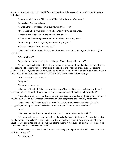smirk. He hoped it did and he hoped it flustered that fucker the way every shift of the man's mouth did Julian.

"Have you called the guy? He's your BFF lately. Pretty sure he'd answer."

"Ahh, Julian. Are you jealous?"

"Maybe a little. A PI needs some love now and then, too."

"If you need a hug, I'm right here." Bell opened his arms and grinned.

"I'll take a rain check and double down on the offer."

Bell chuckled. "Increasing my offer without asking. Interesting plan."

"Important question: is anything *not* interesting to you?"

Bell's teeth flashed. "Certainly not you."

Julian stared at him. *Damn*. He dropped his crossed arms onto the edge of the desk. "I give. You win."

"What do I win?"

"My devotion and an answer, free of charge. What's the question again?"

Bell had that small smile at first, his gaze heavy on Julian, but it faded and all the weight of his worries settled back onto him. His shoulders drooped and the lines on his face suddenly became evident. With a sigh, he leaned forward, elbows on his knees and hands folded in front of him. It was a testament to how serious Bell seemed that Julian didn't even check out his package.

"Will you check in on Cedrick?"

"Why me?"

"Because he trusts you."

Julian almost laughed. "Like he doesn't trust you? Dude built a secret society of truth nerds with *you*, not me. If you think something strange is happening, I'd think he'd talk to you first."

"I don't know." Bell's gaze drifted, caught, drifted again, and landed on the grimy glass window to Julian's office. The black pressed letters reading 'JJ Investigations' shone faintly, backwards.

Julian sighed. Let it never be said he wasn't a sucker for a damsel or dude in distress. He dragged a pad of paper over and flicked on his favorite pen. "Fine. Give me the deets."

"What?"

Julian watched him from beneath his eyebrows. "What's giving you the chills?"

Bell stared at him a moment, but before Julian clarified again, Bell spoke. "I noticed at the last Guild meeting. He was late." He saw Julian's eyebrows quirk and nodded. "You know him. That isn't usual. He was distracted the whole time and left the second it was over. I called him later to see if he had a new lead. He said he couldn't talk."

"Well," Julian said mildly. "That's the most alarming part right there. I usually have a hard time shutting the guy up."

"You joke, but…"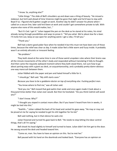"I know. So, anything else?"

"Little things." The slide of Bell's shoulders up and down was a thing of beauty. "He missed a stakeout, but he'd said ahead of time Vivienne might be gone that night and he'd have to stay with Boyd if so. I figured she'd gotten caught at work. Another day he didn't answer his phone when I called on a secure line; later said he'd been at work and couldn't get somewhere private to talk. With anyone else none of this would matter, but…"

"But it's Ced. I get it." Julian tapped the pen on the desk as he stared at his notes, his mind already racing through possibilities and ways to prove it. "Tell you what. We're about due for a beer. I'll invite him out, keep an eye open for anything weird. I get a vibe, I'll tell you."

#### "Thank you."

Bell had a damn good poker face when he needed it but this must not have been one of those times, because the relief was clear as day. It made Julian feel a little warm and fuzzy inside. It probably wasn't an entirely altruistic or innocent feeling.

"No problem."

They both stood at the same time in one of those weird unspoken rules where their brains saw all the minute movements of the other's body and responded without translating it fully to thought. And then came the requisite awkward moment where they both stood there, not sure how to go about parting ways with a giant ass desk, an acquaintanceship, and a probably pretty-damn-obvious one-way mancrush between them.

Julian fiddled with the paper and pen and hated himself a little for it.

"I should go," Bell said. "My shift starts soon."

*Because you have to be a goddamn doctor on top of everything else. Fucking perfect men.*

"You know where to find me," was all Julian said.

"And you me." Bell moved that god-awful chair aside and once again made it look about a thousand times better than Julian ever would. But then he hesitated. "Do you think Cedrick will avoid you?"

#### "I don't know. Why?"

"I thought you stayed in contact more often. But if you haven't heard from him in weeks, it might be tied into this."

"Yeahhh…" Julian rubbed the back of his head and canted his gaze away. "He may or may not be pissed at me for saying he needed to get his shit together for his kid."

Bell said nothing, but in that silence he said a lot.

Julian frowned and turned his gaze back to Bell. "He needs to stop letting Vivi-dear control things, that's all I'm saying."

Bell shook his head slightly to himself and turned to leave. Julian didn't let him get to the door. He swung around the desk and headed toward him.

"Come on, man. You have to have an opinion on this. You've met her."

Bell paused with his hand on the doorknob and looked back. "Everyone has an opinion on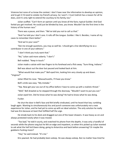Vivienne but none of us know the context. I don't have near the information to develop an opinion, and to get it I'd need to violate my friend's privacy. So I won't. I trust Cedrick has a reason for all he does, and it's only right to extend the courtesy to his family, too."

Julian scoffed. "Can't form an opinion until you know all the facts; typical Guilder. And God forbid you get involved. He could just be blinded by love, you know. Wouldn't be the first time in the history of the human race."

There was a pause, and then: "We've told you not to call us that."

"And I've told you I don't care. It rolls off the tongue. Guilder. I like it. Besides, I name all my cases to remember them better."

"And we're your case?"

"Ask me enough questions, you may as well be. I should get a line identifying me as a contributor in one of your editions."

"I don't think you truly want that."

"No," Julian said more soberly. "I don't."

Bell nodded. "Keep in touch."

Julian made a salute with two fingers to his forehead and a flick away. "Sure thing, Indiana."

Bell was about out the door but paused and looked back at him.

"What would that make you?" Bell eyed him, looking him very closely up and down. "Virginia?"

Julian lifted his nose. "Massachusetts, I'll have you know."

Bell's smile was easy. "My mistake."

"Yep. Now get your ass out of my office before I have to come up with a realistic threat."

"Well," Bell drawled as he stepped through the doorway. "Wouldn't want to put you out."

Julian eyed him. Did he know what he was doing? He had to know what he was doing.

Fucker.

He shut the door in Bell's face and felt briefly vindicated, until he heard that low, rumbling laugh again. Wanting to simultaneously kiss and punch someone was unfortunately not a new experience for Julian, and he had yet to come up with an ideal solution. The only solution he really had was Kris because at least that fulfilled half the urge.

He strode back to his desk and dragged out one of the lower drawers. It was heavy as sin and always protested noisily when it was moved.

"Too bad," he told it sourly, and snatched his phone from the depths. It was only a handful of seconds while the phone rang but he felt on edge and impatient, so when Kris picked up Julian wanted to ask what the hell he'd been doing, going to Antarctica and back before answering? Or maybe the goddamn fucking moon?

"Hey," he said instead. "It's me."

Kris yawned. He had probably been asleep. He was always asleep. But no matter how tired he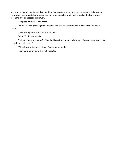was and no matter the time of day, the thing that was easy about Kris was he never asked questions, he always knew what Julian wanted, and he never expected anything from Julian that Julian wasn't willing to give or expecting in return.

"My place or yours?" Kris asked.

"Yours." Julian's gaze lingered annoyingly on the ugly chair before jerking away. "I need a break."

There was a pause, and then Kris laughed.

"What?" Julian demanded.

"Bell was there, wasn't he?" Kris asked knowingly. Annoyingly smug. "You only ever sound that cockblocked when he–"

"I'll be there in twenty, asshole. You better be ready."

Julian hung up on him. That felt good, too.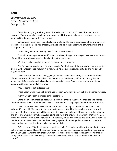### **Four**

*Saturday June 25, 2005 Icebox, Industrial District Lexington, PA*

"Why the hell you gotta bring me to these shit-ass places, Ced?" Julian dropped onto a barstool. "You're gonna be that cheap, you may as well bring me to a liquor store where I can get some fucking Kamchatka for the same price."

Icebox was as seedy as ever, and Julian swore to God he saw a good dozen of his former cases walking across the room. He was probably going to end up in the background of twenty more of his colleagues' shots. Christ.

Cedrick laughed, as amused by Julian's pain as ever. Bastard.

"I should remove you as a friend," Julian grumbled, dragging the mug of beer over that Cedrick offered him. He studiously ignored the glare from the bartender.

Whatever. Julian couldn't be bothered to care at the moment.

"You're in an unusually cheerful mood tonight." Cedrick sipped the god-awful beer he'd gotten on tap. With Innocent Face Beaulieu™ in full swing, he looked expectantly at Julian and his equally disgusting beer.

Julian snorted. Like he was really going to imbibe such a monstrosity as the drink he'd been offered. He looked down at the amber liquid with a scowl, and drank half of it in great gulps. He scrunched his face up dramatically and earned an outright scowl from the bartender now. He was going to get himself banned at this rate.

"You're going to get us kicked out."

There Ceddy went, reading his mind again. Julian huffed out a great sigh and slouched forward.

"Sorry, Crane," Julian muttered to the bartender.

Crane didn't seem mollified at all; with a scoff, he threw a rag over his shoulder and stalked to the other end of the bar where one of Julian's past cases was trying to get the bartender's attention.

Julian ran his eye over the customer, automatically pulling up the details in his mind. Ted Wilkins, 45 years old. Married with kids, until wife Janice noticed his "late nights at work" started getting a little too common and a little too long. She asked Julian to see if there was another woman, and after two weeks of surveillance Julian came back with the answer: there wasn't another woman. There was another man. Surprisingly (to Julian, at least), Janice was relieved and paid Julian a bonus as thanks. A month later, Julian saw the three having a grand old time together at Jake and Janet's. A happy ending, for once; insofar as Julian ever got in his job.

"What's wrong?" Cedrick's low voice pulled at Julian's thoughts, and he returned his attention to his friend's concerned face. The sad thing was, he was the one supposed to be asking the question of Ced. But Cedrick was the sort that always got to it first. Never stopped looking out for his friends, caring about them, their well-being… but didn't always seem to turn that same observant eye on himself.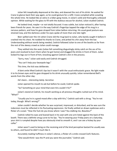Julian felt inexplicably depressed at the idea, and downed the rest of his drink. He waited for Crane to glance back their way again, so he could gesture for a refill. Crane complied while scowling the whole time. He looked like an extra in a biker gang movie, in Julian's solid and thoroughly unbiased opinion. While waiting for the glass to fill with the dubious excuse for alcohol, Julian studied Cedrick.

He looked tired, maybe—or not totally focused. It was subtle, but Julian noticed it, after having been friends for years. He saw it in the way Cedrick's fingertips tapped the edge of his mug in a nervous pattern, and how his gaze strayed from Julian before returning. His usual good posture was strained now, and the darkness under his eyes spoke of more than one late night.

Beer spilled over the rim when Crane slid the mug back to Julian, who barely caught it before it crashed into his chest. He nodded his thanks to Crane, and jerked his chin away from the bar. Understanding without words being needed, Cedrick followed Julian to one of the booths as far from the rest of the skeezy crowd as Julian could manage.

They settled into the seats (Julian felt something disgustingly sticky catch on the ass of his jeans and resolved to burn them when he got home) and dragged the drinks in front of them. Julian kicked his legs out in front of him, knocking against Cedrick's shin in the process.

"Sorry, man," Julian said easily and Cedrick shrugged.

"You can't help your beanpole legs."

This time, the kick was deliberate.

A faint smile lifted Cedrick's lips but it wasn't with the usual enthusiastic grace. No light made it to his brown eyes and his gaze dropped to his drink unusually quickly. Julian remembered Bell's words from the other day:

*He's been… interesting lately. Secretive.*

Julian opened his mouth to ask but before he could, Cedrick spoke.

"So? Something on your mind that even Kris couldn't fix?"

Julian's stared at Cedrick, his mouth working as all previous thoughts rushed out of his mind. "What?"

"Usually you're in a good mood after a day with Kris," Cedrick said with a shrug. "You're not today, though. What's wrong?"

Julian couldn't decide whether he was surprised, impressed, or disturbed, and he was sure the indecision must be reflected in his fluctuating expression. He finally settled on drawn eyebrows and a flicker of a scowl. "How the fuck do you know where I was? You stalking me, Beaulieu?"

Cedrick rolled his eyes and leaned back in his seat with one arm listed against the back of the booth. There was a definite smug curve to his lips. "You're wearing your Friday jeans on a Saturday, your shirt is rumpled despite how you obviously tried to smooth it, and I can see a hickey by your collar."

Julian wasn't used to being on the receiving end of the kind perceptive bastard he usually was to others, and found he didn't much like it.

Accurately reading huffiness in Julian's silence, a flicker of a smile crossed Ced's features.

"One would think I was the PI and you were the journalist," Cedrick said.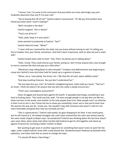"I dunno, Ced. I've come to the conclusion that journalists are more alarmingly nosy and freakishly observant than any PI I've ever met."

"You're basing that off of me?" Cedrick asked in amusement. "Or did you find another best friend journalist when I wasn't looking?"

"Bell's included in the deal."

Cedrick laughed. "He's a doctor."

"That's not all he is!"

"Yeah, yeah, keep it in your pants."

Julian pointed triumphantly at Cedrick. "See?"

Cedrick tilted his head. "What?"

"I never told you I jonesed for the dude, but you know without having to ask! I'm telling you. You're freakier than your family, sometimes. And that's damn impressive, with an alien kid and a robot wife."

Cedrick kicked Julian with no heat. "Hey. That's my family you're talking about."

"Yeah, I know. They could only be *your* family, seeing as I don't know anyone else crazy enough to marry a woman like that and pop out a little alien."

"Would you stop calling Boyd an alien already?" Irritation and defensiveness was beginning to creep into Cedrick's tone and Julian held his hands up in a gesture of peace.

"Whoa, sorry. I was joking. You know I am. I like that kid, all outer space oddities aside."

"And stop insulting Vivienne. You just don't understand her."

"No one does but you, Ced." At Cedrick's straightening back, Julian held up a hand. "That isn't an insult. I think she doesn't let anyone else see who she really is except around you."

"That's your investigative assessment?"

Julian shrugged and leaned back against the booth. It squeaked alarmingly, considering it was hard as fucking stone. "You could say that, yeah. I've seen enough people in my day who are like her… show one face to the world, and another to the only people they trust. Most people aren't as selective in their trust as she is, but I know she has to show you something I never see or else you'd never love the woman the way you do. I know you. You wouldn't stay with someone who wasn't a hell of a lot more honorable and good than how we normally see her."

"She *is* a good person," Cedrick said quietly, his gaze dropping to his beer. It was nearly gone, but he still stared at it. He looked strangely sad, until Julian noticed that the color was almost exactly the same shade of gold as Boyd's eyes. He wondered if Cedrick was thinking about the last time they'd seen each other, when Julian had rather harshly told Cedrick to get his shit together and stand up against Vivienne for not being a better mother to Boyd.

Not wanting to get stuck in another argument on something that wasn't even on point for the night, Julian rocked Cedrick's knee with a well-placed foot. Shuttered brown flickered up beneath thick eyelashes, and Julian took that as assent to change the topic.

"I'm pissed off about a few things."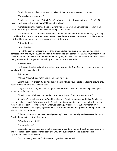Cedrick looked at Julian more head on, giving Julian tacit permission to continue.

"Finny called me yesterday."

Cedrick's eyebrows rose. "Patrick Finley? He's a sergeant in Sex Assault now, isn't he?" At Julian's nod, Cedrick frowned. "What'd he need you for?"

"Serial rapist in the neighborhood targeting vulnerable women. Stranger rapes, all of them. Asked me to keep an eye out, see if I couldn't help ID the asshole."

The darkness that overcame Cedrick's face made Julian feel better about how royally fucking pissed he still was about the topic. Some people these days dismissed that sort of topic like it meant nothing, like it was someone else's problem and not their own.

But not Cedrick.

Never Cedrick.

He felt the pain of innocents more than anyone Julian had ever met. The man had more compassion in one day than Julian had felt in his entire life, and somehow—*somehow*, it meant Julian never felt alone. The days Julian felt overwhelmed by life, he knew somewhere out there was Cedrick, ready to take on that anger and pain along with him, if he just needed it.

#### If he only asked.

He felt one shard of weight lift from his chest, moving him from feeling drowned in water to simply suffocated by a blanket.

Baby steps.

"I'll help," Cedrick said flatly, and Julian knew he would.

Letting out a low breath, Julian nodded. "Thanks. Maybe your people can let me know if they get any leads. I'll send you the info later."

"I'll get it out to everyone soon as I get it. If you do any stakeouts and need a partner, you know I'm up for that, too."

"Thanks, man. We'll see. You need to be home with your family sometimes, too."

A shade of the sadness from before filtered across Cedrick's features, and Julian fought the urge to shake his head. Only problem with Cedrick and his compassion was he had a terrible poker face, which was comical considering his wife was nothing *but* poker face. But every emotion of Cedrick's was a silent movie playing across his face, muted and quiet and greyed out compared to the vibrant colors around them.

"I forgot to mention that case to Bell yesterday," Julian said casually, and was rewarded with Cedrick being jolted out of his thoughts.

"Why did you see Bell?"

"He came to me."

Cedrick turned the glass between his fingertips and, after a moment, took a deliberate drink. The fact that he didn't speak immediately and wouldn't quite meet Julian's eyes made his squirreliness even more evident.

"You know why he came." Julian was intrigued despite himself.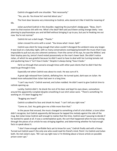Cedrick shrugged with one shoulder. "Not necessarily."

"Yes, you do. You know he's worried about you."

The front door became very interesting to Cedrick, who stared at it like it held the meaning of life.

Julian punched Cedrick in the shoulder, regaining the journalist's dodgy gaze. "Beau. Don't even try that evasive shit with me. What's the deal? Bell said you'd been acting strange lately. I was planning to psychoanalyze you and tell Bell without bringing it up to you, but you're freaking me out now. You're not normal."

Cedrick let out a dark laugh. "Thanks."

Julian crossed his arms with a scowl. "You know what I mean. Spill."

Cedrick was silent for long enough that Julian couldn't disregard the ambient noise any longer. It was loud on a Saturday night, with so many conversations overlapping beneath the music that it was impossible to pull out any one coherent sentence. From the corner of his eye, he saw the Wilkins' and their boytoy pass by, Janice's hand rested possessively on the man's lower back. She didn't notice Julian, of which he was grateful because he didn't want to have to deal with her turning tomato red and sputtering how it "isn't how it looks." Despite it *always* being "how it looks."

He'd run through that scenario enough times with other past clients that he didn't feel the need to go through it now.

Especially not when Cedrick was about to crack. He was sure of it.

A great sigh released from Cedrick, deflating him. He turned quiet, dark eyes on Julian. He looked more exhausted than Julian had seen in a long time.

"I can't say much," Cedrick warned, and Julian nodded. He didn't want to give Cedrick time to rethink opening up.

Luckily, Cedrick didn't. He drank the rest of his beer and kept his eyes down, somewhere around the apparently-rumpled-despite-smoothing-it-out shirt Julian wore. "There's something I'm working on. It's been bugging me."

"Bugging you how?"

Cedrick scrubbed his face and shook his head. "I can't tell you right now."

"Come on, Ced. You gotta give me a little more than that."

In the pause that ensued, the music changed to something a hell of a lot shittier; a tune Julian didn't recognize, but Cedrick apparently did because he tapped the melody against the side of the mug. But Julian knew Cedrick well enough to realize that this time, Cedrick wasn't pausing to decide if he wanted to speak at all. It was a contemplative quiet, the sort that happened when he was running through the pieces of an article he was stringing together, and determining whether he had enough facts to speak about it.

"I don't have enough verifiable facts yet to know for sure," Cedrick finally said with a frown. Turned out Cedrick wasn't the only one who could read his friend's mind. Point 1 to Cedrick and Julian both. He met Julian's eyes. "All I can say right now is I'm thinking about a future article on possible prison cover-ups."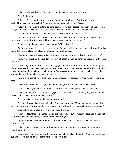Julian's eyebrows shot up. Well, well. Color him even *more* intrigued, now.

"Yeah? Like what?"

"Like I can't tell you right now because it's still mostly a hunch," Cedrick said sardonically. He pushed the mug away and sighed. "I'm not trying to put you off, Julian, it's just—"

"Ceddy-baby needs his facts to be concrete before he casts aspersions on anyone else's house, yeah, yeah, I know," Julian flashed a grin. "You think I don't know you well enough by now?"

The smile that Cedrick gave him was much closer to normal. "Guess you do."

"And Bell does too, damn sexy bastard." Julian shoved Cedrick's shoulder. "So call the dude tomorrow or something. He's having kittens over how worried he is about you."

Cedrick rolled his eyes, but the smile grew. "Will do, Mom."

"If I'm your mom, then I expect some motherfucking cookies and chocolates delivered Monday to my desk. Show a lady some love for shoving you out of her vag."

Mischief crinkled the edges of Cedrick's eyes. "Should I send some flowers, while I'm at it?"

"Only if you brush up on your floriography first. Last time you told me you hated me with those orange lilies."

A true laugh erupted from Cedrick; deep, joyful and infectious. In that moment another piece of the heaviness that had been weighing on Julian lifted. Cedrick had become like a brother, and Julian never wanted anything to happen to him. When Ced was acting so morose and sketchy, it started to grate on Julian until he felt it reflected in himself.

How fucking pathetic was that? Getting so unnerved just because his friend wasn't feeling his best.

Julian resisted the urge to sigh. Somewhere along the line he'd become such a wuss.

"I can't believe you know that offhand. There are times when you're an incredible geek."

Julian smirked. "Tsk, tsk, quite the negligent little journalist you are. Just going to trust me on my word that I had the right meaning, there?"

"You know I'm going to verify it when I get home."

This time, it was Julian's turn to laugh. "Yeah. I *do* know that. Offhanded joke or not, you just can't live with yourself if you don't get the answer from at least three sources before you go to bed."

Cedrick flashed a wicked grin. "Not so negligent, then, am I?"

Julian scoffed. "Stop looking for pats on the back and get out of here. I've seen you glancing at your watch all night. You gotta get home to the missus, right?"

"Right." Cedrick pushed himself to a stand. He threw some cash on the table. "Get that to Crane, will you?"

Julian grimaced. "Come on, man. That lazy asshole doesn't need any more of a tip than you already gave him."

Cedrick chuckled. "Sure does with the way you've been talking tonight. If I'm not given the evil eye and thrown out next time I come here, it'll be a miracle."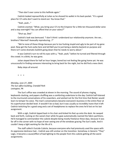"Then don't ever come to this hellhole again."

Cedrick looked reproachfully at Julian as he shoved his wallet in his back pocket. "It's a good place for CI's who don't want to stand out. You know that."

"Yeah, yeah…"

Cedrick snorted. "What, you bring your CI's to the Emperor for a little ten thousand dollar wine and a stay overnight? You can afford that on your salary?"

"Shut up, *Dad."*

Cedrick's look was bemused. "I don't think I understand our relationship anymore. Are we… brothers? Married? Asexually reproducing…?"

"We're none of those things because you're too fucking stupid and ugly to be part of my gene pool. Now get the fuck outta here and tell Bell you're just being a sketchy bastard on purpose and there isn't some dramatic bullshit going down that he needs to worry about."

It was Cedrick's turn to roll his eyes with a, "Yeah, yeah," before he turned and filtered through the crowd. In a blink, he was gone.

Julian stayed there for half an hour longer, bored but not feeling like going home yet. He was unsuccessful in finding someone interesting to bring back for the night, but he did find a new client.

Baby steps all around.

+ + +

*Monday, June 27, 2005 The Sun office building, Crandall Park Lexington, PA*

The Sun's office was crowded at eleven in the morning. The sound of phones ringing, keyboards clacking, and papers shuffling was a comforting undertone to the day. Cedrick half-listened to the murmured conversations of his coworkers, and wished not for the first time that Reisler would learn to temper his voice. The man's conversations became everyone's business in the entire floor at his superhuman decibel level. It wouldn't be so bad, but it was usually so incredibly inane that it left Cedrick twitching for a good song and a set of headphones to replace the ones he'd lost on his last assignment.

With a sigh, Cedrick tipped back in his chair and kicked his feet up onto the desk. He swayed back and forth, rocking on the swivel chair while his gaze automatically roamed the fabric partitions. He'd managed to commandeer the cubicle despite being mostly freelance these days, because it was far off in the corner with no hope of ever seeing one of the windows gracing The Sun's walls. And it couldn't keep a light working for the life of it.

The staff called it Suicide Cubicle, because everyone who had previously used the space with its oppressive darkness had… Cedrick was still unclear on the transition. Somehow, in Generic-"They" Logic, it became a cause/effect of bad lighting to the people from this cubicle getting all the worst assignments.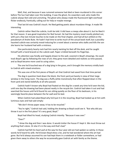Well, that, and because it was rumored someone had died or been murdered in this corner before The Sun had taken over this building. It was the ghost, his coworkers said, who made this cubicle always feel cold and uninviting. The ghost who always made the fluorescent light overhead flicker endlessly, frantically, calling out for help or maybe revenge.

That last bit was Cedrick's touch. He liked getting poetic about mundane things. It made life interesting.

Cedrick rather liked the cubicle, truth be told. It did have a creepy vibe about it, but he liked it for that reason. It was good inspiration for Red Sunset. He had the mystery novel mostly plotted out, with just a few last minute touches to be made on the final chapter, and had all but settled on the pseudonym of Andre Bute. He hadn't had time to write much of the actual book itself, but a possiblyhaunted cubicle was certainly mood-inducing for a novel about a woman who stalks and kills the son she learns her husband had with a mistress.

One particularly hearty rock had him nearly twisting his feet off the desk, and he caught himself with a hand braced on the cubicle wall. Paper crinkled beneath his fingertips.

His attention was fondly and happily drawn to the wall, covered in Boyd's drawings. He could track Boyd's age by following the rows of art; they grew more detailed and realistic as time passed, and as Boyd became more used to using colors.

The one he'd touched was of a dog lying in the grass, and it brought the memory vividly back to Cedrick with mixed emotions.

This was one of the first pieces of Boyd's art that Cedrick had saved from that time period.

The dog in question lived down the block, the front yard just barely in view of their large window in the living room. The dog was a fluffy white monstrosity that often flopped down in the front yard and stared dolefully at all who passed.

Cedrick hadn't known why Boyd had fixated on the dog for a week any time he'd seen the kid, until one day the drawing had been placed neatly in the recycle bin. Cedrick had taken it out and had searched the house until he'd found his son sitting quietly on the floor of his bedroom, in his seemingly favorite place between the far wall and his bed.

When Cedrick had asked Boyd why he'd put it in the recycling, Boyd had looked up at him with luminous eyes and had said simply:

"We don't throw paper away. It has to be recycled."

"You're right," Cedrick had said, holding the drawing so Boyd could see it. "But why did you throw it out in the first place? It's very good, Boyd."

Boyd had tilted his head, studying Cedrick intently. "Because it was over."

"Over?"

"I drew the dog and then I was done. It would clutter the house if I kept it. We must throw out anything that's done. Or else it's in the way and that's bad."

Cedrick had felt his heart pull at the way his four-year-old son had spoken so calmly. In those words he'd heard his wife. He'd known Boyd drew a lot, and he had wondered where the art had gone. But he'd always assumed his son had kept them in a notebook or folder somewhere, or had given them away to others the way he occasionally gave Cedrick art with family as the theme.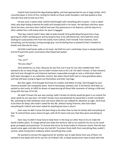Cedrick had clutched the dog drawing tightly, and had approached his son in large strides. He'd crouched down in front of him, resting his hands on those small shoulders, and had waited as that cherubic face had turned up to him.

He was such a sweet child, Cedrick had thought with something akin to panic—such a sweet child, who kept hiding it behind the walls he'd already built in his heart. He had been only four years old at the time, and even then Cedrick had seen the quiescence in his features, and the way he so often settled into a still statue when he wasn't engaged.

That day, Cedrick hadn't been able to help himself; he'd pulled Boyd forward into a hug, ignoring his child's startled grunt and burying his face in his soft blond hair. He'd held him close, wishing he could protect him from the world, from Cedrick, from himself, from Vivienne, from everything, just by having a strong enough grip. Just by feeling love so powerful that it choked his breath and silenced his voice.

He'd felt small hands settle on his back. He'd felt his son's small body move in steady breaths, and he'd heard the quiet uncertainty when Boyd had spoken.

"Dad?"

"Yes, son?"

"Are you okay?"

He'd wanted to cry, then. Because he was fine, but it was his son who needed help. He'd wanted to do so many things, but he hadn't known how to fix it all. He hadn't known, in that moment, why he'd ever thought he and Vivienne had been responsible enough to raise a child when they'd both been teenagers in an unfamiliar country. Not when they'd both had so many grandiose plans, and had still been trying to figure out themselves and their marriage.

But then again, he'd thought he'd have his mother and father to help. He'd thought he and Vivienne wouldn't be *completely* alone. And he *had* always wanted a kid. A full family. He'd been so excited to start early, to fulfill his dream of experiencing all those little moments of raising a child and living with the love of his life.

He hadn't known the war was coming, hadn't known his family would be gone in an instant the same week his son was born. He hadn't known how overwhelmed he would feel a month into Boyd's life, watching his wife withdraw more and more while his son sobbed for attention at night. He'd tried to be there for Boyd, who hadn't asked for this life, without losing Vivienne, who had risked everything for Cedrick and never asked for anything but love in return.

Even now, he didn't know the best thing to do other than to love his family with everything he had. To remind them every chance he got, with all his heart and soul, that they were everything to him.

Even now, he didn't know how to help them in the long run other than to try to make the world a better place. To charge ahead and make the world as safe as he could for his son so he could grow up happily and protected. To remove that terror he knew lurked in Vivienne's heart, that the war would come again and take the love she had left. To protect them both from everything they couldn't control, while loving them endlessly within everything they could.

He wanted to remove the opportunity for another war to take family from any of them. He wanted to love Boyd with all his soul for all of Boyd's life, so Boyd would never have to deal with that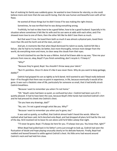fear of realizing his family was suddenly gone. He wanted to love Vivienne for eternity, so she could believe more and more that she was worth loving, that she was human and beautiful even with all her flaws.

He wanted all those things but he didn't know if he was making the right choices.

Sometimes, he was terrified that he was doing everything wrong.

Truthfully, he had no idea how to be a good father, how to be a good husband. Especially in his situation where sometimes it felt like his wife and his son were at odds with each other, and if he showed more love to one of them, then the other felt like he didn't love them as much.

But that wasn't true. He loved them both so much it was almost a physical pain, loved them more than life and the Earth and all the stars, and yet—

And yet, in moments like that when Boyd dismissed his talent so easily, Cedrick felt like a failure. Like he had to try harder, be better, love more thoroughly, remove more danger from the world, do everything more and more, to clear away the clouds from their eyes.

So he'd clutched his son like he was a lifeline. And all he'd been able to say was, "Give me your pictures from now on, okay, Boyd? If you finish something, don't recycle it. I'll keep it."

### "Why?"

"Because they're good, Boyd. You shouldn't throw away your talent."

"But it's pointless. Once it's done it's like it was never there. Why do you want to keep garbage, daddy?"

Cedrick had gripped his son as tightly as he'd dared. He'd wanted to ask if Boyd really believed that—if he thought that there was no point in experience, in life, because eventually it would all be gone. It was such a fatalistic view of life, particularly for someone so small, that it had briefly struck Cedrick breathless.

"Because I want to remember you when I'm not home."

"Oh." Boyd's voice had been so quiet, so confused but also—Cedrick had been sure of it quietly pleased. It had to have been the case, because Boyd's little hands had clutched Cedrick's shirt and he had pressed his cheek into Cedrick's chest.

"Do you have any drawings, dad?"

"No, son. I'm not a good enough artist like you. Why?"

"Because I want to remember you when you're gone, too."

It was said so quietly, so muffled, that Cedrick almost hadn't heard the words. When he realized what had been said, he'd clenched onto Boyd, and had dropped all plans he'd had for the rest of the day. He'd resolved not to leave his son alone until he'd fallen asleep that night.

"I'll never be gone, Boyd. I'll always be here for you. I'll always love you. You know that, right?"

When Boyd had pulled back in his father's arms just enough to look up, Cedrick had seen the fluctuation of doubt and hope playing unusually clearly on his delicate features. Finally, Boyd had nodded and leaned forward to settle against Cedrick's chest. His little arms had wound around Cedrick's neck and had held him close.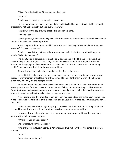"Okay," Boyd had said, as if it were as simple as that.

Just 'okay.'

Cedrick wanted to make the world as easy as that.

He had to remove the chance for tragedy to hurt this child he loved with all his life. He had to protect him, not just physically but also every other way.

Right down to the dog drawing that had crinkled in his hand.

"Earth to Cedrick."

Cedrick jumped, halfway throwing himself off the chair. He caught himself before he crashed to the floor, locked in an awkward position.

Shana laughed at him. "That could have made a good story, right there. Hold that pose a sec, would ya? I'll go get my camera."

Cedrick scowled at her, although there was no heat to it. He righted himself with supreme dignity. "What do you want?"

The dignity was misplaced, because she only laughed and ruffled his hair. He sighed. He'd never managed the art of graceful recovery, like Vivienne could do without thought. Nor had he learned her haughty gaze of someone raised in riches the likes of which generations of his family couldn't match even with all their life savings combined.

All he'd learned was to be sincere and never let life get him down.

He could fix it all, he knew, if he only tried hard enough. If he only continued to work toward that goal every moment of his life, if he only continued to smile for his family even when he was exhausted, if he only did the best job around.

He could do it all. He just had to believe in himself, in his dream, in his family and friends. He would pave the way for them, make it safe for them to follow, and together they could stride into a future that protected everyone equally from senseless tragedy. It was doable, because humans were inherently good; he just had to believe in everyone around him.

"I was going to see if you wanted lunch, but then you were sitting there staring at the wall like it had the answer to life itself, with this dopey sad look on your face. What's up? Something happen to the kidlet?"

Cedrick barely resisted the urge to sigh again, heavier this time. Instead, he straightened and dropped his feet firmly to the floor. "He's fine. I was just remembering something."

He looked distractedly at the clock. Jeez. No wonder she'd looked at him oddly; he'd been staring at the wall for seven minutes.

"Where are you thinking today?"

She shrugged. "I dunno. Mexican?"

"The only good restaurant nearby is Pimiento's, and we've been there five times this month already."

"Asian?"

"What about Caribbean?"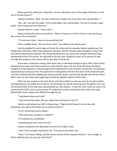Shana eyed him dubiously. "Depends… Are we talking the one on the edge of Barrows, or the one in Lincoln Square?"

Cedrick hesitated. "Well. The one in Barrows is better, but if you don't feel comfortable—"

"No, I do," she said hurriedly. "Feel comfortable. Very comfortable. The one in Lincoln is godawful. I was hoping you'd say Barrows."

Cedrick flashed a smile. "Good, then."

Shana checked the time on her phone. "Want to head out in five? I'll see if I can round up a few more in the meantime."

"I'll meet you there. I have to do something first."

Shana nodded easily. "See you there, then," she called as she loped away.

Cedrick grabbed his work bag and threw the strap over his shoulder before heading out. He strode down the stairs rather than taking the elevator, and ten minutes later emerged in a day that was almost obnoxiously cheerful. The clouds backlit by the sun were such a bright white that they threatened to burn his retinas. He squinted at the sky, then shaded his eyes as he wound his way through the people on the street until he was able to break off.

There was a small park nearby, little more than a half-dead triangle of grass with a few bushes planted on one side, and it had served his needs well for years. No one ventured down the block, nestled as it was between a massive apartment building and a row of empty storefronts. He had been paranoid about someone from the apartments looking down the first few times he'd visited the park, until he'd realized that the building was almost entirely vacant, and the few people who did live there didn't seem to care what was happening outside the egoistic sphere of their lives.

When he was seated on the park bench and had verified no one was around, let alone within hearing distance, he pulled out his phone. He hesitated, his thumb hovering over the gallery icon, but he forced himself not to look and instead pulled up 'John Ramos.' It was the cover name he used in his contact list for Bell's more secure phone. He called the number, and hardly had to wait two rings before Bell's warm, deep voice filtered through his ear.

"I wondered when you'd call."

"I was shamed by Julian. Did you really have to bring him into it?"

Cedrick could almost see Bell's rolling shrug. "I figured he'd know, if no one else did. Sometimes you talk to him when you're quiet around us."

"It isn't anything to worry about."

"Then why have you been so skittish?"

"I'm looking into something."

"Something you can't even tell me?"

Cedrick wondered if he detected a hint of hurt in Bell's voice.

"I don't have enough information yet. I'll let you know when I do."

"Hmm." He heard rustling, and the distant sound of the hospital intercom. "Fair enough. Is there anything else you can say, meantime?"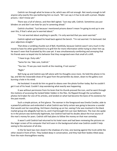Cedrick ran through what he knew so far, which was still not enough. Not nearly enough to tell anyone why exactly this was bothering him so much. "All I can say is it has to do with a prison. Maybe prisons. I don't know yet."

There was a lull of silence, and then Bell sighed. "Just stay safe, Cedrick. Sometimes you put blinders on and don't see how far you're careening ahead."

Cedrick chuckled. "Just because I mentioned prisons doesn't mean I'm going to end up in one over this, if that's what you're worried about."

"I'm not worried about anything in specific. I'm only worried that you seem worried."

Cedrick sighed and tipped his head back against the bench. "I'm not worried. I'm bemused. Get your adjectives straight."

That drew a rumbling chuckle out of Bell, thankfully, because Cedrick wasn't very much in the mood to have his other good friend try to grill him for more information while trying to cheer him up. He wasn't even that frustrated by this case yet. It was simultaneously comforting and annoying that his friends were so keyed into his behavior that they recognized even that small of a shift.

"I have to go. Duty calls."

"Same for me. Take care, Cedrick."

"You too. I'll see you next month at the meeting, if not sooner."

"Right."

Bell hung up and Cedrick was left alone with his thoughts once more. He held the phone in his lap, and felt the inexorable draw of his gaze from the periwinkle sky down, down to the gallery icon burning a hole in his mind.

He hesitated. It would do him no good to obsess over the photo further today. But he couldn't get it out of his head. Couldn't stop wondering what exactly was happening.

It was without permission from his brain that his thumb pressed the icon, and he went through the motions of accessing the locked folder hidden in the files. He flipped through the surveillance photos he'd taken for one of his articles, and landed on what had become the bane of his existence for the past month.

Such a simple picture, at first glance. The woman in the foreground was Emelia Crestler, aide to a powerful politician and embroiled in what Cedrick was fairly certain was going to become a scandal that would cost her everything. He'd been checking up on her, seeing if she was involved in the black market group she allegedly had ties to, and it had brought him out near Baltimore. The man she spoke to in the picture was technically legitimate, but Cedrick had had his doubts about the true source of the man's money for years. Cedrick still had plans to follow the money on that man someday.

It wasn't until Cedrick had returned to his hotel room and had been reviewing the pictures on the larger screen of his computer that he'd seen in the background what now Cedrick couldn't help seeing to the exclusion of all else.

In the far back two men stood in the shadows of a tree, one leaning against the trunk while the other stood in front of him. They looked deep in conversation, and they had their bodies tilted away from the main thoroughfare nearby.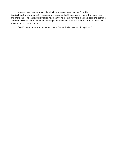It would have meant nothing, if Cedrick hadn't recognized one man's profile. Cedrick blew the photo up until the screen was consumed with the angular lines of the man's nose and sharp chin. The shadows didn't hide how healthy he looked; far more than he'd been the last time Cedrick had seen a photo of him four years ago. Back when his face had peered out of the black and white photo of a news column.

"Neal," Cedrick muttered under his breath. "What the hell are you doing alive?"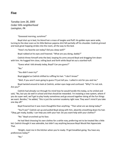# **Five**

*Tuesday June 28, 2005 Cedar Hills neighborhood Lexington, PA*

"Goooood morning, sunshine!"

Boyd shot up in bed, his blond hair a mass of tangles and fluff. His golden eyes were wide, turning to the door even as his little Batman pajama shirt fell partially off his shoulder. Cedrick grinned and took great hopping strides into the room, all the way to the bed.

"How's my favorite son today? Did you sleep well?"

Boyd rubbed at his eyes and frowned. "What are you doing, daddy?"

Cedrick threw himself onto the bed, looping his arms around Boyd and dragging him down with him. He hugged him close, rolling back and forth while Boyd let out a startled huff.

"Guess what I did already today, Boyd? Can you guess?"

 $^{\prime\prime}$ No."

"You didn't even try!"

Boyd giggled as Cedrick shifted to ruffling his hair. "I don't know!"

"Well, if you aren't even going to guess I'll just tell you. I called in sick for you *and* me."

Boyd twisted around to look at Cedrick, amber eyes large and confused. "Why? I'm not sick. Are you?"

Cedrick had already run through his mind how he would handle this today, so he smiled and said, "No, but you do well in school and that should be rewarded. I'm instating a new system, where if you do super well, we'll get to play hooky sometimes and go around together doing all the fun things we want. Besides," he added, "this is just the summer academy right now. They won't mind if you take one day off."

Boyd frowned but it was more thoughtful than anything. "Then what are we doing today?"

"You'll see!" Cedrick sat up and pulled Boyd along with him, absently smoothing down his hair. "Okay, get ready, buddy. I can help you with your hair. Do you want help with your clothes?"

"No." Boyd scrunched up his face.

He had liked choosing his own clothes for a while now, preferring not to be treated like a little kid. Cedrick thought it was adorable, but didn't say anything because Boyd Would Not Appreciate That.

"Alright, meet me in the kitchen when you're ready. I'll get breakfast going. You have any preferences today?"

 $"No."$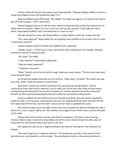Cedrick rolled off the bed and stood up, grinning wickedly. "Okayyyy, Belgian waffles covered in candy and whipped cream and powdered sugar, it is!"

Boyd scrambled to get off the bed. "No, daddy!" he called out, aghast, as if Cedrick had said he was off to kill a puppy. "I don't want that!"

Cedrick laughed evilly as he left the room. When he heard the pad of little feet behind him he called over his shoulder, "Nope, you can't come out until you get dressed! I'll go make our super sweet, mega special waffles! Extra chocolate and ice cream on top!"

The feet slowed to a stop, then Boyd huffed so loudly Cedrick could hear it down the hall.

"No, I want oatmeal!" Boyd yelled, his voice getting more muffled as he ran back into his room. "I want plain oatmeal!"

Cedrick laughed under his breath and headed to the cupboards.

"Daddy, I want—!" There was a crash, and Cedrick froze, looking over his shoulder, listening intently for sounds of wailing or pain.

"You okay?" he called.

"I want *oatmeal!"* Boyd yelled indignantly.

"Okay but what happened?"

"I tripped on my pants."

"Wow," Cedrick said to himself with a laugh. Boyd was rarely clumsy. "The kid must really want some oatmeal today."

He turned and walked fully back into the kitchen. "Okay, okay," he yelled. "Be careful and take your time, okay? I'll get the oatmeal ready for you."

Boyd didn't answer but Cedrick could hear him opening and closing drawers. Cedrick continued to listen with half his attention, just to make sure his kid was okay, while he went about making boring old oatmeal for his no-sense-of-taste son, and the sweetest cereal they owned for himself. He then resumed preparing the food and coffee he had started making earlier.

Vivienne walked into the kitchen just as he finished everything. She was almost completely ready for work, in her business casual blouse and skirt, her makeup perfectly done and with half her hair swept back off her face, but she hadn't yet put on her shoes or grabbed her purse.

She swept her gaze across the table set for two, then accepted the plate he handed her with a tartine on it, and a mug of café au lait. She settled on the edge of one of their chairs, and set the plate on the table.

Taking a bite of the tartine, her eyes slid closed in happiness. This early in the morning, Vivienne liked to take a moment to relax before she left for work. Cedrick knew this after years of living with her, and smiled fondly at the look on her face.

She sipped the café au lait, a slight pinching of her features marking her only indication of distaste.

"We need to get you an espresso machine." He leaned over, pushed a stray strand of hair behind her ear, and kissed her on the temple. "You and Boyd are both so ridiculously sensitive to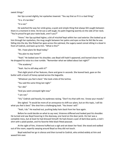sweet things."

Her lips curved slightly, her eyelashes lowered. "You say that as if it is a bad thing."

"It is. It's terrible."

"It is not."

He watched the way her smile grew, a quiet and simple thing that always felt caught between them in a moment in time. He let out a soft laugh, his palm lingering warmly on the side of her neck. "You're proud he got your taste buds, aren't you?"

"Hmm." Her lips quirked higher, a bit of mischief kept within her cool exterior. She looked up at him through her eyelashes, the mug caught between her palms and eyes so blue he felt like he was falling into the sky. She flicked her gaze across the oatmeal, the sugary-sweet cereal sitting in a bowl in front of Cedrick, and back up to him. "What is this?"

"Ah. I have plans for Boyd today."

"You plan to stay home?"

"Yeah." He looked over his shoulder, saw Boyd still hadn't appeared, and leaned closer to her. He dropped his voice to a low rumble. "Remember what we talked about last night?"

"The academy."

"Yeah. You're still okay with it?"

That slight pinch of her features, there and gone in seconds. She leaned back, gaze on the butter with a touch of honey spread across the baguette.

"Whatever you feel is best." She took a bite of the tartine.

"You said the same thing last night."

"So I did."

"And you seem annoyed right now."

"I am not."

"Viv," Cedrick said heavily, his eyebrows raising. "Don't try that with me. I know your moods."

She sighed. "It would be more of an annoyance to shift our plans, but on this topic, I will do what you feel is best." She shot him a challenging look. "You know I will."

"Yeah, I do." He reached out, pushing baby hairs back from her face again.

Before he could decide on what to say next, Vivienne stiffened and looked past his shoulder. He turned and saw Boyd hovering in the doorway, one hand on the door jamb. His hair was a complete mess, but at least he had dressed himself. He had chosen a pair of dark blue pants, a red tshirt with a plaid pocket, and his favorite little black fitted peacoat.

At the sight of him, Vivienne huffed out a sigh and set down her food. She stood and walked out of the room, expertly swaying around Boyd so they did not touch.

Boyd watched her go in silence and then turned to Cedrick, who smiled widely at him and waved him over.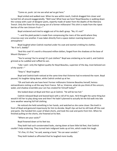"Come on, punk. Let me see what we've got here."

Boyd smiled and walked over. When he was within reach, Cedrick dragged him closer and turned him all around exaggeratedly. "Well now! What have we here? Boyd Beaulieu is walking down the runway with a pair of designer pants, expertly made of water from the depths of the Mariana Trench. Only the finest for this young son of a former millionaire! This shirt is made from the ripest berries of the rare Unicorn Fruit—"

Boyd snickered and tried to wiggle out of his dad's grasp. "No, it's not!"

"—and the plaid pocket is made from compressing the rivers of the world where they crisscross over one another. It was taken directly from a space station roaming beyond our atmosphere."

Boyd laughed when Cedrick reached under his coat and started crinkling his clothes. "No it isn't, daddy!"

"And this coat! It's worth a thousand million dollars, forged from the shadows at the base of Mount Olympus—"

"You're wrong! You're wrong! It's just clothes!" Boyd was snickering as he said it, and Cedrick grinned as he cuddled and ruffled his son.

"Like I said—only the highest quality for Boyd Beaulieu, superstar of the day, most beloved son of the world—"

"Stop it," Boyd laughed.

Boyd and Cedrick both noticed at the same time that Vivienne had re-entered the room. Boyd paused, his laughter dying down, while Cedrick smiled up at her.

"Oh and look who we have here! Former millionaire Vivienne Beaulieu herself, heiress extraordinaire visiting us all the way from France. Tell us, Vivienne, what do you think of the unicorn, water, and shadow ensemble your son has created for himself today?"

She looked down at Boyd and then up at Cedrick. "He will be too hot."

Cedrick released Boyd and leaned back with a roll of his eyes. He'd thought the same thing but would it kill her to play along now and then? He hadn't planned to actually let the kid walk into late June weather wearing full Fall clothing.

He noticed she held something in her hands, and watched as she came closer. She knelt in front of Boyd and gestured imperiously for him to disrobe. Boyd's lips set but he still took off the coat and pants. She handed him a pair of black shorts, and took the coat and pants from him. When he finished pulling on the shorts, she frowned at his feet.

"Where are your socks?"

Boyd frowned down at his feet too.

They both had such consternated looks, staring down at bare little kid feet, that Cedrick couldn't help snickering. They turned twin indignant looks up at him, which made him laugh.

"It's fine, it's fine," he said, waving a hand. "He can wear sandals."

They both looked so affronted that he laughed more loudly.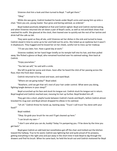Vivienne shot him a look and then turned to Boyd. "I will get them."

"Okay."

While she was gone, Cedrick hooked his hands under Boyd's arms and swung him up onto a chair. "Here you are, young master. Your gross and boring oatmeal, as ordered."

Boyd looked positively delighted at that and Cedrick sighed. Boyd and Cedrick started eating, and when Vivienne returned she set down a pair of Boyd's socks, as well as red and black shoes that matched his outfit. She glanced at the clock, then leaned over to quickly eat the rest of her tartine and drink half the cafe au lait.

They were quiet as they all ate, until Vivienne set her dishes in the sink and turned to leave. Cedrick stood in time to come up to her and hold out his arms. She ticked up an eyebrow but it wasn't in displeasure. They hugged and he kissed her on her cheek, careful not to mess up her makeup.

"I'll see you later, hon. Have a good day at work."

Vivienne nodded, let her hand linger briefly on his temple half into his hair, and then pulled away. She flicked a glance at Boyd, who remained hunched over his oatmeal eating, then back at Cedrick.

"Enjoy yourselves."

"You bet we will," he said with a smile.

She left to grab her purse and shoes. Soon after he heard the click of her passing across the floor, then the front door closing.

Cedrick returned to his cereal and toast, and eyed Boyd.

"Where are we going today?" Boyd asked.

"Nowhere, until we get that rat's nest of your hair under control. What were you doing, fighting tangle demons in your sleep?"

Boyd scrunched up his face and stuck his tongue out. Cedrick stuck his tongue out in return. Boyd laughed and Cedrick reached over, messing his hair up further. Boyd fended him off.

They got into a short, playful tussle between Cedrick's hands and Boyd's, before Cedrick almost knocked his mug over and Boyd almost dropped his elbow in his oatmeal.

"Uh oh." Cedrick threw his hands up, backing away. "Truce! I call truce! You done with your food?"

Boyd nodded.

"Okay. Go grab your brush for me and I'll get cleaned up here."

"I can brush my own—"

"I don't care what you can do, buddy! Today I'm pampering you. I'll be done by the time you get back."

Boyd gave Cedrick an odd look but nonetheless got off the chair and trotted out the kitchen toward the hallway. True to his word, Cedrick was lightning fast and quite proud of his prowess, getting everything in the right area and put away in the short time it took Boyd to dig through the drawers and find his brush. When he came back, he held the brush out and Cedrick motioned for Boyd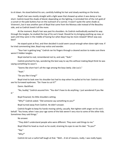to sit down. He stood behind his son, carefully holding his hair and slowly working on the knots.

Boyd's hair was mostly straight with a light wave that showed up when it was damp or too short. Cedrick loved the shade of blond; depending on the lighting, it reminded him of the rich gold of a sunset or the pale buttery hue on the outreach of a sunrise. It wasn't quite the same shade as Vivienne's, but it was another part of Boyd that came from the Moreau side instead of the Beaulieu side, and so Cedrick loved it all the more.

At the moment, Boyd's hair was past his shoulders. As Cedrick methodically worked his way through the tangles, he studied the top of his son's head. Should he try bringing anything up now, or wait until they were in the middle of having fun when Boyd may be more relaxed? Which way was best?

He stayed quiet at first, and then decided it could seem casual enough when done right now. If he tried commenting later, Boyd may notice and wonder.

"Your hair is getting long." Cedrick ran his fingers through a cleared section to make sure there weren't hidden tangles.

Boyd started to nod, remembered not to, and said, "Yeah."

Cedrick pinched his lips, wondering the best way to say this without making Boyd think he was saying something he wasn't.

"Seems like short hair's all the rage among the boys lately. Like Lou's."

"Yeah."

"Do you like it long?"

Boyd tried to look over his shoulder but had to stop when he pulled at his hair. Cedrick could see his furrowed eyebrows. "Do I have to cut it?"

Damn. Backfired.

"No, buddy," Cedrick assured him. "You don't have to do anything. I just wondered if you like

it."

Boyd frowned, his little shoulders setting.

"Why?" Cedrick asked. "Did someone say something to you?"

Boyd turned away from Cedrick. He didn't answer.

Cedrick fought to keep his hands moving calmly, casually. Not tighten with anger on his son's behalf. "You know, when I was your age some of the kids weren't very nice to some of the other kids. Sometimes they said things."

No answer.

"They didn't understand people who were different. They even said things to me."

Boyd tilted his head as much as he could, straining his eyes to see his dad. "To you?"

"Yep."

"Why?"

Cedrick let out a rueful half-laugh at that. "Well… A lot of reasons, really. I was really hyper,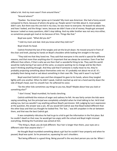talked a lot. And my mom wasn't from around there."

"Around where?"

"Quebec. You know how I grew up in Canada? My mom was American. She had a funny accent compared to there, because of where she grew up. People weren't terrible about it, most people didn't care. But there was this one kid in my class, he was mean to everyone. He teased me about her, and how I looked, and the things I wore, because we didn't have a lot of money. People got annoyed because I asked so many questions, didn't stop talking. And my older brother was not very nice either, so sometimes people got mad at me because of him. Things like that."

Boyd was quiet. "What did you do?"

"I told my mom and dad. And you know what they told me?"

Boyd shook his head.

Cedrick finished the last of the tangles and set the brush down. He moved around in front of the chair and knelt, placing his hands on Boyd's shoulders while looking him straight in the eyes.

"They told me that they loved me. They said that everyone in this world is special for different reasons, and that more than anything else it's important that we always be ourselves. Even if we feel different than others, if that is who we are then that's a wonderful thing to be. They said this world would be really boring if we were all the same, so anyone wanting me to change and be like them wasn't thinking anything through. And they said that if someone is really mean to me, they're probably projecting something about themselves onto me. It's probably not about me at all. It's probably them being mad or sad about something in their own life. They said it wasn't my fault."

Boyd searched Cedrick's eyes and then dropped his gaze to his hands, where they tangled lightly with one another. When he didn't speak, Cedrick reached up and ran a hand warmly down the side of Boyd's head, over his smooth hair. He softened his voice.

"Do the other kids sometimes say things to you too, Boyd? Maybe about how you look or something else?"

"I don't know," Boyd mumbled, his hands clenching.

Cedrick withheld the mixture of anger and sadness he felt. He was fairly certain the kids were saying something, but the principal was completely unhelpful when he tried talking to her. He'd tried asking Lou, but Lou wouldn't say anything without Boyd's permission. Still, judging by Lou's expression at the question, the answer was a yes. All Lou would tell Cedrick was that Boyd looked different than the other boys and that Lou thought he looked fine. The 'but…' was left unspoken in the air between them, and that was the best Cedrick got.

It was completely ridiculous he had to go to a kid to get the information in the first place. But he couldn't dwell on that now; he would get too angry with the school and Boyd might misread everything, thinking the frustration was aimed at him.

"The thing is, Boyd, you *do* look different. Your hair is longer than theirs, your eyes are a different color than anyone else's—"

He thought Boyd mumbled something about a girl but he couldn't hear properly and when he paused, Boyd was quiet. So he pressed on, squeezing his son's shoulders.

"But being different is a good thing. Being yourself is the very best person you can be. When I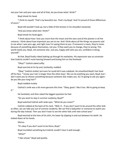see your hair and your eyes and all of that, do you know what I think?"

Boyd shook his head.

"I think to myself, 'That's my beautiful son. That's my Boyd.' And I'm proud of those differences of yours."

Boyd still wouldn't look up, but a little of the tension in his shoulders loosened.

"And you know what else I think?"

Boyd shook his head again.

"I think about how I love you more than the moon and the stars and all the planets in all the universe. I think about how important you are to me. And I think about all the things my parents said to me when I was your age, and right now I'm saying them to you. If someone is mean, they're mean because of something about themselves, not you. If they want you to change, they're wrong. This world needs *you*, Boyd, not someone else. Just you, happy with who you are, confident in being yourself."

At that, Boyd finally risked looking up through his eyelashes. His expression was so uncertain that Cedrick couldn't resist leaning forward and kissing him on the forehead.

"Okay?" Cedrick asked softly.

Boyd worried at his lip and, hesitantly, nodded.

"Okay." Cedrick smiled, but even he could tell it was subdued. He smoothed Boyd's hair back off his face. "I know your hair is longer than the other boys'. We can do anything you want, Boyd, but I don't want you to choose something because someone else makes you. So I'm going to ask you again: do you like your long hair?"

Boyd nodded mutely.

Cedrick's smile was a bit more genuine this time. "Okay, good. I like it too. We're going to keep it."

He hesitated, and then asked the biggest question he had:

"Do you want to stay in summer academy, Boyd?"

Boyd watched Cedrick with wide eyes. "What do you mean?"

Cedrick rubbed at the back of his neck. "Well, if… If you don't want to be around the other kids as often, we can take you out of summer academy. We can find a babysitter or someone to watch you during the day instead. Then you don't have to see the other kids until next school year."

Boyd worried at the hem of his shirt, his lower lip slipping in and out between his teeth. He looked down at his hands.

Silence.

"It's okay if you don't want to be there, Boyd."

Boyd mumbled something but Cedrick couldn't hear it well enough.

"What?"

"I like school," Boyd said quietly.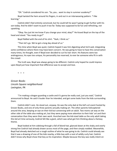"Oh." Cedrick considered his son. "So, you… want to stay in summer academy?"

Boyd twisted the hem around his fingers, in and out in an interweaving pattern. "I like learning."

Cedrick didn't feel entirely convinced, but he could tell he wasn't going to get further with his son today. And he didn't want to push it too far. Today was supposed to be fun and refreshing, not upsetting.

"Okay. You just let me know if you change your mind, okay?" He kissed Boyd on the top of the head and stood. "You ready to go?"

Boyd fiddled with the end of his shirt. "Yeah, I think so."

"Then let's go. We've got a long day ahead of us."

This time when Boyd was quiet, Cedrick hoped it was him digesting what he'd said, integrating some confidence where there may have been concern. He was going to have to have this conversation many times, he thought, even if Boyd ever decided to cut his hair short. His features were too androgynous, his eyes too unique, his personality too reserved, to ever be someone who fit in with the crowd.

The truth was, Boyd was always going to be different. Cedrick only hoped he could impress upon Boyd just how important that difference was to accept and love.

+ + +

*Grover Books Lincoln Square neighborhood Lexington, PA*

"I'm making a dragon guarding a castle and it's gonna be really cool, just you wait," Cedrick announced to Boyd. He said it louder than he intended, and got some looks from the kids surrounding them.

Cedrick didn't care. He stood out, anyway. He was the only dad at the kid's art event hosted by Grover Books, and one of only three parents actually making art. The other parents helicoptered around the area, keeping an eye on their kid but conversing with an adult. Two moms sat way on the other side of the table also making art, but they were paying more attention to their kids' art and their conversation than they were their own work. Hunched over the kid-sized table as the only adult taking this kid art time seriously, Cedrick felt like a giant, which was what got him thinking about a fantasy theme.

Boyd looked at him sidelong through a fall of blond hair, glanced down at the shaky and overly strong line Cedrick had already drawn across most of the page, and then simply nodded. Meanwhile, Boyd had already sketched out a rough outline of what he was going to do. Cedrick could already see that it was a drawing of one of the kids nearby, a little boy with a nest of wildly curly hair. Cedrick didn't know why Boyd chose that boy as his inspiration. Maybe because the boy was really intent on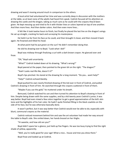drawing and wasn't moving around much in comparison to the others.

A local artist had volunteered her time and was currently deep in discussion with the mothers at the table, so at least none of the adults had heard him speak. Cedrick focused all his attention on drawing the castle and the dragon, taking as much care as he could with the crayons they'd been given. He kept messing up and tried to fix it with thicker lines or colors layered on top of one another. And then more lines. And then darker colors. And then even more lines…

It felt like it took twelve hours to finish, but finally he placed the last line on the dragon's wings. He sat up straight, cracking his back and surveying his masterpiece.

He held it as far from his face as he could, and then brought it closer, and then moved it back again. He frowned and tilted his head.

At what point had he put green on the sun? He didn't remember doing that.

He slid his drawing over to Boyd. "Look what I did!"

Boyd was midway through finalizing a curl with a dark brown crayon. He glanced over and

froze.

"Oh," Boyd said uncertainly.

"What?" Cedrick looked down at his drawing. "What's wrong?"

Boyd peered at the paper, then pointed to the green bit on the right. "The dragon?"

"Yeah! Looks real life-like, doesn't it?"

Boyd's lips pinched. He stared at the drawing for a long moment. "Do you… want help?"

"Help?" Cedrick echoed blankly.

Boyd pushed his own nearly-finished drawing of the kid over in front of Cedrick, and pulled Cedrick's drawing in front of him. He searched through the crayons scattered in front of them.

"Maybe if you use the gold," he muttered under his breath.

Bemused, Cedrick watched his son and then turned his attention to Boyd's drawing in front of him. Despite being drawn with the same supplies, and by a kid twenty years Cedrick's junior, it was way better. Boyd had even mixed a few colors together to get a good approximation of the kid's skin tone and the highlights of his hair color. He hadn't quite finished filling in the black cowlicks on the side of his face, but he was otherwise basically done.

It wasn't perfect, but it was way better than Cedrick would ever be able to do; especially with blunt, communal crayons as the material.

Cedrick noticed movement behind him and saw the art volunteer had made her way around the table to Boyd's side. She smiled down, her hands braced on her thighs.

"Hi sweetie, and how old are you?"

Boyd didn't spare her a glance, just held up five fingers. He was too busy trying to find the right shade of yellow, apparently.

"Well, you're really good for your age! What a nice… house and tree you drew there."

Boyd froze and looked up at Cedrick.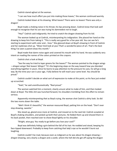Cedrick stared aghast at the woman.

"I can see how much effort you put into making those leaves," the woman continued warmly.

Cedrick looked down at his drawing. What leaves? There were no leaves! There was only a dragon!

Boyd made a choking noise in his throat, his lips pressing down. Cedrick knew that look well enough to recognize that his son was trying his damnedest not to laugh.

"Hey!" Cedrick said indignantly. He tried to snatch the dragon drawing from his kid.

The woman looked up at Cedrick, misinterpreting his indignation. She placed her hand on the drawing to keep him from taking it. "This is really very good for a five year old. You can see he's starting to experiment with color and… lines." She glanced down at Boyd's drawing in front of Cedrick and her eyebrows shot up. "Wow! And look at you! That's a wonderful piece of art. That's the best thing I've seen a parent draw this month."

Boyd made that damn noise again and covered his mouth with his hand. He was suddenly very intent on reading the names of the colors printed on the crayons.

Cedrick shot a look at Boyd.

"See the way he tried to layer greens for the leaves?" The woman pointed to the dragon wings —*dragon wings!* Not leaves! *Wings!!* "It's the beginning steps on the way toward how you blended everything together in yours. Once he learns to pay attention to the pressure he uses, he will go a long way. By the time your son is your age, I fully believe he will reach your same level. You should be proud."

Cedrick couldn't decide on what sort of expression to make at this point, so his face just ended up scrunched.

"Yeah," he said unenthusiastically. "Real proud."

The woman watched him a moment, clearly unsure what to make of him, and then looked down at Boyd. The little shit was hunched forward, his shoulders trembling from the effort to remain serious.

Apparently misinterpreting *that* as Boyd crying, the woman shot Cedrick a dirty look. So did the two moms down the table.

"Well *I* think it's beautiful," the woman reassured Boyd, patting him on the head. "Don't ever stop drawing, sweetie."

She stood up, glared once more at Cedrick, and moved on to the next kid. Cedrick scowled at Boyd's shaking shoulders, and picked up both their pictures. He folded them up and shoved them in his back pocket, then reached over to shove Boyd lightly on his shoulder.

"Alright, wise guy. You ready to go before you lose your cool?"

Boyd was definitely hiding a grin behind the fall of his hair. He nodded and stood, keeping his face tipped downward. Probably to keep from catching that lady's eye so he wouldn't burst out laughing.

Cedrick couldn't be mad, because even as indignant as he was about his dragon drawing *dragon* drawing, very clearly a *dragon* and a *castle*, where the hell did she get off saying the dragon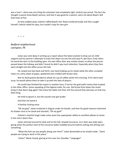was a tree?—there was one thing the volunteer had completely right: Cedrick was proud. The fact she thought a parent drew Boyd's picture, and that it was good for a parent, said a lot about Boyd's skill level even at five.

As they walked away, Cedrick ruffled Boyd's hair. Boyd snickered loudly and then caught himself. Cedrick rolled his eyes, but couldn't stop his own grin.

+ + +

## *Bedford neighborhood Lexington, PA*

Julian was neck deep in writing up a report about the latest asshole to drop out on child support and his partner's attempts to track him down via one hot and sexy PI, aka Yours Truly, when he heard the door to the building open. His own office door was mostly closed, so when the person passed down the hallway and didn't knock he didn't pay much attention. Especially when they then went straight into the office across the hall.

He rocked one foot back and forth, one hand holding up his cheek while the other scrawled notes on a dirty sheet of paper, splattered and crinkled with brown dots.

Not his fault gravity decided to attack his cup of coffee earlier this morning. If his client took issue, he would advise them to take it up with the laws of physics.

He could have finished the report in another hour, if not for the god-awful noises that erupted in the other office. Some squealing of the highest order, for one. Did Krysta from down the street bring in that damn dog again? She *knew* the ladies lost their shit the second they laid eyes on that tiny little thing.

He tried to ignore it, but the sounds only got louder.

And then he heard it.

A familiar fucking voice.

"Oh my god," Julian muttered in disgust under his breath, and then for good measure slammed his drawer shut as he stood and shouted, "Oh my god!"

Cedrick's cheerful laugh made Julian want the superpower ability to manifest pillows to shove in the man's damn face.

Julian stormed around his desk and to the hall. Oswald Insurance, Inc's door was wide open, giving Julian the perfect view of the insurance ladies huddled around Cedrick oohing and ahhing over something.

"What the fuck are you people doing over here?" Julian demanded as he strode inside. "*Some*  people are trying to work in this place."

"Julian!" Marie hissed, glaring at him over her shoulder. "Language!"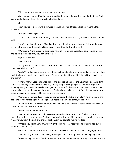"Oh come on, since when do you two care about—"

Marie glared, Linda shifted her weight, and Cedrick looked up with a gleeful grin. Julian finally saw what had drawn them like moths to a fucking flame.

Oh.

Julian slowed to a stop with a grimace. He rubbed a hand through his hair, feeling a little abashed.

"Brought the kid again, I see."

"I did," Cedrick announced proudly. "I had to show him off. Aren't you jealous of how cute my kid is?"

*"I* am." Linda knelt in front of Boyd and smiled at him like he was Krysta's little dog she was trying not to scare. With that alien kid, maybe it wasn't too far from the truth.

"Want some?" she asked, holding out a handful of wrapped chocolate. Boyd looked at it, so she held it closer. "It's okay. You can have some."

Boyd stared at her.

Julian snorted.

"Sorry, he doesn't like sweets," Cedrick said. "But *I'll* take it if you don't want it. I never turn down a good chocolate."

"Really?" Linda's eyebrows shot up. She straightened and absently handed over the chocolate to Cedrick, who happily squirreled it away. "I've never met a kid who didn't like a little chocolate here and there."

"I know, right?" Cedrick grinned at her and clapped a hand around Boyd's shoulders, rocking him into a side hug against his hip. "My boy's really unique. He's going to be someone important someday, just you watch! He's really intelligent and mature for his age, and he can draw better than anyone else—he can do anything he wants. He's already special to me, but I'm telling you now, he's going to become just as special to everyone else someday."

"Yeah, yeah, the world isn't ready for how amazing the kid is, blah, blah." Julian loped to the desk and rested his ass against the edge. "I've heard this a million times, you know?"

"Julian, shut up," Linda said without heat. "You have no concept of how adorable Boyd is. Or Cedrick is, for how he dotes on Boyd."

"None!" Marie peered at Julian.

Julian rolled his eyes. He could have commented on how Cedrick didn't always spend this much time with the kid so he wasn't always *that* doting, but he didn't want to get into it. He pushed himself away from the desk and shoved his hands in his pockets, feeling restless.

"What're you doing here, anyway? With the kid, no less. Doesn't he go to some god-awful summer school bullshit?"

Marie smacked Julian at the same time that Linda kicked him in the shin. "*Language,*Julian!"

"Ow!" Julian grimaced at the ladies, rubbing his arm. "Abusing me won't change my mind."

"We're having a skip day." Cedrick beamed at Julian like he was announcing that Boyd won the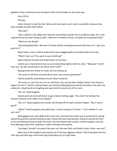goddamn lotto and became the President of the United States on the same day.

Jesus Christ.

This guy.

Julian refused to take the bait. Marie and Linda were much more susceptible, because they were actually friendly little fuckers.

"Skip day?"

"Yep! I called in sick today and I told the school Boyd wouldn't be in academy today. He's such a good kid and has been doing so well, I told him he needed a break. So today we're playing hooky!"

"What are you doing?"

"Everything Boyd likes. We went to Grover Books and played around with some art. I was *very*  good at it."

Boyd made a noise. Cedrick widened his eyes exaggeratedly and looked down at his kid.

"What's that, son? You want to say something?"

Boyd smiled to himself and looked down at the floor.

Cedrick put a hand behind one ear and rocked Boyd lightly with the other. "Whaaaat? I didn't hear you. You got something to say about what I said?"

Boyd grinned and shook his head, still not looking up.

"You want to tell them yourself about how I was *sooooo gooooood?"*

Cedrick playfully rocked Boyd around. Boyd snickered.

"Oh come on, don't be shy. You can tell them. You can tell them Daddy's better than Picasso! Degas! Da Vinci!" Cedrick reached down and started tickling Boyd around the shoulders, the neck, the underarms. Boyd burst out laughing and squirmed all around out of his reach.

"No, no," Boyd laughed.

Cedrick grinned and knelt down to get a better tickling angle. "No what? No tickling? No Picasso? Nooooo one's better than Daddy?"

"No, no!" Boyd laughed even harder and fended off his dad's insistent fingers. "No, it wasn't good!"

"What!" Cedrick gasped and pulled back, a hand resting to his heart. "I can't believe it—my own *son!"*

Boyd giggled and, eyes alight with much more mischief than Julian was accustomed to seeing, darted forward and started tickling his dad. Cedrick fell back dramatically, rolling all around the floor as his son followed trying to tickle him back. Any time Boyd made contact, Cedrick laughed, and any time Boyd got away from retaliation, Cedrick shouted out protests.

"Sacrilege! Scandal! Scoundrel! My own son! My own flesh and blood! Julian! Julian, save me!"

Marie and Linda laughed and jumped out of the way, egging on Boyd. Cedrick bumped into the chair legs and desk legs and human legs pretending to try to get away.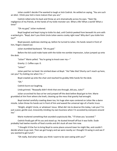Julian couldn't decide if he wanted to laugh or kick Cedrick. He settled on saying, "You are such an idiot. I think your kid is more mature than you are."

Cedrick rolled onto his back and threw an arm dramatically across his eyes. "Slain! By negligence of my friends, at the hands of my tickle monster son. What a life! What a world! What a time!"

"Oh my god," Julian muttered.

Boyd laughed and kept trying to tickle his dad, until Cedrick peeked from beneath his arm with a wicked grin. "Boyd, don't you think Uncle Julian seems cranky right now? Why don't you tickle him too?"

Boyd paused, eyebrows slanting up, before he turned to Julian. His hands raised in front of him, fingers clawed out.

Julian stumbled backward. "Oh my god."

Before the kid could make haste with the tickle-me-zombie impression, Julian jumped up onto the desk.

"Julian!" Marie yelled. "You're going to knock over my—"

Gravity: 2. Coffee cups: 0.

"Julian!"

Julian paid her no heed. He smirked down at Boyd. "*Ha!* Take *that!* Shorty can't reach up here, can you? Try tickling me when I'm—"

Boyd crawled up onto the chair and reached his grubby little hands for the desk.

"Oh."

Cedrick burst out laughing.

Linda grinned. "Reaaaally didn't think that one through, did you, Jules?"

Julian scrunched his face at her and jumped off the desk before Boyd got to him. Marie grumbled at him from where she knelt, cleaning up the mess that gravity had wrought.

Boyd started carefully crawling down too, his huge alien eyes centered on Julian like a damn missile. Julian threw his hands out in front of him and waved the universal sign of a frantic truce.

"Alright, alright! Uncle, or whatever! Jesus. What did I do to deserve this today, I ask you? I'm just a poor, gentle soul, innocently minding my own business when I'm accosted by everyone around me."

Marie muttered something that sounded suspiciously like, "*I'll* show you 'accosted.'"

Cedrick finally got off his ass and stood up. He dusted himself off but it was futile. Dude probably had twelve months of food crumbs and dirt stuck all over him now.

"I thought it'd be fun to bring Boyd to some places around town he might like, and couldn't decide where to go next. Then we got hungry and we were nearby so I thought I'd swing in and see if you wanted to get lunch."

"Oh really. And what makes you think I want to be seen eating with you?"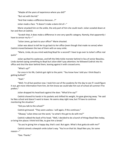"Maybe all the years of experience where you did?"

"But not with the kid."

"And that makes a difference because…?"

Julian made a face. "It doesn't make a damn bit of—"

Marie smacked him on the ankle, the only part of him she could reach. Julian scowled down at her and then at Cedrick.

"Scratch that, it does make a difference in one very specific category. Namely, that apparently I have to censor my fu—"

"Julian Jones, go back to your office!" Marie shouted.

Julian was about to tell *her* to go back to *her* office (even though that made no sense) when Cedrick moved between the two of them with an easy smile.

"Marie, Linda, do you mind watching Boyd for a second? I have to go over to Julian's office real quick."

Julian quirked his eyebrows, and left the little tickle monster behind in lieu of senior Beaulieu. Linda started saying something to Boyd but Julian didn't pay attention; he followed Cedrick into his office and shut the door behind them, leaning against it with crossed arms.

"What's up?"

For once in his life, Cedrick got right to the point. "You know how I told you I think Boyd is getting bullied?"

"Yeah."

"Well, I'm all but positive now. I took him out of the academy for the day to see if I could figure it out, get more information from him, let him know we could take him out of school all summer if he prefers."

Julian dropped his head back against the door. "What'd he say?"

Cedrick shoved his hands in his pockets and shifted his weight, his gaze glancing away. "He said he likes school and doesn't want to leave. He seems okay right now, but I'll have to continue monitoring the situation."

"Did you talk to the school?"

Cedrick grimaced. "They were useless. I will again, if this continues."

"Okaaay," Julian drew out the word, "so what's this got to do with me?"

Cedrick rubbed the back of his head. "Well, I decided to do a bunch of things Boyd likes today, or bring him places I think he'd like, to give him a break."

"So you're giving him a happy day, that's cool. But again. What's that gotta do with me?"

Cedrick aimed a sheepish smile Julian's way. "You're on that list. Boyd likes you, for some reason—"

"Gee. Thanks."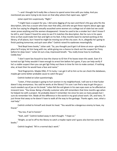"—and I thought he'd really like a chance to spend some time with you today. And you mentioned you were trying to do recon on that alley where that rapist was, right?"

Julian eyed him suspiciously. "Right."

"I might have a suspect for you. I did some digging of my own and there's this guy who fits the description, who has a cousin who lives near that alley, and who we got these reports about ages ago at the Sun saying he allegedly sexually assaulted some women at a college out of state but we could never prove anything and the women disappeared. I know he used to be a smoker but I don't know if he still is, and I haven't heard his voice to see if it matches the description. But he runs in his spare time so that could make him fast and light on his feet. A few months back he started working at the library, of all places, but I heard he might be moving out of the city soon. As in, allegedly he's going to finish packing tomorrow, and quit soon after." Cedrick raised his eyebrows meaningfully.

"And Boyd loves books," Julian said. "So, you thought you'd get it all done at once—give Boyd a place he'll enjoy, let him hang with me, while giving me a chance to check out the suspect for Finny before he skips town." Julian let out a low, impressed breath. "You really know how to multitask, Ceddy boy."

"I don't want Sex Assault to lose the chance to ID him if he leaves town this week. Even if it turned out Sgt Finley wouldn't have enough to arrest him before he's gone, if you can help verify if he's a viable suspect then you can get Sgt Finley out there in time for him to make contact. If nothing else, at least then he would have a face and name."

"And fingerprints. Maybe DNA, if I'm lucky. I can get it all to him so he can check the databases, maybe get some better probable cause to catch the guy."

Cedrick looked at Julian questioningly.

"Listen, if that asswipe is going to hurt women in my neighborhood, I will see to it that fucker doesn't stay anonymous. You said he works at the library? I'm sure I can find a way to get the guy a much-needed cup of joe on his break." Julian felt the evil gleam in his own eyes even as he affected an innocent tone. "You know. Being a friendly customer who still remembers that time months ago when he helped me with a project. He probably doesn't remember me since he sees so many people but I sure do remember him. Made all the difference in the world in my grad school work. Oh, and here, I'll just throw that away so he doesn't have to walk all the way to the garbage. Thanks again, man, what a real help."

Cedrick smiled to himself and shook his head. "You would be a dangerous enemy to have, my friend."

"You too, if we're honest."

"Yeah, well." Cedrick looked away in dark thought. "I hope so."

"Alright, so we're off to the library to catch a maybe-rapist and I guess also borrow some kids books."

Cedrick laughed. "All in a normal day's work."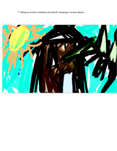*\*\* Being an artistic rendition of Cedrick's drawing in Grover Books:*

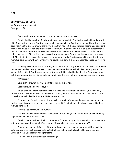### *Saturday July 16, 2005 Vickland neighborhood Lexington, PA*

"–and we'll have enough time to stop by the art store if you want."

Cedrick had been talking for eight minutes straight and didn't think his son had heard a word of it. Boyd trotted along at Cedrick's side, small hand engulfed in Cedrick's palm, but his wide eyes had been roaming the streets around them ever since they had left the used clothing store. Cedrick didn't know what it was that had the five year old so intrigued, but it had left him in an even quieter mood than normal. Used to his son's quirks, and accustomed to comfortable silence with his wife, Cedrick didn't think much of it. He filled the gaps with stories and plans for the day the same way he always did. After their highly successful skip day the month previously, Cedrick was making an effort to have more fun days alone with Boyd whenever he could eke it out. This month, Saturday ended up working best.

As they passed down a main thoroughfare, Cedrick felt a tug at his hand and looked back. Boyd had slowed nearly to a stop, his head craning at an awkward angle as he looked intently to the side. When his feet stilled, Cedrick was forced to stop as well. He looked in the direction Boyd was staring, but it was too crowded for him to make out anything other than a bunch of people and some stores.

"What is it?"

Boyd didn't answer. His fingers tightened on Cedrick's hand.

Cedrick crouched down. "Boyd?"

He brushed fine blond hair off Boyd's forehead and tucked it behind his ear, but Boyd only frowned at first. His amber eyes flicked over to Cedrick, back to the shadows, and then with a tick in his eyebrows he looked hesitantly at his father once again.

For a second, Cedrick thought his son might be afraid of whatever he saw, and was about to tug him along in case there was unseen danger he couldn't detect, but when Boyd spoke all Cedrick felt was perplexed.

"Are we… so very much in a hurry?"

The way that kid worded things, sometimes… Good thing Julian wasn't here, or he'd probably upgrade Boyd to a British alien now.

"Well…" Cedrick rubbed the back of his neck. "I don't know, really. We need to be somewhere at four but we have time. Why? What's wrong? Do you have to go to the bathroom?"

Boyd scrunched up his face, as if the very thought of him needing to do something so plebeian as to pee at a time like this was insulting. Cedrick had to hold back a laugh; all he could see was Vivienne in that unnecessarily haughty stare.

"So, I'm… not in trouble if I see something?"

# **Six**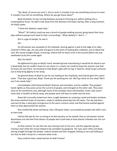"No, Boyd, of course you aren't. You're never in trouble if you see something and you're never in trouble if you tell me something. Where do you get these ideas?"

Boyd hesitated, his lips moving between pursing to thinning out, before settling into a contemplative frown. He didn't look away from the direction he'd been staring. After a long moment, he finally spoke.

"I think the skeleton needs help."

"What?" All Cedrick could see was a bunch of people walking around, going about their busy days without paying much heed to their surroundings. "What skeleton? I don't—"

But in a gap of people, he saw it.

Her.

An old woman was sprawled on the sidewalk, leaning against a wall at the edge of an alley. Covered in filthy rags, she was pale and gaunt to the point of looking like a skeleton, just as Boyd had said. She stared straight ahead, unmoving. Cedrick felt his heart lurch in the second before she was swallowed up by the crowd again.

### Was she dead?

He tightened his grip on Boyd's hand, wondering how traumatizing it would be for Boyd to see a dead body, but he couldn't leave his son alone in a crowd, nor could he leave the woman now that he knew she was there. He resolved to hide Boyd's sight with his leg, if need be, while he got someone out to help bring dignity to her body.

He glanced down at Boyd to see his son looking at him hopefully, and Cedrick gave him a grim smile. "That was a good eye, Boyd. Thank you for pointing her out. We'll go check on her, okay? We'll see if she needs help."

Unmistakable relief loosened Boyd's features and shoulders, and he nodded. They gripped hands tightly as they wove across the current of people, and emerged on the other side. They were close to the storefronts now, although many of the windows were still boarded. Crater Lake wasn't more than a handful of blocks away, and people were still leery to settle into the area.

Noise felt unusually muted over here, caught between an unseeing crowd and broken windows like sharp-toothed maws of monsters, ready to swallow passersby into the abyss. The sky had been overcast all day, a steel grey incongruous to the warm summer wind, and that breeze worked against them as they approached the woman.

She smelled like death and decay. Like a life gone rotten, surrounded by people who didn't care to even look.

Cedrick felt pity for her as strong as he felt injustice on her behalf; that an old woman should decompose not two feet from dozens of people who could have at least placed a blanket over her out of respect.

As they neared, he saw that she was missing most of one arm, and the opposite leg was missing a foot while the stump looked to be overtaken by gangrene. Her eyes were milky and dead, staring straight through the people. Cedrick slowed and then stopped, feeling so very sad looking at her that he didn't know for a moment what to do.

How could he help a dead woman he didn't know?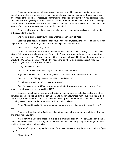There was a time when calling emergency services would have gotten the right people out there but now, after the bombs, the system was still skewed. So many people continued to die from aftereffects of the bombs, or repercussions from limited food and shelter, that it was pointless calling the cops. Better to go straight to the source on this one. He didn't know what sort of burial she might have wanted, but he could at least call the Medical Examiner's office. Maybe he could track her in the system after her autopsy, assuming they gave her one at all.

They probably wouldn't. At her age and in her shape, it seemed natural causes could be the only reason for her death.

She would probably get thrown out as another Jane in a city of Does.

Cedrick sighed heavily. He reached for Boyd's head blindly, feeling the soft fall of hair catch his fingertips, and tried to turn Boyd's face toward his thigh. He felt Boyd resist.

"What are you doing?" Boyd asked.

Cedrick dug in his pocket for his phone and looked down at it to flip through his contacts list. Maybe Bell would know a better option. Cedrick didn't want the woman thrown out as a Jane Doe with nary a second glance. Maybe if she was filtered through a hospital first it would somehow help. Would the ME come out, anyway? He hadn't needed to call them on a situation exactly like this before. Maybe there was protocol to follow.

"Dad, you have to hurry!"

"It's too late, Boyd. Don't look. I'll get someone to take her away."

Boyd made a noise of discontent and jerked his head out from beneath Cedrick's palm.

"No! You said you'd help. You said you'd help the skeleton!"

"I *am* helping, Boyd, but it's too late to do any—"

"No! You have to call 911! We're suppose to call 911 if someone is hurt or in trouble. That's what the book says, dad! Are you calling 911?"

Cedrick sighed, holding the phone at his side for the moment as he looked sadly down at his son. He'd been hoping to hold off explaining death to his son a few more years. But Boyd was a child of the war, born into death, so that had only been naive optimism on Cedrick's part. In truth, Boyd probably already understood it better than Cedrick liked to believe.

"Boyd," he said heavily. "Sometimes, when people are very old or very sick, even 911 can't save—"

Boyd glared, yanked out of Cedrick's hold and ran over to the woman. He knelt in front of her and shook her shoulders.

Alarm sprung in Cedrick's chest. He sucked in a breath and ran after his son. All he could think of was the possible illnesses festering on the woman, and his baby boy getting something that could land him sick or dying in a hospital—

"Wake up," Boyd was urging the woman. "You have to wake up. My daddy won't call 911 if you don't."

"Boyd! Stop—"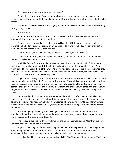"You have to stop being a skeleton so he sees—"

Cedrick jerked Boyd away from the body, about ready to yell at him in an uncharacteristic display of anger, borne of fear for his safety. But before the words could form, they died instantly in his throat.

The woman's eyes had shifted; just slightly. Just enough to settle on Boyd's face before staring through him, as well.

She was alive.

Right up next to the woman, Cedrick could now see that her chest was moving. A most imperceptible of movements, but life nonetheless.

Cedrick's heart stumbled over itself as he quickly dialed 911. He gave the operator all the information he had in a daze, requesting an ambulance code 3, and watched as his son knelt at the woman's side and patted the only hand she had.

"Good," he said, as if she were a dog to be praised. "Now you'll be okay."

Cedrick couldn't bring himself to pull Boyd away again, this time out of fear that his son was the only thing keeping her in this world.

It felt like forever for the ambulance to arrive, even though he knew it couldn't have been more than a handful of stretched-brittle minutes. When the paramedics descended on her, Cedrick finally pulled Boyd back and out of the way. The crowd had stilled briefly at the drama, but when they saw it was just an old woman and she was already being loaded onto a gurney, the majority of them continued on their way without a second glance.

Anger rushed through Cedrick, tempestuous and impatient. He wanted to yell at them; wanted to demand why the hell they didn't care about this woman. Why their lives were so much better than hers, just because they weren't old and alone and seemingly forgotten. He wanted to yell out how pathetic their city was if the only one who saw the woman, the only one who cared, the only one who *fought* for her, was a five year old boy who must have barely been able to glance her through the crowd.

He resolved in that moment that, just as he had decided to do after the war had taken his family, he wasn't going to stand silent about this. No matter what happened with that woman, he was going to track down her story come hell or high water and he was going to write a goddamn feature piece about her and her life in the Sun—or, if they wouldn't have it, he'd get it in the next Journalist Guild release.

She wasn't going to be forgotten any longer. No matter if she lived or died after those ambulance doors shut, she would be remembered more than any of those assholes would be, who had dismissed her the second they'd seen her.

The furious indignation didn't leave him until the ambulance was loaded. After they took off, Cedrick turned and looked down at his son.

Boyd was watching the ambulance disappear with a worried expression that only heightened when he regarded his father. Cedrick made a conscious effort to remove the tension from his shoulders, his features, so his son wouldn't mistakenly think it was directed at him.

He pulled Boyd into a one-armed hug against his hip. "We'll see what happens, okay? We'll go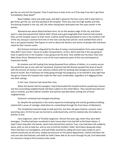get the car and visit the hospital. They'll need time to look at her so it'll be okay if we don't get there immediately. Okay, Boyd?"

Boyd nodded, silent and wide-eyed, and didn't speak for the hour and a half it took them to get home, get the car, and find parking at the hospital. There was only one high quality and fully functioning hospital in the city, still; the other having been destroyed over five years earlier in the bombs.

Westwind was where Boyd had been born, far on the western edge of the city, and there wasn't a day that passed that Cedrick didn't thank every god imaginable that Vivienne had insisted they use the hospital nearer to their home. Cedrick would have gravitated to one in the southern half of the city, because a woman he'd met on the train one day had said her uncle worked there and it was a very good hospital. She'd gone on and on about the doctors and stories of people who had been saved by their trauma center.

But Vivienne had been disgusted by the idea of using a recommendation from some stranger they didn't even know—found on public transportation, no less. She'd said that if she was going to have to spend time in the hospital, it was going to be the best. And, settled over by Glass Town and West Shore Drive, Westwind was in one of the most expensive parts of the city and boasted an impressive facility.

At nineteen and still reeling from being disowned from millions of dollars, in a country across the world that was at war with her homeland, Vivienne had still directly equated the level of worth with the amount of money it cost, whereas Cedrick with his working class background saw worth in word of mouth. But it had been her body going through the pregnancy so he had felt it only right that she got to choose the hospital that made her feel most comfortable, regardless of it digging further into their savings.

In this case, Vivienne had saved their lives.

When the bombs had hit Lexington, they'd decimated the hospital Cedrick would have chosen, and the surrounding neighborhoods had been subject to the initial fallout. They would have died one way or another, just like Cedrick's brother and parents had died when visiting one of those neighborhoods.

Vivienne's contempt had changed everything.

So, despite the pomposity in the overly expensive landscaping and overtly grandiose building, Cedrick felt a sense of nostalgic relief when he rushed Boyd through the front doors of Westwind.

The receptionist seemed ready to look past him, but then she gave Cedrick a second, more searching stare. At first he was too harried to understand why, until he realized why she looked so familiar to him.

Cara Jorgenson, sister of Timothy Jorgenson. Almost five years ago, when they were both teenagers, Timothy had been murdered in their house when Cara had left to find food rations. It hadn't been long after the bombs, which had claimed their parents' lives. Cara had been left suddenly alone, with no one to help her, and no one to find her brother's killer. She'd been desperate when there had been no investigation, and had finally resorted to calling the local news media to see if anyone would pick up the story, maybe put pressure on the police department. Cedrick had been the only one who had listened, and while he hadn't been able to do much through his job, he'd exhausted his resources trying to find someone who could.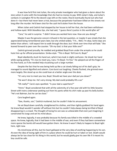It was how he'd first met Julian, the only private investigator who had given a damn about the story when it came with the knowledge that she had no money to pay. With Julian's help, and Julian's contacts in Lexington PD to the decent cops left on the roster, they'd eventually found out who had done it—but there had never been a trial, because the perpetrator had been killed on the streets not long after the murder. He'd been shot for the cash he'd stolen from the house.

When Julian and Cedrick had stopped by her house to tell her that, she had been withdrawn and hollow-eyed. With bloodless lips, she had said, "*I guess there's justice in this world after all."*

"Cara," he said in surprise. "I didn't know you worked here now. How are you doing?"

Maybe it was the genuine concern infused in the last question, or maybe it was simply that she appreciated being remembered years later, but she smiled widely. "I'm… Well, I'm okay. Some days are better than others. I still expect him to walk through the door, but I think over time that will fade." She leaned forward to peer over the counter. "Oh my God. Is that your little one?"

Cedrick grinned proudly. He nodded and grabbed Boyd from under the armpits so he could hoist him up for official presentation. Simba-style. "This is Boyd. Tell Cara hi, Boyd."

Boyd obediently stuck his hand out, which Cara took in slight confusion. He shook her hand while saying politely, "It's nice to meet you, Cara. I'm Boyd. I'm five." He splayed out all the fingers of his free hand, as if she needed help visualizing such a large number.

Despite the fact that he was being held up like a cat slowly falling out of his dad's grip, he managed to sound dignified and solemn. Cara burst out laughing. Cheeks flushed, she grinned even more largely. She stood up so she could lean at a better angle over the desk.

"It's very nice to meet you too, Boyd. Should we have your dad put you down?"

"He won't drop me. He's very strong. My dad could probably lift a car."

"Oh really?" Cara's eyes sparkled. "Is your dad a superhero?"

"Hmm." Boyd considered that with all the solemnity of a five-year-old with his little Sesame Street with trains underwear peeking out from his pants while his shirt rode up past his belly button. "He's not Batman, but he can be close."

Cara laughed again.

"Gee, thanks, son," Cedrick muttered, but he couldn't hide his amusement.

He set Boyd down carefully, straightened his clothes, and then tightly grabbed his hand again. He knew Boyd wouldn't wander off without him but he couldn't help always being terrified of Boyd disappearing in a crowd. The thought of losing his son was so unbearable that even just imagining it constricted his lungs and set his mind abuzz.

He knew, logically, it was probably because his family was killed in the middle of a crowded space. He knew, logically, that it had been in the middle of war, and even if they had been somewhere more sparse the bomb still would have gotten them. He knew it wasn't likely to happen to Boyd right here, right now.

His mind knew all this, but his heart galloped at the very idea of anything happening to his son. At even the idea of losing sight of him in a place where he could be hurt or taken or lost. Death would always be far too close for his liking in this world, but he would gladly give his own life if it meant his boy could be safe.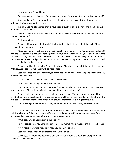He gripped Boyd's hand harder.

"So, what are you doing here?" Cara asked, eyebrows furrowing. "Are you visiting someone?"

It was a relief to focus on something other than the mental image of Boyd disappearing, although the topic was hardly less dire.

"Actually, yes. An old woman should have been brought in about an hour and a half ago. We wanted to check her status."

"Hmm." Cara dropped down into her chair and swiveled it back around to face the computers. "What's the name?"

"I… have no idea."

Cara gave him a strange look, and Cedrick felt oddly abashed. He rubbed the back of his neck, his head tipping downward slightly.

"Boyd saw her on the street. She looked dead, but she was still alive. Just very sick. I called 911 and the EMS said they'd bring her here. I promised Boyd we'd check up on her, but I don't know what room she'd be in, and I don't know who she was. She looked like she'd been living on the street for months—maybe years, judging by her condition. And she was an amputee. Is there a way to find her? I can describe her further if you need."

Cara chewed her lip, studying Cedrick, then Boyd. She glanced thoughtfully over her shoulder. "Maybe. Just a sec—let me check with someone first."

Cedrick nodded and obediently stayed at the desk, quietly observing the people around them, while she hurried away.

"Do you think the skeleton wants candy?" Boyd asked.

Cedrick blinked and regarded his son. "What?"

Boyd looked up at him with his huge eyes. "You say it makes you feel better to eat chocolate when you're sad. The skeleton might be sad. Should we buy her chocolate?"

Cedrick smiled and smoothed hair back over Boyd's head. "You're a sweet kid, Boyd. Never lose that. But she probably can't eat chocolate right now. She's sick, and hospitals give healthy food to sick patients to make them better faster. If we brought chocolate, we'd just get in trouble."

"Oh." Boyd regarded Cedrick for a long moment and then looked away decisively. "A book, then."

The smile turned a touch sad, as Cedrick wondered whether she would even be alive for them to bring a book, or if she could see even if she was. He didn't know if her blurred eyes were from disease and exhaustion or if something more had clouded her irises.

"We'll see," was all Cedrick could think to say.

He was spared from having to think of something more by Cara reappearing, her face flushed.

"I just heard the whole story from Kate. You said Boyd saw her?"

Cedrick nodded. "He wouldn't let me leave until I called 911."

Cara's eyes brightened to near tears, and she rushed around the desk. She dropped to her knees and pulled Boyd into a hug.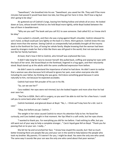"Sweetheart," she breathed into his ear. "Sweetheart, you saved her life. They said if five more minutes had passed it would have been too late, but they got her here in time. She'll lose a leg but she's going to be okay."

Air guttered out of Cedrick's lungs, leaving him feeling hollow and whole all at once. He looked down at Cara, whose breath hitched as she held Boyd more tightly, while Boyd looked between the two of them in bewilderment.

"Why are you sad? The book said you call 911 to save someone. Dad called 911 so I knew she'd be okay."

Cara sucked in a breath, and then she was crying against Boyd's shoulder. Cedrick released his son's hand, so Boyd could pat Cara lightly on the back in a *there, there* gesture. Cedrick knew this was about more than the woman. Seeing Cedrick so unexpectedly had probably brought all the trauma back to the forefront for Cara, of losing her whole family. Maybe knowing that the woman had been saved by strangers made her feel a little like there was still good in the world, that not everyone was lost like her family had been.

At least, that's how it felt to Cedrick, who himself was orphaned like Cara.

It didn't take long for Cara to recover herself. She pulled back, sniffing and wiping her eyes with the back of her wrist. She kissed Boyd on the forehead, lingered in a hug again, and then reluctantly stood. Boyd stared up at the adults with the same unaffected expression from before.

He didn't seem to understand the importance of what he had done. He didn't seem to realize that a woman was alive because he'd refused to ignore her pain, even when everyone else did. Including his own father, by thinking she was gone. He'd done something good because it came naturally to him, not because he expected accolades.

Cedrick had never felt prouder of his son in his life.

"So, can we see her?"

Cara nodded. Her eyes were red-rimmed, but she looked happier and more alive than he had ever seen her.

"She'll be in 820A. She's still in surgery, so you won't be able to visit her for a few hours. I could call you to come back when she's ready?"

Cedrick hesitated, and glanced down at Boyd. "No, I… I think we'll stay here for a bit. Just in case."

"Okay, but before you go. Cedrick…"

The weight in her voice caused Cedrick to return his attention fully to her. He faced her curiously, and Cara looked caught in that moment. Her lips lifted in a soft smile, but her eyes shone.

"I wanted to thank you. For everything you did for me before. I had nothing to offer, but you still went out of your way to help a complete stranger…" Cara's liquid gaze fell on Boyd. "Thank you for passing that on to your son. I really…"

She bit her lip and scrunched her face. "I know how stupid this sounds, but I feel so much better knowing there are people like you and your son in the world to help balance the people who took my brother. My parents. If it weren't for you, I might be dead. You were the only one who cared. The same way it sounds like your son was the only one who cared about that poor woman."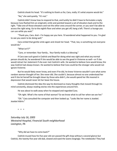Cedrick shook his head. "It's nothing to thank us for, Cara, really. It's what anyone would do."

"No," she said quietly. "It's not."

Cedrick didn't know how to respond to that, and luckily he didn't have to formulate a reply because Cara flashed him an enigmatic smile and pointed toward a set of elevators back and to the right. "Take one of those elevators and not the other ones around the corner, or you won't be able to access the right wing. Go to the eighth floor and when you get off, hang a left. There's a lounge you can use while you wait."

"Thank you, Cara. And—I'm happy see you here. I'd wondered what happened to you. I'm glad to see you seem to be doing well."

Cara smiled that gentle smile again and shook her head. "That, too, is something not everyone would do."

"What isn't?"

"Care, or remember. Your family… Your family really is a blessing."

If Cara saw such good in Cedrick and Boyd for doing what was right and what any normal person should do, he wondered if she would be able to see the good in Vivienne as well—or if she would retract her statement if she ever met Cedrick's wife. He wanted to believe Cara would know, the way Cedrick had always known. He wanted to believe that Cara could be the stranger who would not ignore Vivienne.

But he would likely never know, and even if he did, he knew Vivienne wouldn't care what some random woman thought of her. She never did. She couldn't, because almost no one understood her and if she let herself be brought down by those who didn't, she would spend her life moored in depression that would never let her leave the house.

Cedrick dismissed the idea the way he dismissed so many thoughts that moved through his mind constantly, always reading stories into the experiences around him.

He was about to walk away when he stopped and regarded Cara.

"Oh right. What's the name of that woman? So we know what to call her when we see her."

"Oh." Cara consulted the computer and then looked up. "Looks like her name is Jezebel. Jezebel Aldrin."

+ + +

*Saturday July 16, 2005 Westwind Hospital, Financial South neighborhood Lexington, PA*

"Why did we have to come back?"

Cedrick mused how his five year old son passed the gift shop without a second glance but Cedrick, the twenty-five year old dad, slowed and eyed the wares longingly. The notebooks! They had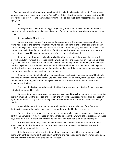his favorite sizes, although a bit more melodramatic in style than he preferred. He didn't really need something gold and flowery proclaiming "be well" on it, but—but then again, it looked like it would fit into his back pocket well, and there was something to be said about hiding important notes in plain sight, and…

#### No.

Shaking his head to himself, he tugged Boyd along as he sped his walk. He had entirely too many notebooks already. Soon, they would run out of room in the library and Vivienne would not be pleased.

She actually *liked* the library.

On the rare days she wasn't working or doing errands or otherwise engaged, sometimes he found her curled in the library's corner chair with her hair tumbling over her shoulder as she slowly flipped the pages. Her free hand would be curled around a warm mug of jasmine tea with milk. Once upon a time she had scoffed at the addition of milk but after his mom had introduced it to her, she had continued to add it even on her own, even after his mother had passed.

Sometimes on those days, when he walked into the room and if she was really taken with a story, she wouldn't notice his presence until he was behind her and kissed her on the neck. On those days she would turn, startled, and her sky blue eyes would be unguarded. He would get the luxury of her flushing cheeks, and a flash of the smile that had broken his heart and mended it back together the first time he'd seen it. A genuine, brilliant pull of her lips that brightened her entire face and made her, for once, look her actual age, if not even younger.

It would remind him of when they had been teenagers, back in France when they'd first met. The time it had taken him to win her over, to convince her he wasn't just trying to use her or hurt her; that he wasn't mocking her or demanding she become an entirely different person to become someone worthwhile.

The time it had taken her to believe in the idea that someone could like her for who she was, not who they wanted her to be.

On those library days they were years younger again, and it was the first time he saw her smile, the first time he heard the clear bell of her laugh, the first time she gripped his hands and danced on light feet backward, facing him and smiling while the wind swept her hair into a pirouette circling to the sky.

It was all the many firsts in one moment; all the times he got a glimpse of the fierce and lighthearted woman she might have been if her grandmother had let her be human.

On those days, she would kiss him on the cheek and run her fingers through his hair, gently, so gently, and he would rest his forehead on her and take solace in the warmth of her presence. On those days, they were a team again, and nothing he'd done or not done had ever pulled them apart.

But those were rare days, when he had the chance to see that breathless smile. Rare days, when she didn't look at him the second he walked into the library with her flawless features that couldn't help being guarded even at home.

Still, she was more relaxed in the library than anywhere else. Still, she felt more accessible there, with her blond hair a gentle roll down her front, and her shirt dipping down over one shoulder, and her eyes the most beautiful blue he had ever seen.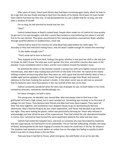After years of stasis, those quiet library days had been increasing again lately, which he took to be a sign that she was finally starting to heal from the death of his family. She'd been hit even harder than Cedrick had been by their loss. It had devastated her to such a depth that for so long, she had been a shadow of herself.

For so long, he had worried he would lose her, too.

"Dad?"

Cedrick looked down at Boyd's cocked head. People often made fun of Cedrick for how quickly he got lost in his own thoughts, and after a point they tended to stop bothering him about it and left him to his own devices. They grew accustomed to him leaving questions unanswered. Boyd, whether through youthful oblivion or stubbornness, never did.

Cedrick had to search his memory for what Boyd had asked before he could reply. "It's Saturday so they had restricted visiting hours, and she wasn't stable enough for visitors this morning."

"Is she stable enough now?"

"That's what we're here to find out."

They stopped at the front desk, finding Cara gone; whether it was past her shift or she was just on break, he didn't know. The stop was much quicker this time, and within minutes they were in the elevator. It was completely silent in there, and for once Cedrick missed the elevator music.

He watched the others in the elevator instead: a young man with arms tightly crossed and redrimmed eyes, who didn't stop rocking back and forth on the balls of his feet. He stared at the slowly shifting numbers announcing what floor they were on, with a gaze that burned intently. Next to him, a middle-aged woman gripped a little girl's hand; the girl looked younger than Boyd, and seemed oblivious to the tears tracking the woman's cheeks. In the other corner was an old man so wizened that his features were mere fluctuations in the rise and fall of the skin on his face.

Cedrick constantly wondered what the story was of people he saw. He built fables in his mind; sometimes dramatic, sometimes heartbreakingly not.

For these strangers, he built a story:

The young man, he decided, was named Max. Max had always tried to find love in the girlfriends he'd had in high school, but it never worked out. Something was missing. In his first year of college, he met Trevor. They became best friends and Max had never been happier. They spent all their free time together, and sometimes even skipped classes to go on spontaneously-devised adventures. Max's favorite thing to do was urban exploration, and Trevor had decided to go with him last night. They were looking for ghosts, which was particularly alarming for Trevor who refused to acknowledge just how afraid he was of the supernatural. They had visited the old, abandoned hospital in Carson City; rumored to have housed the worst psychiatric patients the state had ever seen.

Cedrick had visited the hospital once, and even as someone who was fascinated by mysteries and the supernatural, he had found it to be unbearable. The air had felt suffocating, metallic; the taste of blood, accompanied by the faint ringing of screams he swore he could hear in the far, far distance. The shadows had seemed so much darker, an umber hue on the edges but fading so quickly to pitch black it was akin to sharp drops in the sea floor.

That was how it had felt to Trevor, when he'd gone: the cold flutter of air on his skin like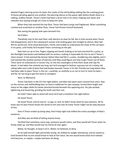skeletal fingers dancing across his back; the creaks of the old building settling like the cracking groan of bones grinding against one another; the piercing silence as the pause right before Death drew in a rattling, endless breath. Trevor's heart had been a drum line in his chest; tripping over beats and melodies but staying enough of a tune to keep him alive.

When they had reached the top floor, Trevor had been jumpy and frightened. When something crashed and screeched on another floor, Trevor had thrown himself backward.

Not seeing the gaping hole open beneath him.

He'd fallen.

Thankfully only to the next floor, with detritus to slow his fall. But in that second when Trevor had disappeared, and in the subsequent scream and choking gasp shot straight to silence, Max had felt his world end. He'd raced downstairs, frantic and unable to understand the maze of the corridors in his panic, until finally he'd located Trevor unmoving on the pile.

Max had run up to him, fingers slipping and hands shaking as he had searched for a pulse, as the flashlight had woven and bobbed with his actions, making it impossible for him to see if Trevor's chest moved. It had seemed like forever before Max had felt it: a pulse, shuddering only slightly, and it had seemed like another portion of eternity until Max could figure out how to get Trevor out of there. There were no ambulances in Carson City, no one but scavengers to find them weak and ripe for attack. It had taken him entirely too long, but he'd managed to fashion a gurney out of a rickety old rolling table and a slab of desk that had broken beneath Trevor in his fall. Entirely too long before Max had been able to place Trevor in the car—carefully, so carefully so as not to hurt or twist his back and far, far too long to get him back to Lexington.

Here, to Westwind.

Trevor had been in the ICU the night before, and Max had spent every second here since. Raw on the corners and withholding tears so hard it reddened his eyes anyway; turned them bright and sharp on the edges while his hands clenched buried beneath the opposing arm. His jaw worked; tightening and loosening, grinding the teeth and then not.

He hadn't been able to stand still since he'd had a revelation the night before:

He loved Trevor.

He loved Trevor, and he was bi—or gay, or, hell, he didn't know what he was anymore. All he knew was his best friend meant the world to him and now he knew Trevor might not be okay because of him.

Even if Trevor ended up being okay, that Friday night had shifted the entire paradigm of Max's existence.

And Max was terrified of letting anyone know.

Terrified that somehow, some way, someone would notice, and they would tell Trevor when he finally woke up, and Max would lose his friend all over again.

Better, he thought, to keep it all in. Better, he believed, to deny.

So he held himself tight and brittle-strong. He shifted his weight relentlessly, and he stared so hard forward that no one would know to look at him twice. No one would know what he'd realized he'd become, or maybe—maybe had been all along.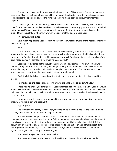The elevator dinged loudly, drawing Cedrick sharply out of his thoughts. The young man—the ostensible Max—let out a quiet hiss and all but ran out of the elevator. He left in long-legged strides, loping across the open area toward the windows showing a helplessly bright summer afternoon beyond.

Cedrick sighed and leaned back against the elevator wall. He'd liked the story he'd started to build for the man he'd randomly named Max. Now he was sad to see the guy go, and was too attached to the mythical Trevor to want to commit himself to a story for the other occupants. Even so, he studied them thoughtfully when they weren't looking, until the doors dinged again.

This time, it was his stop.

Boyd fell in step beside Cedrick, weaving through the twists and turns of the hospital until they reached their goal.

#### 820A.

The door was open, but at first Cedrick couldn't see anything other than a portion of a crisp white hospital bed, closed cabinet doors in the back wall, and a window with the blinds pulled down. He glanced at Boyd as if to silently ask if he was ready, to which Boyd gave him the silent reply of, "*I've been ready all along, I don't know what* you're *talking about."*

Cedrick's lips twitched at the thought that he was building stories for his own son now, too. Always putting words to others' actions; meaning to their glances. It had been that way for him his whole life. Maybe it was why he could read into people like Vivienne and find the woman to love when so many others stopped at a person to hate or misunderstand.

To Cedrick, it had always been about the depths and the uncertainties; the silence and the stories.

He knocked on the door lightly, peering around the edge as he called out, "Hello?"

There was no answer, and inexplicably Cedrick glanced at Boyd again. Like a five year old would know any better what to do in this case than someone twenty years his senior. Cedrick almost snorted to himself, but thought that it might make him seem even odder to poor Jezebel than he was liable to be on his own.

He stepped into the room, the door creaking in a way that made him wince. Boyd was a dark shadow at his hip, silent and observant.

#### "Ms. Aldrin?"

The room seemed empty at first. Then, they moved so they could see around the half-drawn curtain, and Cedrick found the woman lying on the bed.

She looked only marginally better. Death still seemed to have a hold on the old woman, if nowhere stronger than her expression. An IV fed into her wrist, there was a bandage over the edge of her missing arm, and the sheet traveled over one long and knobbly leg to her foot, while it fell to an abrupt halt on the other thigh. Her skin looked paper-white and just as thin and fragile; great dark circles pressed around her eyes as the shadows in a skull, and her collarbone rose as a mountain against the ridges of her chest just above her gown.

But it was her eyes that made Cedrick ache.

She stared sightlessly at the meeting of the ceiling and the wall, hardly blinking, hardly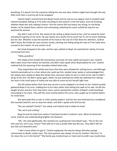breathing. If it weren't for the machines telling him she was alive, Cedrick might have thought she was little more than a mummy yet to be wrapped.

Cedrick hadn't noticed he'd lost Boyd's hand until he saw his son appear next to Jezebel's bed. Cedrick hesitated, feeling as if he were intruding on the woman in the first place, and not knowing whether Boyd was only making it worse—but the silence felt too heavy, too strong, to risk being broken. So he stayed there, electric and unknowing; watching the scene unfold the way his son watched the woman.

She didn't react at first. She stared at the ceiling as Boyd stared at her, until he raised his hand and placed it gently on her wrist. He was clearly very careful not to touch her IV, not to touch anything but her skin. Whether it was the warmth of his hand or the size of it that drew her attention, Cedrick didn't know. But finally her eyes moved; slowly, catching and sliding along the way as if her body were unused to the motion. Or any motion at all.

Her head dropped to the side, and her eyes settled on Boyd. He watched her calmly, his hand unmoving from hers.

"Hello, grandma."

The intake of her breath felt momentous and loud, for how subtle and quiet it was. Cedrick didn't dare move from where he hovered, and didn't dare speak when Boyd patted her arm. Cedrick realized that the wavering of her shoulders belied silent sobs.

They stayed there the whole two hours that they were allowed for visiting hours, and although Cedrick eventually sat in a chair where she could see him, Jezebel never spoke or acknowledged him. Her watery eyes stayed on Boyd the whole time, and even when he sat in a chair at her side he didn't let go of her arm. He didn't speak again, either; he just watched her while she watched him; letting her exist in the small space of reality she was able to carve out for herself right now.

She fell asleep before their time was up and a nurse stopped in to check on her. Cedrick quietly gathered Boyd in his arms, holding him to his chest rather than letting him walk at his side. He felt the weight of pain and loss from that silent room, and he wanted the comfort of Boyd's small heartbeat resounding in his chest. They left the room shortly before the nurse, who caught up to Cedrick before he could leave.

She wore pale blue scrubs in a faint paisley pattern, and her hair was held back by a headband. She touched Cedrick's arm to slow him down, and didn't speak until he'd turned.

"Are you Jezebel's family?" she asked, and Cedrick had to shake his head.

"No, we're just visiting."

Boyd turned his head from where it had been buried in Cedrick's neck. When he faced the nurse, Cedrick saw understanding brighten her features.

"Oh," she said significantly. She reached out, pushing hair from Boyd's eyes. "You're the one who saw her, aren't you, honey? They told me it was a pretty little boy like you. They *didn't* tell me you had such beautiful eyes."

"I don't know where he got it," Cedrick explained, the way he always did when people commented on Boyd's amber eyes. The next question was always 'oh are his mother's like this?' or 'oh, does this run in the family?' "My family was mostly brown or hazel and my wife's was mostly blue.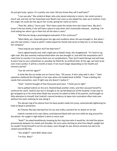He just got lucky, I guess. It's a pretty rare color. Did you know they call it wolf eyes?"

"I can see why." She smiled at Boyd, who only stared solemnly in return. Her smile turned a touch sad, and she ran her hand back over Boyd's hair even as she tipped her eyes up to Cedrick. From this angle, he could see the tag on her scrubs, giving her name as Cierra.

"Poor Ms. Aldrin," Cierra said. "She's been quiet the whole time she's been here. We don't know if she has family, if she will have a place to stay when she's eventually released… anything. I've tried asking her when I go in there but all she does is stare."

"Will they be doing a psychological evaluation if this continues?"

"Most likely, yes. Especially given her age and condition when she was brought in. But when I saw she had visitors, I have to admit I really hoped her family had come to help her, or at least keep her company."

"How long do you expect she'll be kept here?"

Cierra sighed heavily and, with a light pat on Boyd's head, she straightened. "It's hard to say right now. She was severely malnourished when she was brought in, and with the amputation we'll need time to monitor it to ensure there are no complications. Then she'll need therapy and will have to learn how to use a wheelchair or, possibly, be fitted for an artificial limb. At her age, we have to be even more careful. It will be a month at least, if not much longer depending on her health and recovery period."

"Can we visit her again?"

A smile like the sun broke out on Cierra's face. "Of course. If she's okay with it. But—" Dark eyelashes sheltered the thoughts in her eyes when she looked back at 820A. "I have a feeling she needs that connection, even if right now she doesn't realize it."

"Yeah." Cedrick thought of that thousand-yard stare. "I think you're right."

Cierra patted Cedrick on the arm, flashed Boyd another smile, and then excused herself to continue her work. Cedrick was lost in thought as he carried Boyd out of the hospital. It was easy to get wrapped up in his mind when Boyd was around; he asked so little of his parents, and brought so little attention to himself, that Cedrick's natural tendency to lapse into rumination often took over without him even realizing he was doing it.

The abrupt ring of his phone from his back pocket made him jump, automatically tightening his hold on Boyd in protection.

As if Doctor My Eyes blaring from his ass was really a portent for an attack on his kid.

Cedrick snorted at his own idiocy, and balanced Boyd with one arm while he dug around for the phone. He caught it right before it went to voice mail.

"Yeah?" he asked breathlessly, knowing by the ring tone who it would be. He held the phone precariously between his cheek and shoulder. His arms were starting to ache from Boyd's weight but he couldn't bring himself to set his son down, even though he was almost certainly too old to be carted around like this.

"You alright?" came Bell's deep voice.

"I'm fine. Why?"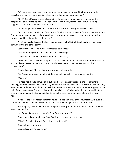"It's release day and usually you're around, or at least call to ask if it all went smoothly. I expected a call or visit hours ago, but when it never happened I grew worried."

"Shit!" Cedrick's gaze darted all around, as if a schedule would magically appear on the hospital wall or the close-up view of his son's hair. "I completely forgot—I'm sorry. Something happened earlier today and I lost track of time."

"Something bad?" Bell cut in sharply, protectiveness and worry all rolled into one.

"Sort of, but it's not what you're thinking. I'll tell you about it later. Suffice it to say, everyone's fine, we were never in danger, there's nothing to worry about. I was so consumed with following through that I forgot about everything else."

A soft laugh rolled across the line. "Sounds about right. Cedrick Beaulieu always has to see it through to the end of the story."

Cedrick chuckled. "Know your weaknesses, as they say."

"And your strengths. It's that too, Cedrick. Never forget."

Cedrick made a verbal noise that amounted to a shrug.

"Well," Bell said as he drew in a great breath. "No harm done. It went as smoothly as ever, so you can desist any retroactive worrying you might have started since the beginning of this conversation."

Cedrick laughed. "It's possible you know me a bit too well."

"Can't ever be too well for a friend. Take care of yourself. I'll see you next month."

"You too."

He nearly said Bell's name aloud, but didn't. It was possibly paranoia or possibly smart thinking, but they only called each other by name if the one speaking it was in a secure location. They were certain of the security of the line itself, but one never knew who might be eavesdropping on one half of the conversation. One never knew what small pieces of information they might accidentally drop in a conversation that could build up to a much greater, more ominous whole in the wrong hands.

It was for the same reason that they never said the names JG or the Journalist Guild over the phone. Just in case someone overheard. Just in case their anonymity was compromised.

Bell hung up, and Cedrick returned the phone to his pocket. He was silent a breath, and then looked over at Boyd.

He offered his son a grin. "So. Who's up for the art store?"

Boyd released one small hand from Cedrick's neck to raise it in the air.

"Okay!" Cedrick enthused. "And who's going to pay?"

Boyd put his hand down.

Cedrick laughed. "Cheapskate."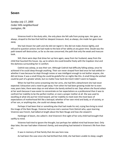### **Seven**

*Sunday July 17, 2005 Cedar Hills neighborhood Lexington, PA*

Vivienne knelt in the dusty attic, the only place she felt safe from prying eyes. Her gaze, as always, strayed to the box that held her deepest treasure. And, as always, she made her gaze move away.

She had chosen her path and she did not regret it. She did not make choices lightly, and refused to question actions she had made to the best of her ability at any given time. Doubt was the path toward self destruction, as far as she was concerned; the path that only the weak and insecure took.

Still, there were days that drew her up here again, away from her husband, away from the child that haunted this house. Up, up to where she could breathe freely with the trapdoor shut and the darkness surrounding her in comfort.

Cedrick was asleep, as was their son. Although Cedrick had difficulty falling asleep, once he achieved it he could sleep through anything. Their son never strayed from bed once he had settled in– whether it was because he slept through noises or was intelligent enough to not bother anyone, she did not know. It was a small thing she could be grateful for on nights like this. A small thing she wished could be part of a greater whole, but no matter how hard she tried it didn't seem to happen.

When he had first come screaming into her arms, she had felt a detachment she had never expected. Exhaustion and a need to get away. From when he had been growing inside her to even now, years later, there were days on end where she barely wished to eat. Days where she found solace at her work because it was easier to concentrate on her expectations as a professional than it was to confront her inability to be the perfect mother, or even a proper mother at all. She was used to excelling at what she put her mind toward, yet her inability to meet even the most basic of expectations of motherhood felt like a betrayal; whether of her own mind and body, or of society, or of her son, or anything else, she could not always decide.

Perhaps it had been that or something else that had made his red, crying face bring to mind the image of the Nain Rouge. Vivienne had once met a woman from Detroit who, upon learning Vivienne was French, had talked at length about the Nain Rouge and how she viewed it.

Harbinger of doom, she called it. And Vivienne's first sight of her only child had brought that swiftly to mind.

Vivienne had tried to ignore the thought, but perhaps her addled mind had known best. Only days later, the war had taken Vivienne's family, and everything had twisted in Vivienne's life from then on.

It was in memory of that family that she was here now.

As had been the case since she had birthed that child, she had been unable to sleep; caught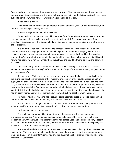forever in the shroud between dreams and the waking world. That restlessness had drawn her from the warmth of Cedrick's side, down the quiet hallway, up the stairs, up the ladder, to sit with her knees pulled to her chest, where her gaze was drawn again, again to that box.

It was Amy's birthday.

Did Cedrick remember this and pointedly not speak of it each year? Or had he forgotten, now that the date no longer held significance?

It would always be meaningful to Vivienne.

Today, Cedrick's mother Amy would have turned fifty. Today, Vivienne would have insisted on bringing her somewhere special; buying her something beautiful. She would have made Amy breakfast if Cedrick or his father Braeden had not. She would have sat by her side and felt the comfort of her presence.

In a world that had not seemed ready to accept Vivienne since the sudden death of her parents when she was eight years old, Vivienne had grown accustomed to keeping everyone at a distance. She had come to expect negativity sent her way. It no longer bothered her, because her grandmother's lessons had worked. Mireille had taught Vivienne how to live in a world like this and how to rise above it. To not care what others thought, so she could be free to do what she believed was best.

*Life is war,* her grandmother had told her since she was brought, orphaned, to Mireille's Parisian home. *Do not lose yourself in the battles. Think always of the long strategy. If you plan ahead, you will always win.*

She had taught Vivienne all of that, and yet a part of Vivienne had never stopped aching for the loving warmth she remembered of her mother's arms. A part of her could not stop being that eight year old child, with the last memory of parents who smiled at her and held her close and sang soft, sweet French lullabies when she was tired or scared. She could not forget her mother, who had taught her how to ride her first horse, or her father who had given her a colt and had stayed by her side that first time she had climbed astride, his hands spread to catch her if she should fall. A colt she had childishly named Venteux, for the feeling of the wind rushing past her when she rode.

No matter how hard Vivienne had tried, she could not make those memories disappear. No matter how much Mireille had helped her, that piece of Vivienne would not leave.

Still, Vivienne had thought she had successfully buried those memories, that past weak and vulnerable self, until she had walked into Cedrick's childhood home for the first time.

Until she had met his mother Amy.

The bright smile that had filled Amy's features; the open arms that had been there immediately, engulfing Vivienne before she had a chance to speak. That warm voice in her ear welcoming her with the Québécois accent Vivienne had teased Cedrick about in Paris. Amy's accent was even a bit different than that, retaining a touch of her American Northeastern drawl pulling the vowels and consonants into a new shape.

She remembered the way Amy had anticipated Vivienne's needs: the cup of tea or coffee she made before Vivienne even thought to ask; the presence of a woman at her side who understood, who didn't judge, on the nights Vivienne had cried endlessly about her pregnancy and had been too scared to let Cedrick see.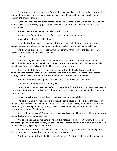The mother Vivienne had yearned for since her own had died, her birth mother denigrated by her grandmother again and again until Vivienne had thought love could only be a weakness, and idealism the greatest of crimes.

But then Cedrick had come into her life and he had brought his family with, and Vivienne had known the warmth of belonging again. She had known she wasn't alone in this world, in this war known as life.

She had been wrong, perhaps, to believe in that future.

She had been foolish, it seemed, to forget her grandmother's warnings.

It had all started with that Nain Rouge.

Child of misfortune; soulless it seemed at times, with eyes that burned their way through everything. Staring endlessly as a demon might at a city to learn and mimic human behavior.

She didn't believe in demons; not really. She didn't truly think him of the devil. There was nothing supernatural at work, in all likelihood.

And yet.

And yet, every hatred that had been visited upon her externally or internally, every loss she held gathered in empty arms, she felt could be tied back to the moment that child was conceived in thought. And most especially after he had been birthed into this world.

It was true that the hatred had started far earlier; true the loss had gone back to her childhood, long before he existed. But those small and large sufferings had happened in another country, what felt like another world and another life now far removed from her own.

Here was where she was supposed to have a new chance. Here, in North America.

And here was where he had made Amy die.

Cedrick's family would have been safely in Canada if not for Boyd. They would not have been in Lexington, in that neighborhood where the bombs destroyed everything, if he had not been born the day he was born.

His birth was the dawn of the death of everyone Vivienne had left to love.

The bare light bulb moved subtly in a breeze she could never feel. The silence of this span of the house was refreshing and complete. The pressure she felt every waking moment, the suffocation of breathing, of existing, of moving through the everyday battle of life, felt at home here in this claustrophobic corner of their home.

She could see the war of life play out here, again and again, and here she could pause between the battles for fugitive, ephemeral rest.

And so this war had led her here, alone in a dusty attic, perched against a wall with her long hair catching and holding onto the rough wood. And she squeezed her tired, burning eyes shut to keep them from drifting again, again, to that box.

She had arrived in Paris with so little to her name; with only one item from her dead parents. She had left France, disowned, with so little in her possession.

But there was one thing she had been certain to bring. One trinket; the only gift she had left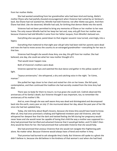from her mother Alette.

She had wanted something from her grandmother who had been kind and loving, Alette's mother Éliane who had joyfully shouted encouragement when Vivienne had rushed by on Venteux's back. But Éliane had not wanted her, Mireille had told Vivienne; not after Alette was gone. And then Éliane had died. Like she deserved, Mireille had said, for birthing that demon Alette into the world.

Vivienne had not been permitted to bring any memories of Éliane or her mother to her new home. The only reason Mireille had let her keep her last and, now, only gift from her mother was because Vivienne had told Mireille it came from her father Jacques; from Mireille's beloved son.

Everything else was gone; pared down to that singular souvenir now turned, unerringly, into a legacy.

Everything that mattered to that eight year old girl who had been told her parents were dead and now she had to move across the country to an estranged grandmother—everything for her was in that box.

Vivienne had thought she would show Amy, one day, this gift from her mother. She had believed, one day, she could see what her new mother thought of it.

That would never happen now.

Both of Vivienne's mothers were dead.

Vivienne opened her eyes and watched the dust dance and gather in the yellow swatch of light.

"Joyeux anniversaire," she whispered, a dry and catching voice in the night. "Je t'aime, maman."

She pulled her legs closer to her chest and rested her chin on her knees. She fell quiet, contemplative, and then continued the tradition she had secretly created from the time Amy had died.

There was no body for them to mourn; no true grave she could visit. Cedrick observed the anniversary of his family's death, but Vivienne thought it was important, too, to remember the anniversary of his mother's life.

And so, even though she was well aware Amy was dead and disintegrated and decomposed back into the earth, every year on July 17 she murmured about her day, about the past year of her life since she had last updated Amy.

Today, she told Amy about Boyd's lessons, because she knew Amy would have loved to know. After all, Amy had once promised a shaking and frightened nineteen-year-old Vivienne, who had whispered her deepest fear that the dark and twisted feeling she felt during her pregnancy would never leave and she would never be capable of loving that child the way a mother was supposed to— Amy had promised that terrified and ashamed Vivienne that it would get better, and if it didn't then Amy would be there for her. She had promised that vulnerable Vivienne that she would help.

She had promised that anxious Vivienne that she would not navigate this frightening path alone. No matter what. Because Vivienne would always have a friend and mother in Amy.

That promise had burned to ash alongside Amy's body. But Vivienne still spoke to a ghost she didn't believe in, because she did believe in the kindness of that woman's soul when she had lived.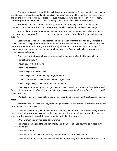"He excels at French," she told that sightless soul now in French. "I hardly need to teach him a word before he integrates it and understands its nuances." She turned her head so her cheek caught against the thin fabric of her night dress. Her eyes strayed, again, to the box. "He's very intelligent. Cedrick is proud. He's certain he's ahead of his age, and I agree. I believe it is likely he will…"

Her words faded, lost in the comforting compression of the night. The sentence she had planned to form was gone as if it had never existed, and her mind undulated with the change.

She could not lie to Amy, whether she was ghost or human; whether she lived or was lost. It had always been that way. Such had been the unending comfort of Amy, knowing she had unerring support.

Cedrick loved Vivienne. He saw someone human, when everyone else had only ever seen a beast. When her own grandmother had treated her as if she were inhuman. Cedrick always took all of her words, no matter how cutting or short they may be, and he transformed them into things of beauty that made her believe even in her own humanity. He reflected back to her a woman worth loving, not worth leaving.

And it was for that reason there were some truths she was too terrified to ever tell him.

*I do not want a child.*

*I never want to be a mother.*

*I cannot be a mother.*

*I have always loathed the idea.*

*I have always found it demeaning and frightening.*

*I have never wanted to be burdened by that responsibility.*

*It was always the life I said I absolutely did not want.*

*I told my grandmother again and again, no, no, when she said it was inevitable and she would form my future around it– when she tried to take away my control and wished to force it on me, I said no, no, never, no.*

Words she had never been able to say to him, caught and caustic in her throat; corrosive in her heart.

Words she had let leave, quaking, from her lips only ever in the protective presence of Amy, far from the ears of anyone else.

Amy had listened. Amy had not condemned her. Amy had not said all the words everyone else had ever said for why a woman could not dare say that; why it was not allowed to want her own life, or a life with a husband, without the requirement of a child in that future.

Why a woman was only as good as her womb.

Her entire meaning and life and personality and dreams, siphoned down to be judged by the usage of one organ.

Amy had listened.

Amy had hoped the love would come, and had promised to aid even if it didn't.

Amy had let her be truthful, raw and vulnerable and revealing of all her undesirable parts, in a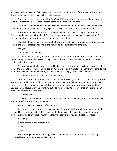way even Cedrick could not fulfill because Vivienne was too frightened of the idea of losing his love. The love she had left everything in her life to pursue.

And so here, this night, the night of Amy's birth fifty years ago, Vivienne could not continue with that superficial update when so many other words crowded her lungs.

"Amy," she said quietly, and should have been horrified to hear her voice crack. Would have been, if not for that shroud descending again so heavily on her throat; her heart; her mind.

It was a welcome distance; a wall that separated her from the wild depth of emotions. Something she had once viewed with freedom, that independence of feeling, that capability of extreme emotions, but now in her maturity she knew to be folly.

Mireille had taught her that feelings, that love and emotions, were weaknesses. Unprotected joins in the armor that kept her safe in the war of life. The quickest path to failure.

And yet…

"I wanted to feel that love."

She hadn't wanted to say it aloud, hadn't meant to, but for as quiet as the sounds were, it ripped her apart inside. She pressed cold palms into the heat of her closed eyes, her back curved gently against the dark.

"I never wanted him but when I knew I had to have him, I wanted it to change. I wanted—I wanted to understand. I wanted one piece of my life to not be a struggle, looking from the outside in. I wanted to hold him and hold no grudges, I wanted to feel the joy Cedrick did, I wanted…"

She sucked in a breath, thin and sharp and cutting.

"But I don't know how, Amy, I *don't*." She felt her dry eyes grow heavy. Maybe another person would have cried but she couldn't. "My grandmother taught me to be strong, not weak. She taught me to deny all this. I don't know what it is to be a mother. I only know how to be a warrior. I love Cedrick, I would leave everything for him, but I don't know how to feel love that isn't there. I don't know how to force myself to not—"

#### —*be a monster.*

The words were unbidden in her mind, held close by the clawed fingers of her memories. Her grandmother's voice, soothing in her ears.

#### *Monster, Vivienne, you are nothing but a—*

She stopped herself, pulsed her fingers to feel the dig of her fingernails into her palms, and dropped her arms to her side. Felt the catch of the floor against her skin. She stayed there, a still statue, every muscle taut as she fought to regain the control she had briefly let herself lose.

It took time.

A deep breath in and another out.

Again.

Again.

With the surge of emotion leaving, she felt emptied out and exhausted. It was a feeling as corrosively comforting as it was familiar, and yet…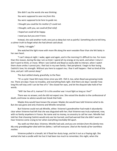She didn't say the words she was thinking:

*You were supposed to save me from this.*

*You were supposed to be here to guide me.*

*I thought you could be his mother if I could not.*

*I thought, with you, we could all find relief.*

*I hoped we could all be happy.*

*I need you but you aren't here.*

Instead, she said another truth; one just as deep but not as painful. Something else to tell Amy, a calmer truth to forget what she had almost said aloud.

"Lately, I struggle."

She watched the light move with more life along the worn wooden floor than she felt lately in her own heart.

"I can't sleep at night. I wake, again and again, and in the morning it's difficult to rise. For more than this reason, during the day I am so tired. I spend all my energy at my work, and when I return I don't want to think, or move. When I see Cedrick and Boyd so easily able to interact, when I watch them share smiles I cannot join, I feel lost in my own family. I feel peripheral. I begin to fear losing Cedrick's love; his strength. Without you here to support me, I fear it will happen. I feel so tired all the time, and yet I still cannot sleep."

The dust settled slowly, gracefully, to the floor.

"It's a cycle I have felt many times since you left. I felt it, too, when Boyd was growing inside me. There are days I have no troubles, and everything feels right. And there are days I wonder how long this will stay until I can be free of it." She closed her eyes, and let the disquiet take hold of her words.

"*Will* I be free of it, maman? Or is this another war I must fight as long as I live?"

There was no answer, and she did not expect one. She voiced the doubts to the confessional of death, and knew no advice would ever break that hold.

Maybe Amy would have known the answer. Maybe she would have told Vivienne what to do. But she was gone and only Vivienne and Mireille remained.

But Vivienne could not ask Mireille, either. Vivienne's grandmother had made it abundantly clear when Vivienne had left that she was disgusted with her; that Vivienne was truly orphaned, now, with no family anywhere in France. No name and no money, no ancestry to call her own. Mireille had told her that choosing Cedrick would only see her burned, and had warned that she didn't want to hear Vivienne come crying to her when everything inevitably fell apart.

*You walk out that door, Vivienne,* Mireille had said, *and you are stricken from this family tree. My only granddaughter died with her father, I will tell everyone. Died at the hands of her worthless mother.*

Vivienne pulled in a breath, let it flood her dusty lungs, and let it out as a fraying sigh. She wished she had a candle with her but it had been too much to remember, this night, when the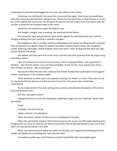restlessness of insomnia had dragged her too close, too often, to the surface.

Tomorrow, she told herself, she would don the armor fully again. Tomorrow, she would keep close the lessons her grandmother had given her. Tomorrow, she would rely on that distance to return her to her rightful self. Tomorrow, she would be the person she was meant to be; the person who did not fear or question the troubled edges of her mind.

Tomorrow, she would once again be ready for war.

But tonight—tonight, even in waking, she would let herself dream.

She closed her eyes and pushed her head harder against the unfinished attic wall. Felt the stinging nettling of her hair catching in splinters and gaps.

She imagined a cake on a table, and Amy and Braeden and Cedrick standing around it. She left Riley out because she liked to forget he existed, but Aiden could be there instead. She imagined a candle, flickering and bright, casting shadows away from Amy's smile, lending warmth back into rigor mortis; life back into death.

She waited until they were firm in her mind, and then into that clustered dusk she sang a song of birthday wishes.

"Bon anniversaire, nos voeux les plus sincères. Que ces quelques fleurs, vous apportent le bonheur… Que l'année entière, vous soit douce et légère. Et que l'an fini, nous soyons tous réunis. Pour chanter en choeur… Bon anniversaire…"

The words drifted into the dark; a distant, low-breath melody that could hold no truth against reality; no buoyancy in the shadowy depths.

There would be no other years; no happiness waiting, nor flowers to come. There was no one to sing along with her, because she did not want to hurt the only person who would have remembered.

So she stayed alone in the attic, wishing she could be surrounded by the ghosts of the family who had believed in her.

But they were gone forever.

Fading memories of a time she would give anything to regain, yet her 'anything' would never be enough.

Let go.

As always, she had to let go.

"Adieu, maman," she whispered.

When she stood, already she felt the armor pulling back into place.

When she opened the trapdoor that led back down to the house, she felt reality flooding back, bringing with it a sense of certainty she felt for most of her life but allowed herself to lose, just a little, when she was up here alone in the dark.

When she reached up and pulled the switch on the light, she imagined Amy blowing out that candle and fading, like everything else, back into the black.

It would be another year until Vivienne would let herself feel that vulnerability again.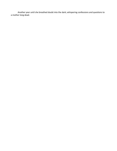Another year until she breathed doubt into the dark; whispering confessions and questions to a mother long dead.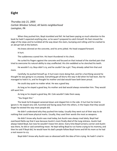# **Eight**

*Thursday July 21, 2005 Carlisle Windsor School, All Saints neighborhood Lexington, PA*

When they pushed him, Boyd stumbled and fell. He had been paying so much attention to the book he hadn't expected anything else, so he wasn't prepared to catch himself. His foot missed the edge of the steps and he tumbled all the way down the stairs, bumping and rolling until he crashed to an abrupt halt at the bottom.

His knees skinned on the concrete, and his arms jolted. His head snapped forward.

It hurt.

The suddenness scared him. His heart thundered in his chest.

He curled his fingers against the concrete and focused on that instead of the startled pain that tried to overcome his natural ability to stay unaffected. His chin wobbled so he clenched his teeth.

He wouldn't cry. Boys didn't cry, and he couldn't be a girl. They already called him that and more.

Carefully, he pushed himself up. It hurt even more doing that, and for a horrifying second he thought he was going to cry anyway. Everything got all blurry the way it did when he had tears. But he managed to hold it in, and he thought his mother and dad would have both been proud.

He could stay quiet no matter what. He was a good boy.

As long as he stayed a good boy, his mother and dad would always remember him. They would still want him.

As long as he stayed a good boy, Mr. Cole wouldn't take them away.

"You forgot this."

The book he'd dropped careened down and clipped him in the side. It hurt but he tried to ignore it. He stayed very still, hunched and facing away from the others, in the hopes that they would forget he existed the way most people did.

He didn't understand why they pushed him today. Usually they went out of their way to do nothing that could leave physical marks. Usually, they used their words the most as weapons.

He didn't know why Austin was mad today, but Austin was always mad lately. Boyd had overheard Nella say that it was because Austin's mom finally died of the lung sickness. Austin had always hated Boyd, but now he wouldn't leave him alone. Every time Boyd turned a corner and Austin was there, he did or said something mean. He kept telling Boyd to run home crying to his mommy, and then he said if Boyd did, he would have his dad's people follow Boyd home and kill his mom so he had a real reason to cry.

Boyd didn't know why Austin was so obsessed with the idea of him crying. He hadn't cried in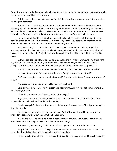front of Austin except the first time, when he hadn't expected Austin to try to set his shirt on fire while he was wearing it, and he'd gotten scared.

But that was before Lou had protected Boyd. Before Lou stopped Austin from doing more than taunting him from afar.

But now Lou wasn't there. It was summer and only some of the kids attended the summer academy. Austin and his friends went because they weren't good students and they got in trouble a lot, even though their parents always bailed them out. Boyd was a top student but his parents were busy a lot so Boyd went so they didn't have to get a babysitter and Boyd got to learn more.

Lou had wanted Boyd to go with the Krauszer family on his vacation but Boyd couldn't and hadn't wanted to, anyway. Austin already said mean things about Lou because he spent time with Boyd. If Boyd went with them in the summer it would only be worse.

Plus, even though his dad said he didn't have to go to the summer academy, Boyd liked learning. He liked that they let him do art when it was quiet. He didn't have to worry as much about making a mess here; they didn't give him a look the way his mother did at home. He felt less guilty here.

But with Lou gone and fewer people to care, Austin and his friends were getting worse by the day. With Austin leading them, they taunted Boyd, called him names, stole his money, hid his backpack, took his food, blocked him from his desk, pulled his hair, his clothes, tripped him…

And now, they pushed Boyd down the stairs when Boyd was reading a book as he walked.

He heard Austin laugh from the top of the stairs. "Why're you so clumsy, Boyd?"

"He's even creepier when no one else is around," Christian said. "Doesn't even look where he's going."

"He doesn't even walk down stairs like normal," Elijah said.

Boyd stayed quiet, controlling his breath and not moving. Austin would get bored eventually. He always got bored.

"Stupid! I can see you! Just 'cause you're not moving…"

Boyd heard footsteps stomping down the steps and suddenly he was worried. Austin was supposed to leave him alone if he didn't do anything.

People always left him alone if he stayed quiet enough. They got tired of hurting or hating him if he didn't resist.

He chanced a glance over his shoulder and saw Austin storming toward him, face red and twisted in a scowl, while Elijah and Christian flanked him.

If Lou were there, he would have run in between them and punched Austin in the face. He would have gotten in a fight and yelled at them for hurting Boyd.

But Lou was gone and Boyd didn't want to hurt anyone, he just wanted to be left alone.

He grabbed the book and his backpack from where it had fallen next to him. He started to run, or tried to, but his knee hurt and he was a lot smaller than them.

He was smaller than all of the other boys. Austin and the others always said it was because he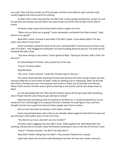was a girl. They said they should cut off his privates and then he'd really be a girl, and then they usually laughed and tried to pull at his clothing.

He didn't like it when they did that. He didn't like it when people touched him, except Lou and his dad who were always nice and didn't say mean things around him like he didn't know what it meant.

He barely made it past the fountain before Austin caught up to him.

"Where do you think you're going?" Austin demanded, and behind him Elijah echoed, "Yeah, where're you going?"

Boyd didn't speak. He knew it was better if he didn't speak. It was always better if he was quiet, even when he was home.

Austin and Elijah yanked him back by the arms, and Boyd didn't resist because he knew it was safer if he didn't. They dragged him backward, his heels bumping along the ground. The book and his backpack fell with a thud.

"You were staring in class earlier." Austin glared at Boyd. "Staring at Christian. Why's that? You like him?"

He shoved Boyd at Christian, who jumped out of the way.

"Gross!" Christian yelled.

Boyd fell down.

"Oh, sorry." Austin sneered. "Looks like Christian doesn't like you."

The reason Boyd had been watching Christian was because he'd been trying to figure out why everyone liked him so much when he didn't really do anything nice or interesting. When all the kids were there, Christian was even more popular than Austin or Elijah, but all Christian ever did was follow Austin around. Christian wasn't good at listening to the teacher and he was always mean to Boyd.

So, why did people like him? Why did the teachers always let him get away with everything, when if Boyd tried the same thing he got cold stares instead?

Boyd had been wondering what he could do to be liked too, or at least be ignored so no one would hurt him. He'd thought if he analyzed Christian's behavior he could figure it out, and he'd thought summer was a good time because fewer people were there to notice.

But he must have been too obvious. He'd made a mistake.

Austin shoved Boyd down with a foot on his shoulder. Boyd caught himself with his hands and saw Christian's dirty loafers loom in front of his face.

"You like him so much, why don't you kiss his feet?"

Christian made a gagging noise but didn't move. Elijah laughed and, when Boyd didn't do anything, shoved hard on his back. Boyd fell forward, bumping his nose on the toe of Christian's shoe.

"Gross!" Christian shouted. "He did it! He really did it!"

Boyd didn't bother telling them he hadn't. They wouldn't believe him, anyway.

It got quiet above him and that made Boyd grow worried. He froze and, slowly, chanced a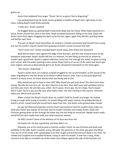glance up.

Austin had reddened from anger. "Gross! You're so gross! You're disgusting!"

Lips peeling back from his teeth, Austin grabbed a handful of Boyd's hair, right down to the roots, making Boyd's head throb painfully.

"I hate you," Austin seethed.

He dragged Boyd up, getting Elijah's help when Boyd was too heavy. When Boyd wavered to a stand, Austin shoved him hard in the chest. Boyd stumbled backward, falling on his butt. Elijah and Austin were there again, dragging him back up by the hair. Again, again they did this, pushing harder and farther each time.

The pain on Boyd's head intensified. He sucked in a breath and barely kept himself from crying out, but he couldn't stop his hands from grasping at Austin's wrists to lessen the hold.

"Don't touch me!" Austin smacked Boyd's hands away, then threw him backward.

Boyd felt his knees catch against the edge of the fountain, and the next thing he knew he fell backward underwater. Boyd's breath left him in a whoosh, his feet flying up into the air where he couldn't get a good hold. Austin's rippled reflection came over him through the water, his glare turning even scarier with the water twisting it even worse. Boyd tried to sit up out of the water but Austin got even angrier, and just as Boyd almost got to air Austin shoved him backward on the chest again.

"You stupid—disgusting—"

Austin's words were cut in pieces as Boyd struggled to rise up and breathe; as the sound of the water engulfing him and the drone of his blood muffled Austin's snarl. Even so, because Boyd had heard it so many times, he knew exactly what was being said to him.

*Why should* you *get to have a mom still? Why should* you *get to be here? You don't even have money. Not like the rest of us do. You don't deserve to be here. Your dad's poor and worthless and no one likes your mom. No one likes you, either. You're gross. You're gay. You're creepy. You're stupid. You're a girl. You're a spy, just like your dirty traitor mom. You don't belong in this country. Everyone hates you. We all wish you'd die.*

Water rushed into Boyd's mouth when he couldn't hold his breath any longer. He choked, trying to cough while trying to breathe, his breath filling with water instead. He grabbed blindly at Austin's wrists, trying frantically to pull them away from him, and Austin only pressed down harder.

He was terrified and powerless and his heart hammered so hard he couldn't even make out what else Austin was saying. All he knew was he couldn't breathe and maybe Austin, Elijah and Christian glaring down at him through the water was the last thing he would see. Maybe Austin really would kill him and maybe that really was what everyone wanted.

He didn't know if some of the wetness on his face was tears too.

He hoped not. He was a good boy, and boys didn't cry.

Distantly, just as his mind buzzed so hard he couldn't think, he saw Christian and Elijah look suddenly to the side. Austin scowled. Just as abruptly, the pressure on his chest was gone and Boyd rose up out of the water with a great gasp of air that caught and burned and hurt deep in his chest. He choked and coughed and crumpled forward, trying to catch his breath. It took him a long, shaky moment to be able to scramble out of the water and collapse against the side of the fountain just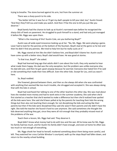trying to breathe. The stone burned against his arm, hot from the summer air.

There was a sharp punch to his side.

"You better tell her it was fun or I'll get my dad's people to kill your dad, too," Austin hissed. "And then they'll kill Lou and make you watch. And then *I'll* be the one to kill *you* just like you deserve."

Boyd barely had the chance to look up at Austin's narrowed eyes before he recognized the sharp click of heels on pavement. He struggled to push himself to a stand, and had only just managed it before Ms. Riggs was upon them.

"What is the meaning of this? Austin Cole, are you bothering Boyd?"

Austin was all wide-eyed innocence looking up at her. "No, Ms. Riggs. We were playing a game. Loser had to look for the pennies at the bottom of the fountain. Boyd's bad at the game so he lost and then he didn't find any pennies. We tried to help him but he really sucks at it."

Ms. Riggs stared at him like she didn't believe him, and Boyd didn't blame her. Austin could have come up with a better story. Boyd's dad would have. He was good at stories.

"Is that true, Boyd?" she asked.

Boyd had learned long ago that adults didn't care about the truth; they only wanted to hear what made them happy. His dad was the only exception, but the problem was unlike everyone else, his dad *did* care, and then he got upset anyway because he worried. Everyone else hated him if he said or did something that made their lives difficult. Even the other kids. Except for Lou, and Lou wasn't here.

So, Boyd nodded.

She frowned, glanced between them, and then as she always did when she was confronted with anything that seemed like too much trouble, she shrugged and accepted it. She was always doing that with the kids in school.

Boyd had overheard her talking to one of the other teachers the other day. She was mad about how she needed more money and had to work extra in the summer academy. She said when she'd first started as a teacher that she'd wanted to make a difference but then she'd realized how spoiled all the kids were here. She said she'd been yelled at by the parents for teaching their kids the wrong things but then also not teaching them enough; for not disciplining the kids and acting like their parents but then if the kids were disciplined they said she *wasn't* their parents and she didn't have the right. She told the teacher she found it hard to care anymore. She said sometimes she thought the kids deserved anything they got, since they were all rich enough that they probably missed most of the problems of the war.

Teach them a lesson, Ms. Riggs had said. They deserve it.

Boyd didn't know what money had to do with loss and the war. All he knew was for Ms. Riggs his family had too much, and for Austin his family didn't have enough, and even at home he often was too much or not enough of everything.

Ms. Riggs shook her head to herself, muttered something about them being more careful, and left. They watched her cross Carlisle Windsor's courtyard, walk up the steps Boyd had fallen down, and return to the nearby school building.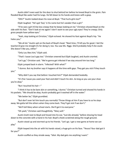Austin didn't even wait for the door to shut behind her before he kneed Boyd in the groin. Pain flooded Boyd like water had his lungs. He fell down to his hands and knees with a gasp.

"Ohh?" Austin looked down his nose at Boyd. "That hurts girls too?"

Elijah laughed. "He's got 'boy' in his name but he's weaker than a girl."

"If he *was* a girl it'd be less creepy that he keeps looking at me." Christian shoved Boyd on the side with his foot. "Don't look at me again! I don't want to see your ugly eyes! They're creepy. Only gross people have yellow eyes."

"Yeah, stop looking at Christian," Elijah echoed. He shoved his foot against Boyd's hip. "He hates you."

"We all do." Austin spit on the back of Boyd's head. "Next time, I'll kill you for good. I bet the teachers'd give me straight A's for doing it, too. You saw Ms. Riggs. She'd probably help if she could. She doesn't like you, either."

"Only Lou likes him," Elijah said.

"That's 'cause Lou's gay too." Christian sneered but Elijah laughed, and Austin snorted.

"Let's go," Christian said. "We're gonna get infected if we stay around him too long."

Elijah jumped back in alarm. "Infected? With what?"

"I dunno. But my brother says it happens all the time with gays. They get you sick if they touch you."

"Why didn't you say that before I touched him?" Elijah demanded heatedly.

"It's fine 'cause you used your foot and didn't touch his skin. As long as you use your shoe you're okay."

"But I touched his hair—"

"I think it has to be bare skin or something, I dunno." Christian turned and shoved his hands in his pockets. "We should be okay. Austin probably got it washed off in the water."

"We better be," Elijah grumbled.

"But don't ever let him touch you normally! Throw things at him if you have to so he stays away. We gotta tell the others when they come back. They'll get sick if we don't."

"We'll tell Mary when school starts. She'll get it to everyone."

"Oh yeah," Christian said thoughtfully. "Mary will."

Austin knelt next to Boyd and hissed into his ear, "Just die already," before shoving his head down to the concrete with a hand in his hair. Boyd's cheek scratched along the rough ground.

Austin stood up and stormed up to his friends. "Let's go. I got a new game at home we can play."

Elijah leaped into the air with his hands raised, a huge grin on his face. "Yessss! Your dad got it for you?"

Austin scoffed as they strode away. "Idiot. My dad gets me anything I want."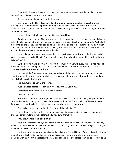They left in the same direction Ms. Riggs had, but they kept going past the buildings, toward the front gates hidden from view from here.

It seemed so quiet and empty with them gone.

Even after they had left, Boyd stayed on the ground, trying to stabilize his breathing and working up his pain tolerance to pretend nothing hurt. He didn't know how long it took, but eventually he was able to stand up, and he didn't fall when he got his backpack and book, so he knew he would be okay.

He was pleased with himself for this. He was a good boy.

Slowly, he started home. The longer he walked, the more he realized he had twisted his knee a little when falling down the stairs. It hurt and it made him limp a little, but he had to walk. Austin had already taken the money he'd had earlier, so he couldn't get on the bus or take the train. His mother didn't like it when he took the train or bus, anyway. She said it was pleveein. He didn't know what that was, but he knew it was as bad as being a girl and gay.

He still didn't know what 'gay' meant, but he knew it was something really bad. It had to be, since so many people called him it. And they called Lou it too, when they wanted to hurt him the way they hurt Boyd.

By the time he made it home, his knee hurt so much it stung with every step. He had hoped he would be home early enough that no one else would be there but he saw his mother's car in the driveway. Maybe she wouldn't be downstairs.

He opened the front door quietly and peered around the heavy wooden door but his stealth hadn't worked. He saw his mother reclining on the couch, holding a glass of something pale and not for kids that she called white wine.

Her gaze turned to him at the sound.

Austin's words passed through his mind. *They all wish you'd die.*

Sometimes he thought his mother felt the same.

"What did you do?"

Her tone was detached, no anger in it, but Boyd still felt ashamed for having disappointed her. He stared at her wordlessly, not knowing how to respond. He didn't know what he'd done to make Austin angry today. Maybe if he did, he would know what not to do tomorrow.

"You walked home looking like this? In front of the neighbors?"

He continued to stare wide-eyed, not knowing what answer to give to make her happy. In the end, he didn't have long to wait before she turned away from him.

"You know where the first aid kit is."

Boyd did. His mother always made sure it was well-stocked for him. He thought that was very kind of her and showed that she cared. If he wasn't a good boy she would stop stocking it, he thought. So he had to make sure he stayed good.

He limped into the bathroom and carefully pulled the first aid kit out of the cupboard, trying to ignore the way his back twinged when he lifted his arms at the wrong angle, and how his knee trembled with his weight. He selected the right size of band-aids and placed them on as carefully as he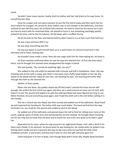could.

He didn't have many injuries, luckily. And his clothes and hair had dried on his way home. So everything was okay.

Once his scrapes and cuts were covered, he put the first aid kit away and then went into his room where he changed. He carried his dirty clothes over to the hamper in the bathroom, and then realized he was still dirty and a bit of blood had smeared. He tried to reach for the faucet but it was too hard to reach with his stretched limbs. He started to force it, but something startlingly painful pulled at his knee, and he lost his balance. He fell down with a muffled thump.

He hit his butt on the floor and told himself he didn't want to cry at how much that had hurt.

He was a boy and boys didn't cry.

He was okay. Everything was fine.

He was just about to push himself back up to a stand when he noticed movement in the doorway and he froze, looking over.

He shouldn't have made a noise. Now she was angry with him for interrupting her, he knew it.

His fears seemed confirmed when he saw the way she watched him. At first she only stood there, and he thought she seemed more disappointed the longer it lasted.

She said quietly, "You cannot do anything right, can you?"

She walked to the sink while he watched half curiously and half in trepidation. Soon, she was kneeling next to him with a soapy, wet cloth in one hand, and a fluffy towel folded on her lap. She wiped at the blood and dirt caked all over him, not meeting his eyes, nor touching him other than through the cloth as she cleaned him.

Neither of them spoke.

When she was done, she pulled a band-aid off that hadn't covered the knee wound well enough. She pulled the first aid kit out again, and then set a small amount of some sort of cloth with holes in it over the wound and taped it on with the odd tape Boyd had never figured out how to use. When finished, she put everything away again, and rinsed the cloth out in the sink before setting it in the hamper.

She ran a clinical eye over Boyd, and then turned and walked out of the bathroom. Boyd stood up and inspected her handiwork. The holey-cloth was much better. The band-aid had hurt the way he'd had it on; too small for the wound and unable to stick to the blood.

He walked out of the bathroom and peered down the hall to find her sitting once more on the couch, sipping a glass of white wine and staring blankly out the window. He thought about thanking her for her help but he knew that the best way to thank her was to be very quiet so he didn't upset her.

Boyd went to his room, where he dug around in his nightstand drawer until, with a thrill in his heart and a flutter in his stomach, he found what he was looking for. He smiled when he pulled it out, feeling warm inside and very important the way he did every time he touched the little metal notebook and pen. It was brown and blue and it was his very own gift someone gave him.

Julian had given it to him to keep, even though Boyd didn't know why. Maybe Boyd had been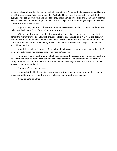an especially good boy that day and Julian had known it. Boyd's dad said Julian was smart and knew a lot of things so maybe Julian had known that Austin had been gone that day but even with that everyone had still ignored Boyd and acted like they hated him, and Christian and Elijah had still glared. Maybe Julian had known that Boyd had felt sad, and he'd given him something so important like this notebook because he was nice.

Boyd was very gentle with the notebook, as he always was when he touched it. He didn't want Julian to think he wasn't careful with important presents.

With aching slowness, he settled down onto the floor between his bed and his bookshelf, across the room from the door. It was his favorite place to be, because it hid him from the doorway and the rest of the house. He could be super special invisible back here, and then it wouldn't bother him even when his mother and dad forgot he existed, because anyone would forget someone who was hidden like this.

It made him feel like if they ever forgot about him it wasn't because he was bad or they didn't want him, but instead was because they simply couldn't see him.

He turned the notebook around in his hands, enjoying the process of pulling the pen out from its sheath, and then he opened the pad to a new page. Sometimes he pretended he was his dad, taking notes for very important stories or articles that would change the world the way his dad was always saying he wanted to do.

But most of the time, he drew.

He stared at the blank page for a few seconds, getting a feel for what he wanted to draw. An image started to form in his mind, and with a pleased nod he set the pen to paper.

It was going to be a frog.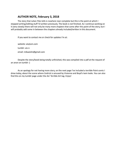## **AUTHOR NOTE, February 3, 2018**

The story that Julian Files tells is nowhere near complete but this is the point at which I stopped writing/editing stuff I'd written previously. The book is not finished. As I continue working on it (very slowly) there will not only be many more chapters that come after this point of the story, but I will probably add some in between the chapters already included/written in this document.

If you want to contact me or check for updates I'm at:

website: aisylum.com tumblr: ais-n email: mikaaislin@gmail.com

Despite the story/book being totally unfinished, this was compiled into a pdf at the request of an anon on tumblr :)

As an apology for not having more story, on the next page I've included a terrible Paint comic I drew today, about the scene where Cedrick is amused by Vivienne and Boyd's twin looks. You can also find this on my tumblr page under the Ais' Terrible Art tag. Enjoy!